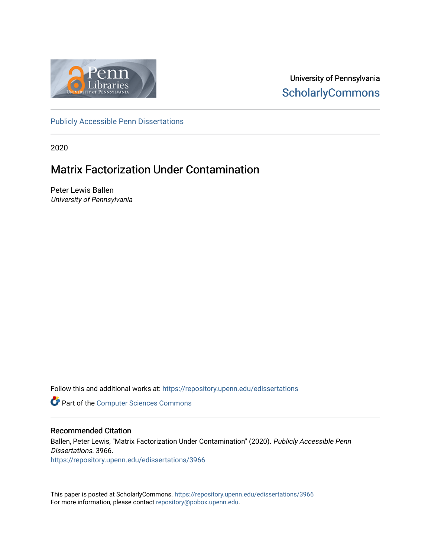

University of Pennsylvania **ScholarlyCommons** 

[Publicly Accessible Penn Dissertations](https://repository.upenn.edu/edissertations)

2020

## Matrix Factorization Under Contamination

Peter Lewis Ballen University of Pennsylvania

Follow this and additional works at: [https://repository.upenn.edu/edissertations](https://repository.upenn.edu/edissertations?utm_source=repository.upenn.edu%2Fedissertations%2F3966&utm_medium=PDF&utm_campaign=PDFCoverPages) 

**Part of the [Computer Sciences Commons](http://network.bepress.com/hgg/discipline/142?utm_source=repository.upenn.edu%2Fedissertations%2F3966&utm_medium=PDF&utm_campaign=PDFCoverPages)** 

#### Recommended Citation

Ballen, Peter Lewis, "Matrix Factorization Under Contamination" (2020). Publicly Accessible Penn Dissertations. 3966. [https://repository.upenn.edu/edissertations/3966](https://repository.upenn.edu/edissertations/3966?utm_source=repository.upenn.edu%2Fedissertations%2F3966&utm_medium=PDF&utm_campaign=PDFCoverPages) 

This paper is posted at ScholarlyCommons.<https://repository.upenn.edu/edissertations/3966> For more information, please contact [repository@pobox.upenn.edu.](mailto:repository@pobox.upenn.edu)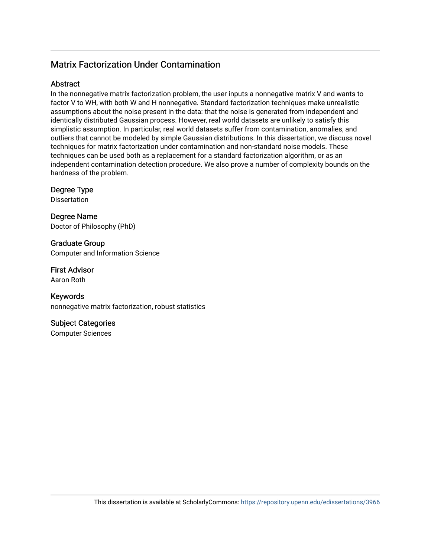#### Matrix Factorization Under Contamination

#### **Abstract**

In the nonnegative matrix factorization problem, the user inputs a nonnegative matrix V and wants to factor V to WH, with both W and H nonnegative. Standard factorization techniques make unrealistic assumptions about the noise present in the data: that the noise is generated from independent and identically distributed Gaussian process. However, real world datasets are unlikely to satisfy this simplistic assumption. In particular, real world datasets suffer from contamination, anomalies, and outliers that cannot be modeled by simple Gaussian distributions. In this dissertation, we discuss novel techniques for matrix factorization under contamination and non-standard noise models. These techniques can be used both as a replacement for a standard factorization algorithm, or as an independent contamination detection procedure. We also prove a number of complexity bounds on the hardness of the problem.

Degree Type

Dissertation

Degree Name Doctor of Philosophy (PhD)

Graduate Group Computer and Information Science

First Advisor Aaron Roth

Keywords nonnegative matrix factorization, robust statistics

Subject Categories Computer Sciences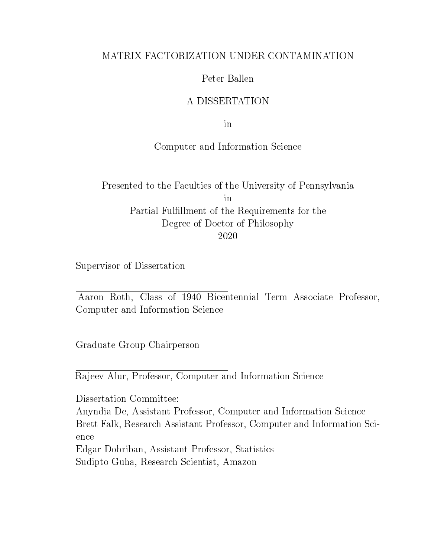#### MATRIX FACTORIZATION UNDER CONTAMINATION

#### Peter Ballen

#### A DISSERTATION

in

#### Computer and Information Science

Presented to the Faculties of the University of Pennsylvania in Partial Fulllment of the Requirements for the Degree of Doctor of Philosophy 2020

Supervisor of Dissertation

Aaron Roth, Class of 1940 Bicentennial Term Associate Professor, Computer and Information Science

Graduate Group Chairperson

Rajeev Alur, Professor, Computer and Information Science

Dissertation Committee:

Anyndia De, Assistant Professor, Computer and Information Science Brett Falk, Research Assistant Professor, Computer and Information Science Edgar Dobriban, Assistant Professor, Statistics

Sudipto Guha, Research Scientist, Amazon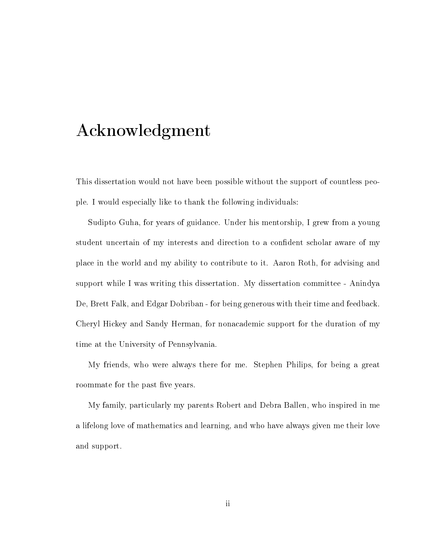# Acknowledgment

This dissertation would not have been possible without the support of countless people. I would especially like to thank the following individuals:

Sudipto Guha, for years of guidance. Under his mentorship, I grew from a young student uncertain of my interests and direction to a condent scholar aware of my place in the world and my ability to contribute to it. Aaron Roth, for advising and support while I was writing this dissertation. My dissertation committee - Anindya De, Brett Falk, and Edgar Dobriban - for being generous with their time and feedback. Cheryl Hickey and Sandy Herman, for nonacademic support for the duration of my time at the University of Pennsylvania.

My friends, who were always there for me. Stephen Philips, for being a great roommate for the past five years.

My family, particularly my parents Robert and Debra Ballen, who inspired in me a lifelong love of mathematics and learning, and who have always given me their love and support.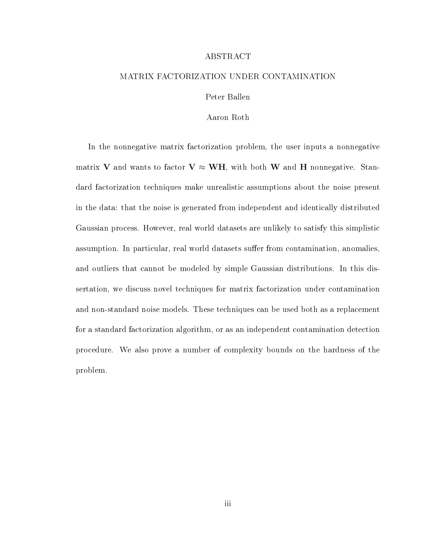#### ABSTRACT

#### MATRIX FACTORIZATION UNDER CONTAMINATION

Peter Ballen

Aaron Roth

In the nonnegative matrix factorization problem, the user inputs a nonnegative matrix V and wants to factor  $V \approx WH$ , with both W and H nonnegative. Standard factorization techniques make unrealistic assumptions about the noise present in the data: that the noise is generated from independent and identically distributed Gaussian process. However, real world datasets are unlikely to satisfy this simplistic assumption. In particular, real world datasets suffer from contamination, anomalies, and outliers that cannot be modeled by simple Gaussian distributions. In this dissertation, we discuss novel techniques for matrix factorization under contamination and non-standard noise models. These techniques can be used both as a replacement for a standard factorization algorithm, or as an independent contamination detection procedure. We also prove a number of complexity bounds on the hardness of the problem.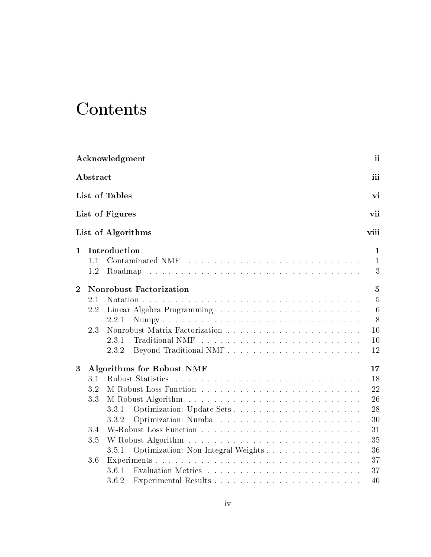# Contents

|                |                  | Acknowledgment                                    | ii                           |
|----------------|------------------|---------------------------------------------------|------------------------------|
|                | ${\bf Abstract}$ | iii                                               |                              |
|                |                  | List of Tables<br>vi                              |                              |
|                |                  | List of Figures<br>vii                            |                              |
|                |                  | List of Algorithms<br>viii                        |                              |
| $\mathbf{1}$   | 1.1              | Introduction                                      | $\mathbf{1}$<br>$\mathbf{1}$ |
|                | 1.2              | Roadmap                                           | 3                            |
| $\overline{2}$ |                  | <b>Nonrobust Factorization</b>                    | 5                            |
|                | 2.1              |                                                   | $\overline{5}$               |
|                | 2.2              |                                                   | $6\phantom{.}6$              |
|                |                  | 2.2.1                                             | 8                            |
|                | 2.3              | 10                                                |                              |
|                |                  | 10<br>2.3.1                                       |                              |
|                |                  | 12<br>2.3.2                                       |                              |
| 3              |                  | <b>Algorithms for Robust NMF</b><br>17            |                              |
|                | 3.1              | 18                                                |                              |
|                | 3.2              | 22                                                |                              |
|                | 3.3              | 26                                                |                              |
|                |                  | 28<br>3.3.1                                       |                              |
|                |                  | 30<br>3.3.2                                       |                              |
|                | 3.4              | 31                                                |                              |
|                | $3.5\,$          | 35                                                |                              |
|                |                  | Optimization: Non-Integral Weights<br>36<br>3.5.1 |                              |
|                | 3.6              | 37                                                |                              |
|                |                  | 37<br>361                                         |                              |
|                |                  | 40<br>3.6.2                                       |                              |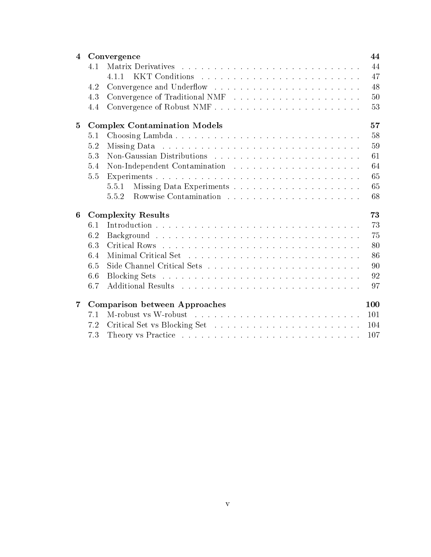| $\overline{4}$ |     | Convergence                         | 44              |
|----------------|-----|-------------------------------------|-----------------|
|                | 4.1 |                                     | 44              |
|                |     | 4.1.1                               | 47              |
|                | 4.2 |                                     | 48              |
|                | 4.3 |                                     | 50 <sup>5</sup> |
|                | 4.4 |                                     | 53              |
| $\bf{5}$       |     | <b>Complex Contamination Models</b> | 57              |
|                | 5.1 |                                     | 58              |
|                | 5.2 |                                     | 59              |
|                | 5.3 |                                     | 61              |
|                | 5.4 |                                     | 64              |
|                | 5.5 |                                     | 65              |
|                |     | 5.5.1                               | 65              |
|                |     | 5.5.2                               | 68              |
| 6              |     | <b>Complexity Results</b>           | 73              |
|                | 6.1 |                                     | 73              |
|                | 6.2 |                                     | 75              |
|                | 6.3 |                                     | 80              |
|                | 6.4 |                                     | 86              |
|                | 6.5 |                                     | 90              |
|                | 6.6 |                                     | 92              |
|                | 6.7 |                                     | 97              |
| 7              |     | Comparison between Approaches       | 100             |
|                | 7.1 |                                     | 101             |
|                | 7.2 |                                     | 104             |
|                | 7.3 |                                     | 107             |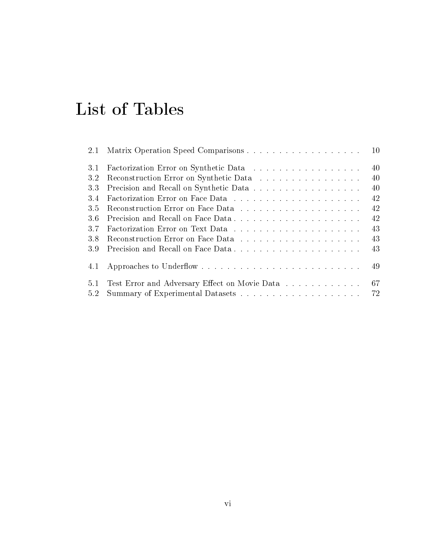# List of Tables

| 2.1 | <sup>10</sup>                                    |
|-----|--------------------------------------------------|
| 3.1 | 40                                               |
| 3.2 | 40<br>Reconstruction Error on Synthetic Data     |
| 3.3 | 40<br>Precision and Recall on Synthetic Data     |
| 3.4 | 42                                               |
| 3.5 | 42                                               |
| 3.6 | 42                                               |
| 3.7 | 43                                               |
| 3.8 | 43                                               |
| 3.9 | 43                                               |
| 4.1 | 49                                               |
| 5.1 | Test Error and Adversary Effect on Movie Data 67 |
| 5.2 | 72                                               |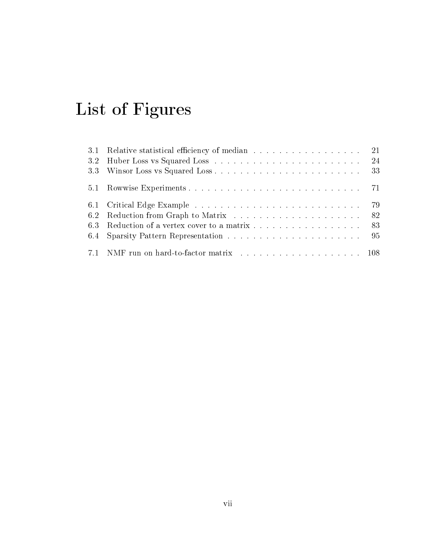# List of Figures

| 3.1 Relative statistical efficiency of median 21 |  |
|--------------------------------------------------|--|
|                                                  |  |
|                                                  |  |
|                                                  |  |
|                                                  |  |
|                                                  |  |
| 6.3 Reduction of a vertex cover to a matrix 83   |  |
|                                                  |  |
|                                                  |  |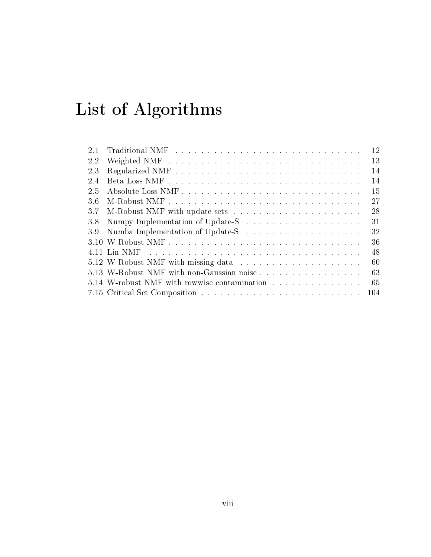# List of Algorithms

| 2.1 |                                              | 12  |
|-----|----------------------------------------------|-----|
| 2.2 |                                              | 13  |
| 2.3 |                                              | 14  |
| 2.4 |                                              | 14  |
| 2.5 |                                              | 15  |
| 3.6 |                                              | 27  |
| 3.7 |                                              | 28  |
| 3.8 |                                              | 31  |
| 3.9 |                                              | 32  |
|     |                                              | 36  |
|     |                                              | 48  |
|     |                                              | 60  |
|     | 5.13 W-Robust NMF with non-Gaussian noise    | 63  |
|     | 5.14 W-robust NMF with rowwise contamination | 65  |
|     |                                              | 104 |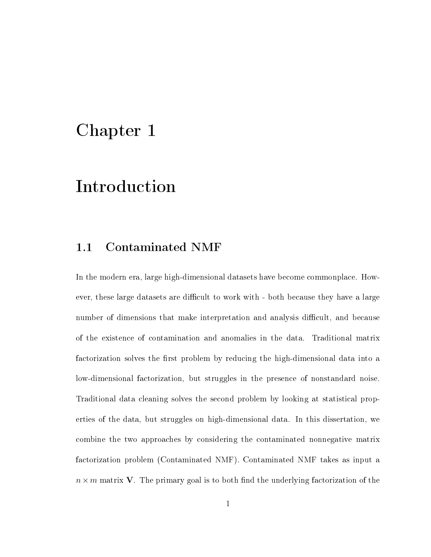## Chapter 1

# Introduction

## 1.1 Contaminated NMF

In the modern era, large high-dimensional datasets have become commonplace. However, these large datasets are difficult to work with - both because they have a large number of dimensions that make interpretation and analysis difficult, and because of the existence of contamination and anomalies in the data. Traditional matrix factorization solves the first problem by reducing the high-dimensional data into a low-dimensional factorization, but struggles in the presence of nonstandard noise. Traditional data cleaning solves the second problem by looking at statistical properties of the data, but struggles on high-dimensional data. In this dissertation, we combine the two approaches by considering the contaminated nonnegative matrix factorization problem (Contaminated NMF). Contaminated NMF takes as input a  $n \times m$  matrix V. The primary goal is to both find the underlying factorization of the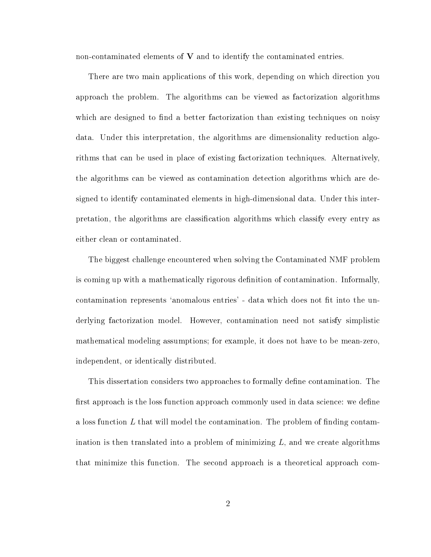non-contaminated elements of  $V$  and to identify the contaminated entries.

There are two main applications of this work, depending on which direction you approach the problem. The algorithms can be viewed as factorization algorithms which are designed to find a better factorization than existing techniques on noisy data. Under this interpretation, the algorithms are dimensionality reduction algorithms that can be used in place of existing factorization techniques. Alternatively, the algorithms can be viewed as contamination detection algorithms which are designed to identify contaminated elements in high-dimensional data. Under this interpretation, the algorithms are classication algorithms which classify every entry as either clean or contaminated.

The biggest challenge encountered when solving the Contaminated NMF problem is coming up with a mathematically rigorous definition of contamination. Informally, contamination represents 'anomalous entries' - data which does not fit into the underlying factorization model. However, contamination need not satisfy simplistic mathematical modeling assumptions; for example, it does not have to be mean-zero, independent, or identically distributed.

This dissertation considers two approaches to formally dene contamination. The first approach is the loss function approach commonly used in data science: we define a loss function  $L$  that will model the contamination. The problem of finding contamination is then translated into a problem of minimizing  $L$ , and we create algorithms that minimize this function. The second approach is a theoretical approach com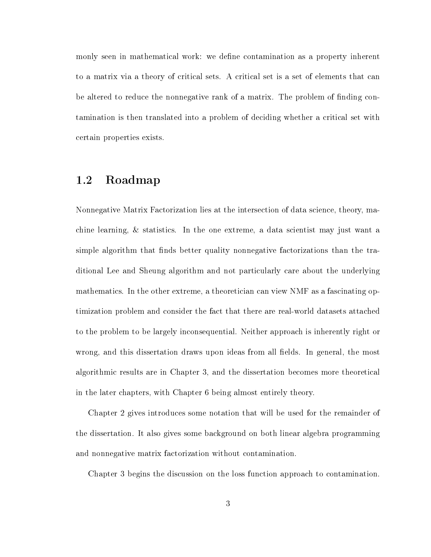monly seen in mathematical work: we define contamination as a property inherent to a matrix via a theory of critical sets. A critical set is a set of elements that can be altered to reduce the nonnegative rank of a matrix. The problem of finding contamination is then translated into a problem of deciding whether a critical set with certain properties exists.

### 1.2 Roadmap

Nonnegative Matrix Factorization lies at the intersection of data science, theory, machine learning, & statistics. In the one extreme, a data scientist may just want a simple algorithm that finds better quality nonnegative factorizations than the traditional Lee and Sheung algorithm and not particularly care about the underlying mathematics. In the other extreme, a theoretician can view NMF as a fascinating optimization problem and consider the fact that there are real-world datasets attached to the problem to be largely inconsequential. Neither approach is inherently right or wrong, and this dissertation draws upon ideas from all fields. In general, the most algorithmic results are in Chapter 3, and the dissertation becomes more theoretical in the later chapters, with Chapter 6 being almost entirely theory.

Chapter 2 gives introduces some notation that will be used for the remainder of the dissertation. It also gives some background on both linear algebra programming and nonnegative matrix factorization without contamination.

Chapter 3 begins the discussion on the loss function approach to contamination.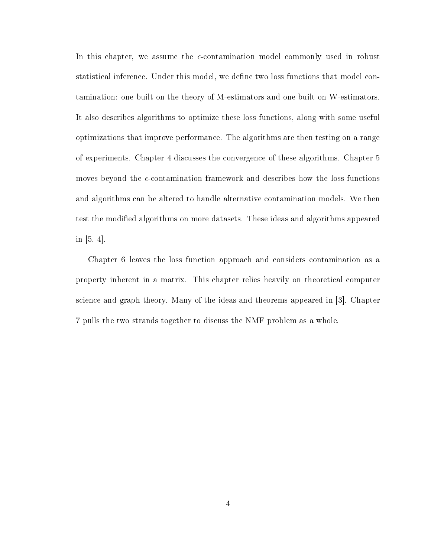In this chapter, we assume the  $\epsilon$ -contamination model commonly used in robust statistical inference. Under this model, we define two loss functions that model contamination: one built on the theory of M-estimators and one built on W-estimators. It also describes algorithms to optimize these loss functions, along with some useful optimizations that improve performance. The algorithms are then testing on a range of experiments. Chapter 4 discusses the convergence of these algorithms. Chapter 5 moves beyond the  $\epsilon$ -contamination framework and describes how the loss functions and algorithms can be altered to handle alternative contamination models. We then test the modied algorithms on more datasets. These ideas and algorithms appeared in  $[5, 4]$ .

Chapter 6 leaves the loss function approach and considers contamination as a property inherent in a matrix. This chapter relies heavily on theoretical computer science and graph theory. Many of the ideas and theorems appeared in [3]. Chapter 7 pulls the two strands together to discuss the NMF problem as a whole.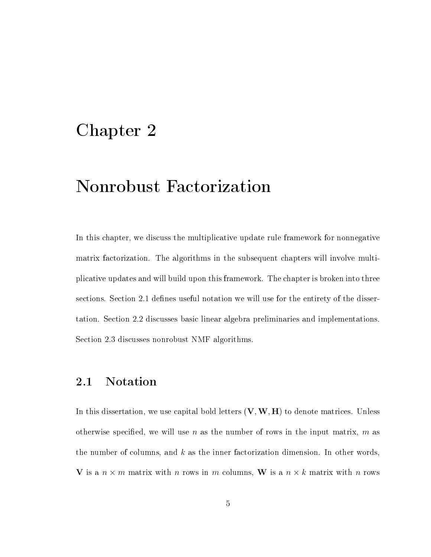## Chapter 2

# Nonrobust Factorization

In this chapter, we discuss the multiplicative update rule framework for nonnegative matrix factorization. The algorithms in the subsequent chapters will involve multiplicative updates and will build upon this framework. The chapter is broken into three sections. Section 2.1 defines useful notation we will use for the entirety of the dissertation. Section 2.2 discusses basic linear algebra preliminaries and implementations. Section 2.3 discusses nonrobust NMF algorithms.

## 2.1 Notation

In this dissertation, we use capital bold letters  $(V, W, H)$  to denote matrices. Unless otherwise specified, we will use n as the number of rows in the input matrix,  $m$  as the number of columns, and  $k$  as the inner factorization dimension. In other words, V is a  $n \times m$  matrix with n rows in m columns, W is a  $n \times k$  matrix with n rows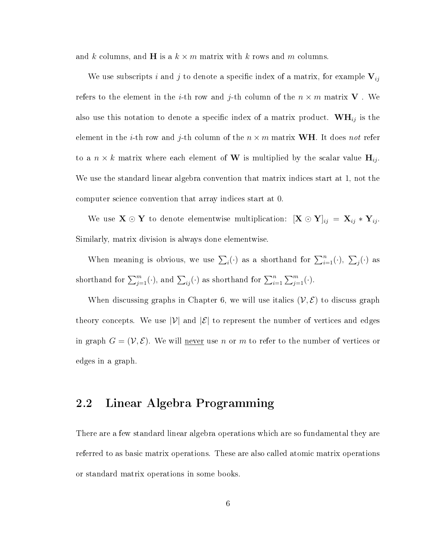and k columns, and **H** is a  $k \times m$  matrix with k rows and m columns.

We use subscripts i and j to denote a specific index of a matrix, for example  $V_{ij}$ refers to the element in the *i*-th row and *j*-th column of the  $n \times m$  matrix **V**. We also use this notation to denote a specific index of a matrix product.  $\mathbf{WH}_{ij}$  is the element in the *i*-th row and *j*-th column of the  $n \times m$  matrix **WH**. It does not refer to a  $n \times k$  matrix where each element of W is multiplied by the scalar value  $H_{ij}$ . We use the standard linear algebra convention that matrix indices start at 1, not the computer science convention that array indices start at 0.

We use  $X \odot Y$  to denote elementwise multiplication:  $[X \odot Y]_{ij} = X_{ij} * Y_{ij}$ . Similarly, matrix division is always done elementwise.

When meaning is obvious, we use  $\sum_i(\cdot)$  as a shorthand for  $\sum_{i=1}^n(\cdot)$ ,  $\sum_j(\cdot)$  as shorthand for  $\sum_{j=1}^m(\cdot)$ , and  $\sum_{ij}(\cdot)$  as shorthand for  $\sum_{i=1}^n \sum_{j=1}^m(\cdot)$ .

When discussing graphs in Chapter 6, we will use italics  $(\mathcal{V}, \mathcal{E})$  to discuss graph theory concepts. We use  $|\mathcal{V}|$  and  $|\mathcal{E}|$  to represent the number of vertices and edges in graph  $G = (\mathcal{V}, \mathcal{E})$ . We will <u>never</u> use n or m to refer to the number of vertices or edges in a graph.

## 2.2 Linear Algebra Programming

There are a few standard linear algebra operations which are so fundamental they are referred to as basic matrix operations. These are also called atomic matrix operations or standard matrix operations in some books.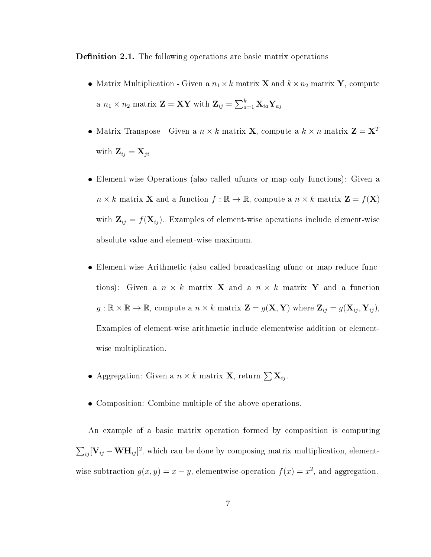**Definition 2.1.** The following operations are basic matrix operations

- Matrix Multiplication Given a  $n_1 \times k$  matrix **X** and  $k \times n_2$  matrix **Y**, compute a  $n_1 \times n_2$  matrix  $\mathbf{Z} = \mathbf{X} \mathbf{Y}$  with  $\mathbf{Z}_{ij} = \sum_{a=1}^k \mathbf{X}_{ia} \mathbf{Y}_{aj}$
- Matrix Transpose Given a  $n \times k$  matrix **X**, compute a  $k \times n$  matrix **Z** = **X**<sup>*T*</sup> with  $\mathbf{Z}_{ij} = \mathbf{X}_{ji}$
- Element-wise Operations (also called ufuncs or map-only functions): Given a  $n \times k$  matrix **X** and a function  $f : \mathbb{R} \to \mathbb{R}$ , compute a  $n \times k$  matrix  $\mathbf{Z} = f(\mathbf{X})$ with  $\mathbf{Z}_{ij} = f(\mathbf{X}_{ij})$ . Examples of element-wise operations include element-wise absolute value and element-wise maximum.
- Element-wise Arithmetic (also called broadcasting ufunc or map-reduce functions): Given a  $n \times k$  matrix **X** and a  $n \times k$  matrix **Y** and a function  $g: \mathbb{R} \times \mathbb{R} \to \mathbb{R}$ , compute a  $n \times k$  matrix  $\mathbf{Z} = g(\mathbf{X}, \mathbf{Y})$  where  $\mathbf{Z}_{ij} = g(\mathbf{X}_{ij}, \mathbf{Y}_{ij})$ , Examples of element-wise arithmetic include elementwise addition or elementwise multiplication.
- Aggregation: Given a  $n \times k$  matrix **X**, return  $\sum \mathbf{X}_{ij}$ .
- Composition: Combine multiple of the above operations.

An example of a basic matrix operation formed by composition is computing  $\sum_{ij} [\mathbf{V}_{ij} - \mathbf{W} \mathbf{H}_{ij}]^2$ , which can be done by composing matrix multiplication, elementwise subtraction  $g(x, y) = x - y$ , elementwise-operation  $f(x) = x^2$ , and aggregation.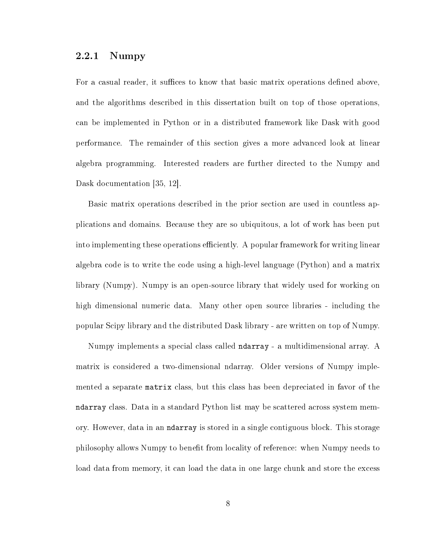#### 2.2.1 Numpy

For a casual reader, it suffices to know that basic matrix operations defined above, and the algorithms described in this dissertation built on top of those operations, can be implemented in Python or in a distributed framework like Dask with good performance. The remainder of this section gives a more advanced look at linear algebra programming. Interested readers are further directed to the Numpy and Dask documentation [35, 12].

Basic matrix operations described in the prior section are used in countless applications and domains. Because they are so ubiquitous, a lot of work has been put into implementing these operations efficiently. A popular framework for writing linear algebra code is to write the code using a high-level language (Python) and a matrix library (Numpy). Numpy is an open-source library that widely used for working on high dimensional numeric data. Many other open source libraries - including the popular Scipy library and the distributed Dask library - are written on top of Numpy.

Numpy implements a special class called ndarray - a multidimensional array. A matrix is considered a two-dimensional ndarray. Older versions of Numpy implemented a separate matrix class, but this class has been depreciated in favor of the ndarray class. Data in a standard Python list may be scattered across system memory. However, data in an ndarray is stored in a single contiguous block. This storage philosophy allows Numpy to benefit from locality of reference: when Numpy needs to load data from memory, it can load the data in one large chunk and store the excess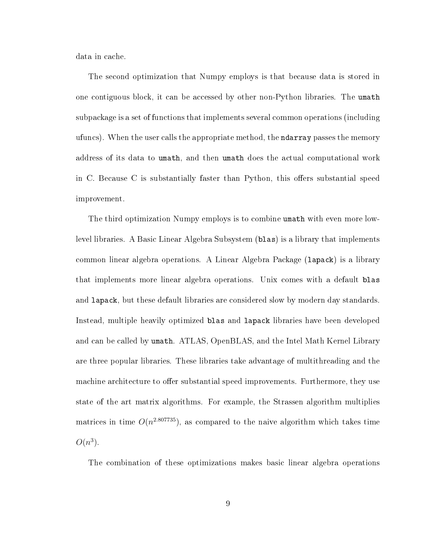data in cache.

The second optimization that Numpy employs is that because data is stored in one contiguous block, it can be accessed by other non-Python libraries. The umath subpackage is a set of functions that implements several common operations (including ufuncs). When the user calls the appropriate method, the ndarray passes the memory address of its data to umath, and then umath does the actual computational work in C. Because C is substantially faster than Python, this offers substantial speed improvement.

The third optimization Numpy employs is to combine umath with even more lowlevel libraries. A Basic Linear Algebra Subsystem (blas) is a library that implements common linear algebra operations. A Linear Algebra Package (lapack) is a library that implements more linear algebra operations. Unix comes with a default blas and lapack, but these default libraries are considered slow by modern day standards. Instead, multiple heavily optimized blas and lapack libraries have been developed and can be called by umath. ATLAS, OpenBLAS, and the Intel Math Kernel Library are three popular libraries. These libraries take advantage of multithreading and the machine architecture to offer substantial speed improvements. Furthermore, they use state of the art matrix algorithms. For example, the Strassen algorithm multiplies matrices in time  $O(n^{2.807735})$ , as compared to the naive algorithm which takes time  $O(n^3)$ .

The combination of these optimizations makes basic linear algebra operations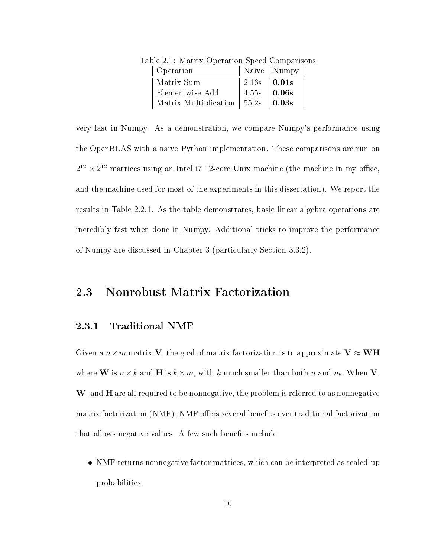| Operation             |       | Naive   Numpy |
|-----------------------|-------|---------------|
| Matrix Sum            | 2.16s | $\vert$ 0.01s |
| Elementwise Add       | 4.55s | 0.06s         |
| Matrix Multiplication | 55.2s | 0.03s         |

Table 2.1: Matrix Operation Speed Comparisons

very fast in Numpy. As a demonstration, we compare Numpy's performance using the OpenBLAS with a naive Python implementation. These comparisons are run on  $2^{12} \times 2^{12}$  matrices using an Intel i7 12-core Unix machine (the machine in my office, and the machine used for most of the experiments in this dissertation). We report the results in Table 2.2.1. As the table demonstrates, basic linear algebra operations are incredibly fast when done in Numpy. Additional tricks to improve the performance of Numpy are discussed in Chapter 3 (particularly Section 3.3.2).

### 2.3 Nonrobust Matrix Factorization

#### 2.3.1 Traditional NMF

Given a  $n \times m$  matrix V, the goal of matrix factorization is to approximate  $V \approx WH$ where **W** is  $n \times k$  and **H** is  $k \times m$ , with k much smaller than both n and m. When **V**,  $\mathbf W$ , and  $\mathbf H$  are all required to be nonnegative, the problem is referred to as nonnegative matrix factorization (NMF). NMF offers several benefits over traditional factorization that allows negative values. A few such benefits include:

 NMF returns nonnegative factor matrices, which can be interpreted as scaled-up probabilities.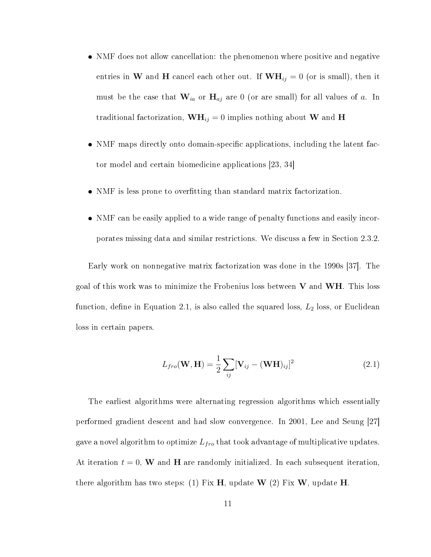- NMF does not allow cancellation: the phenomenon where positive and negative entries in W and H cancel each other out. If  $WH_{ij} = 0$  (or is small), then it must be the case that  $\mathbf{W}_{ia}$  or  $\mathbf{H}_{aj}$  are 0 (or are small) for all values of a. In traditional factorization,  $\mathbf{WH}_{ij} = 0$  implies nothing about W and H
- NMF maps directly onto domain-specific applications, including the latent factor model and certain biomedicine applications [23, 34]
- NMF is less prone to overfitting than standard matrix factorization.
- NMF can be easily applied to a wide range of penalty functions and easily incorporates missing data and similar restrictions. We discuss a few in Section 2.3.2.

Early work on nonnegative matrix factorization was done in the 1990s [37]. The goal of this work was to minimize the Frobenius loss between  $V$  and  $WH$ . This loss function, define in Equation 2.1, is also called the squared loss,  $L_2$  loss, or Euclidean loss in certain papers.

$$
L_{fro}(\mathbf{W}, \mathbf{H}) = \frac{1}{2} \sum_{ij} [\mathbf{V}_{ij} - (\mathbf{W} \mathbf{H})_{ij}]^2
$$
 (2.1)

The earliest algorithms were alternating regression algorithms which essentially performed gradient descent and had slow convergence. In 2001, Lee and Seung [27] gave a novel algorithm to optimize  $L_{fro}$  that took advantage of multiplicative updates. At iteration  $t = 0$ , W and H are randomly initialized. In each subsequent iteration, there algorithm has two steps: (1) Fix H, update W (2) Fix W, update H.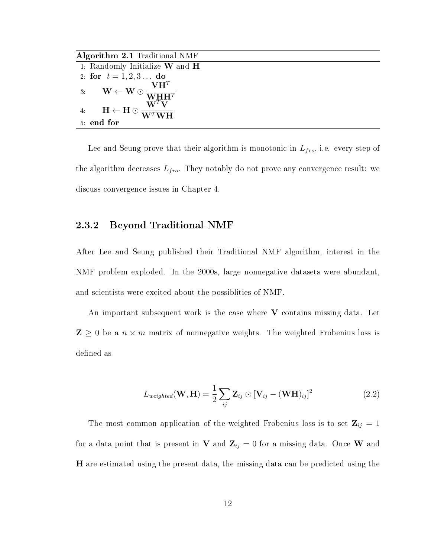Algorithm 2.1 Traditional NMF

|    | 1: Randomly Initialize $W$ and $H$                                                                                                 |
|----|------------------------------------------------------------------------------------------------------------------------------------|
|    | 2: for $t = 1, 2, 3$ do                                                                                                            |
| 3. | $VH^{T}$<br>$\mathbf{W} \leftarrow \mathbf{W} \odot \frac{\mathbf{W} \mathbf{H} \mathbf{H}^T}{\mathbf{W} \mathbf{H} \mathbf{H}^T}$ |
| 4. | $\mathbf{H} \leftarrow \mathbf{H} \odot \frac{\mathbf{H}}{\mathbf{W}^T \mathbf{W} \mathbf{H}}$                                     |
|    | 5 end for                                                                                                                          |

Lee and Seung prove that their algorithm is monotonic in  $L_{fro}$ , i.e. every step of the algorithm decreases  $L_{fro}$ . They notably do not prove any convergence result: we discuss convergence issues in Chapter 4.

#### 2.3.2 Beyond Traditional NMF

After Lee and Seung published their Traditional NMF algorithm, interest in the NMF problem exploded. In the 2000s, large nonnegative datasets were abundant, and scientists were excited about the possiblities of NMF.

An important subsequent work is the case where  $V$  contains missing data. Let  $\mathbf{Z} \geq 0$  be a  $n \times m$  matrix of nonnegative weights. The weighted Frobenius loss is defined as

$$
L_{weighted}(\mathbf{W}, \mathbf{H}) = \frac{1}{2} \sum_{ij} \mathbf{Z}_{ij} \odot [\mathbf{V}_{ij} - (\mathbf{W} \mathbf{H})_{ij}]^{2}
$$
(2.2)

The most common application of the weighted Frobenius loss is to set  $\mathbf{Z}_{ij} = 1$ for a data point that is present in V and  $\mathbf{Z}_{ij} = 0$  for a missing data. Once W and H are estimated using the present data, the missing data can be predicted using the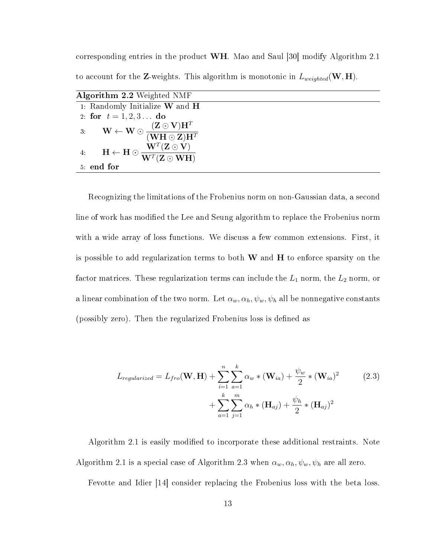corresponding entries in the product WH. Mao and Saul [30] modify Algorithm 2.1 to account for the **Z**-weights. This algorithm is monotonic in  $L_{weighted}(\mathbf{W}, \mathbf{H})$ .

| <b>Algorithm 2.2</b> Weighted NMF                                                                                                                              |  |  |  |
|----------------------------------------------------------------------------------------------------------------------------------------------------------------|--|--|--|
| 1: Randomly Initialize $W$ and $H$                                                                                                                             |  |  |  |
| 2: for $t = 1, 2, 3$ do                                                                                                                                        |  |  |  |
| $3: \qquad \mathbf{W} \leftarrow \mathbf{W} \odot \frac{(\mathbf{Z} \odot \mathbf{V})\mathbf{H}^T}{(\mathbf{W}\mathbf{H} \odot \mathbf{Z})\mathbf{H}^T}$       |  |  |  |
| 4: $\mathbf{H} \leftarrow \mathbf{H} \odot \frac{\mathbf{\hat{W}}^T(\mathbf{Z} \odot \mathbf{\hat{V}})}{\mathbf{W}^T(\mathbf{Z} \odot \mathbf{W} \mathbf{H})}$ |  |  |  |
| 5 end for                                                                                                                                                      |  |  |  |

Recognizing the limitations of the Frobenius norm on non-Gaussian data, a second line of work has modified the Lee and Seung algorithm to replace the Frobenius norm with a wide array of loss functions. We discuss a few common extensions. First, it is possible to add regularization terms to both  $W$  and  $H$  to enforce sparsity on the factor matrices. These regularization terms can include the  $L_1$  norm, the  $L_2$  norm, or a linear combination of the two norm. Let  $\alpha_w, \alpha_h, \psi_w, \psi_h$  all be nonnegative constants (possibly zero). Then the regularized Frobenius loss is defined as

$$
L_{regularized} = L_{fro}(\mathbf{W}, \mathbf{H}) + \sum_{i=1}^{n} \sum_{a=1}^{k} \alpha_w * (\mathbf{W}_{ia}) + \frac{\psi_w}{2} * (\mathbf{W}_{ia})^2
$$
  
+ 
$$
\sum_{a=1}^{k} \sum_{j=1}^{m} \alpha_h * (\mathbf{H}_{aj}) + \frac{\psi_h}{2} * (\mathbf{H}_{aj})^2
$$
 (2.3)

Algorithm 2.1 is easily modified to incorporate these additional restraints. Note Algorithm 2.1 is a special case of Algorithm 2.3 when  $\alpha_w, \alpha_h, \psi_w, \psi_h$  are all zero.

Fevotte and Idier [14] consider replacing the Frobenius loss with the beta loss.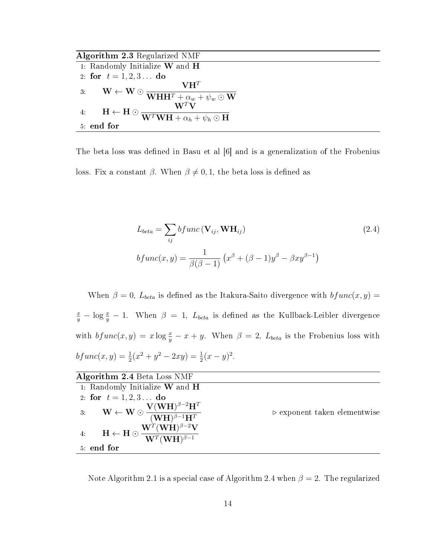Algorithm 2.3 Regularized NMF

| 1: Randomly Initialize $W$ and $H$                                                                                                                                                                     |
|--------------------------------------------------------------------------------------------------------------------------------------------------------------------------------------------------------|
| 2. for $t = 1, 2, 3$ do                                                                                                                                                                                |
| $VH^{T}$                                                                                                                                                                                               |
| 3: $\mathbf{W} \leftarrow \mathbf{W} \odot \frac{\mathbf{W}}{\mathbf{W} \mathbf{H} \mathbf{H}^T + \underline{\alpha}_w + \psi_w \odot \mathbf{W}}$                                                     |
| $\mathbf{W}^T\mathbf{V}$                                                                                                                                                                               |
| $\mathbf{H} \leftarrow \mathbf{H} \odot \frac{\mathbf{W}^T \mathbf{W} \mathbf{H} + \alpha_h + \psi_h \odot \mathbf{H}}{\mathbf{W}^T \mathbf{W} \mathbf{H} + \alpha_h + \psi_h \odot \mathbf{H}}$<br>4. |
| 5 end for                                                                                                                                                                                              |

The beta loss was defined in Basu et al |6| and is a generalization of the Frobenius loss. Fix a constant  $\beta$ . When  $\beta \neq 0, 1$ , the beta loss is defined as

$$
L_{beta} = \sum_{ij} bfunc(\mathbf{V}_{ij}, \mathbf{WH}_{ij})
$$
\n
$$
bfunc(x, y) = \frac{1}{\beta(\beta - 1)} (x^{\beta} + (\beta - 1)y^{\beta} - \beta xy^{\beta - 1})
$$
\n(2.4)

When  $\beta = 0$ ,  $L_{beta}$  is defined as the Itakura-Saito divergence with  $bf{u}nc(x, y)$  =  $\frac{x}{y} - \log \frac{x}{y} - 1$ . When  $\beta = 1$ ,  $L_{beta}$  is defined as the Kullback-Leibler divergence with  $bf(}x,y) = x \log \frac{x}{y} - x + y$ . When  $\beta = 2$ ,  $L_{beta}$  is the Frobenius loss with  $bfunc(x, y) = \frac{1}{2}(x^2 + y^2 - 2xy) = \frac{1}{2}(x - y)^2.$ 

| Algorithm 2.4 Beta Loss NMF                                                                                                                             |                                             |
|---------------------------------------------------------------------------------------------------------------------------------------------------------|---------------------------------------------|
| 1. Randomly Initialize $W$ and $H$                                                                                                                      |                                             |
| 2 for $t = 1, 2, 3$ do                                                                                                                                  |                                             |
| 3: $\mathbf{W} \leftarrow \mathbf{W} \odot \frac{\mathbf{V}(\mathbf{W}\mathbf{H})^{\beta-2}\mathbf{H}^T}{(\mathbf{W}\mathbf{H})^{\beta-1}\mathbf{H}^T}$ | $\triangleright$ exponent taken elementwise |
| 4: $\mathbf{H} \leftarrow \mathbf{H} \odot \frac{\mathbf{W}^T(\mathbf{W}\mathbf{H})^{\beta-2}\mathbf{V}}{\mathbf{W}^T(\mathbf{W}\mathbf{H})^{\beta-1}}$ |                                             |
| 5 end for                                                                                                                                               |                                             |

Note Algorithm 2.1 is a special case of Algorithm 2.4 when  $\beta = 2$ . The regularized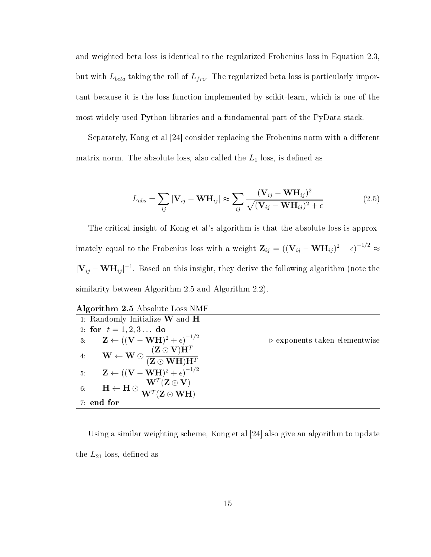and weighted beta loss is identical to the regularized Frobenius loss in Equation 2.3, but with  $L_{beta}$  taking the roll of  $L_{fro}$ . The regularized beta loss is particularly important because it is the loss function implemented by scikit-learn, which is one of the most widely used Python libraries and a fundamental part of the PyData stack.

Separately, Kong et al [24] consider replacing the Frobenius norm with a different matrix norm. The absolute loss, also called the  $L_1$  loss, is defined as

$$
L_{abs} = \sum_{ij} |\mathbf{V}_{ij} - \mathbf{W} \mathbf{H}_{ij}| \approx \sum_{ij} \frac{(\mathbf{V}_{ij} - \mathbf{W} \mathbf{H}_{ij})^2}{\sqrt{(\mathbf{V}_{ij} - \mathbf{W} \mathbf{H}_{ij})^2 + \epsilon}}
$$
(2.5)

The critical insight of Kong et al's algorithm is that the absolute loss is approximately equal to the Frobenius loss with a weight  $\mathbf{Z}_{ij} = ((\mathbf{V}_{ij} - \mathbf{W} \mathbf{H}_{ij})^2 + \epsilon)^{-1/2} \approx$  $|\mathbf{V}_{ij} - \mathbf{W} \mathbf{H}_{ij}|^{-1}$ . Based on this insight, they derive the following algorithm (note the similarity between Algorithm 2.5 and Algorithm 2.2).

| <b>Algorithm 2.5</b> Absolute Loss NMF                                                                                                                                                                                                      |                                              |
|---------------------------------------------------------------------------------------------------------------------------------------------------------------------------------------------------------------------------------------------|----------------------------------------------|
| 1: Randomly Initialize $W$ and $H$                                                                                                                                                                                                          |                                              |
| 2 for $t = 1, 2, 3$ do                                                                                                                                                                                                                      |                                              |
| 3: $\mathbf{Z} \leftarrow ((\mathbf{V} - \mathbf{W} \mathbf{H})^2 + \epsilon)^{-1/2}$                                                                                                                                                       | $\triangleright$ exponents taken elementwise |
| 4: $\mathbf{W} \leftarrow \mathbf{W} \odot \frac{(\mathbf{Z} \odot \mathbf{V})\mathbf{H}^T}{(\mathbf{Z} \odot \mathbf{W} \mathbf{H})\mathbf{H}^T}$<br>5: $\mathbf{Z} \leftarrow ((\mathbf{V} - \mathbf{W} \mathbf{H})^2 + \epsilon)^{-1/2}$ |                                              |
|                                                                                                                                                                                                                                             |                                              |
| 6: $\mathbf{H} \leftarrow \mathbf{H} \odot \frac{\mathbf{W}^T (\mathbf{Z} \odot \mathbf{V})}{\mathbf{W}^T (\mathbf{Z} \odot \mathbf{W} \mathbf{H})}$                                                                                        |                                              |
| 7 end for                                                                                                                                                                                                                                   |                                              |

Using a similar weighting scheme, Kong et al [24] also give an algorithm to update the  $L_{21}$  loss, defined as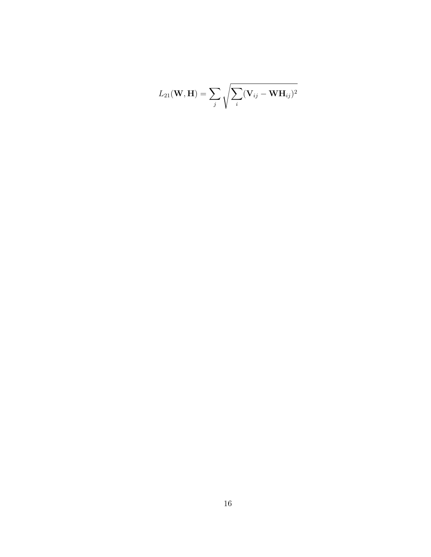$$
L_{21}(\mathbf{W},\mathbf{H})=\sum_j\sqrt{\sum_i(\mathbf{V}_{ij}-\mathbf{W}\mathbf{H}_{ij})^2}
$$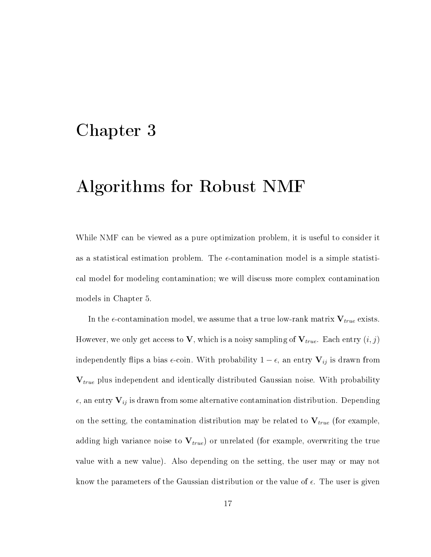## Chapter 3

# Algorithms for Robust NMF

While NMF can be viewed as a pure optimization problem, it is useful to consider it as a statistical estimation problem. The  $\epsilon$ -contamination model is a simple statistical model for modeling contamination; we will discuss more complex contamination models in Chapter 5.

In the  $\epsilon$ -contamination model, we assume that a true low-rank matrix  $V_{true}$  exists. However, we only get access to V, which is a noisy sampling of  $V_{true}$ . Each entry  $(i, j)$ independently flips a bias  $\epsilon$ -coin. With probability  $1 - \epsilon$ , an entry  $V_{ij}$  is drawn from  $V_{true}$  plus independent and identically distributed Gaussian noise. With probability  $\epsilon$ , an entry  $V_{ij}$  is drawn from some alternative contamination distribution. Depending on the setting, the contamination distribution may be related to  $V_{true}$  (for example, adding high variance noise to  $\mathbf{V}_{true}$ ) or unrelated (for example, overwriting the true value with a new value). Also depending on the setting, the user may or may not know the parameters of the Gaussian distribution or the value of  $\epsilon$ . The user is given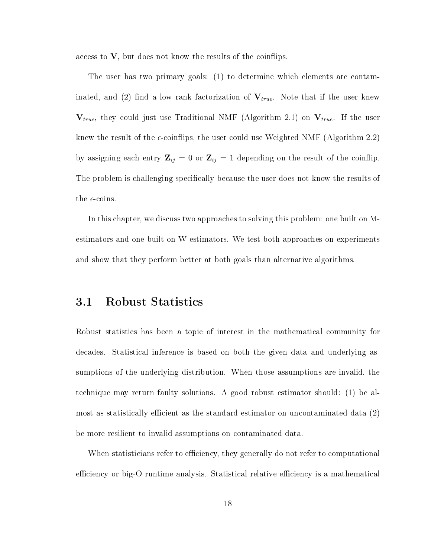access to  $V$ , but does not know the results of the coinflips.

The user has two primary goals: (1) to determine which elements are contaminated, and (2) find a low rank factorization of  $V_{true}$ . Note that if the user knew  $V_{true}$ , they could just use Traditional NMF (Algorithm 2.1) on  $V_{true}$ . If the user knew the result of the  $\epsilon$ -coinflips, the user could use Weighted NMF (Algorithm 2.2) by assigning each entry  $\mathbf{Z}_{ij} = 0$  or  $\mathbf{Z}_{ij} = 1$  depending on the result of the coinflip. The problem is challenging specifically because the user does not know the results of the  $\epsilon$ -coins.

In this chapter, we discuss two approaches to solving this problem: one built on Mestimators and one built on W-estimators. We test both approaches on experiments and show that they perform better at both goals than alternative algorithms.

#### 3.1 Robust Statistics

Robust statistics has been a topic of interest in the mathematical community for decades. Statistical inference is based on both the given data and underlying assumptions of the underlying distribution. When those assumptions are invalid, the technique may return faulty solutions. A good robust estimator should: (1) be almost as statistically efficient as the standard estimator on uncontaminated data  $(2)$ be more resilient to invalid assumptions on contaminated data.

When statisticians refer to efficiency, they generally do not refer to computational efficiency or big-O runtime analysis. Statistical relative efficiency is a mathematical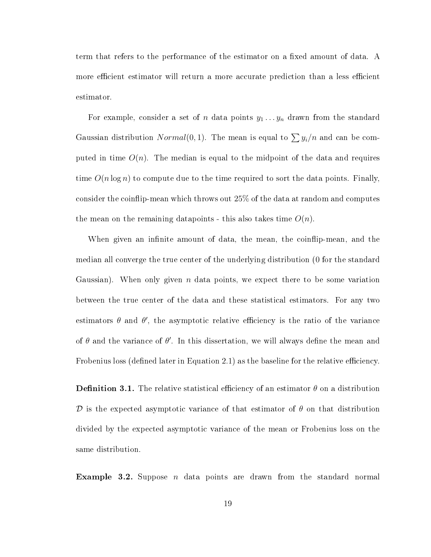term that refers to the performance of the estimator on a fixed amount of data. A more efficient estimator will return a more accurate prediction than a less efficient estimator.

For example, consider a set of n data points  $y_1 \ldots y_n$  drawn from the standard Gaussian distribution  $Normal(0, 1)$ . The mean is equal to  $\sum y_i/n$  and can be computed in time  $O(n)$ . The median is equal to the midpoint of the data and requires time  $O(n \log n)$  to compute due to the time required to sort the data points. Finally, consider the coinflip-mean which throws out 25% of the data at random and computes the mean on the remaining datapoints - this also takes time  $O(n)$ .

When given an infinite amount of data, the mean, the coinflip-mean, and the median all converge the true center of the underlying distribution (0 for the standard Gaussian). When only given n data points, we expect there to be some variation between the true center of the data and these statistical estimators. For any two estimators  $\theta$  and  $\theta'$ , the asymptotic relative efficiency is the ratio of the variance of  $\theta$  and the variance of  $\theta'$ . In this dissertation, we will always define the mean and Frobenius loss (defined later in Equation 2.1) as the baseline for the relative efficiency.

**Definition 3.1.** The relative statistical efficiency of an estimator  $\theta$  on a distribution D is the expected asymptotic variance of that estimator of  $\theta$  on that distribution divided by the expected asymptotic variance of the mean or Frobenius loss on the same distribution.

**Example 3.2.** Suppose *n* data points are drawn from the standard normal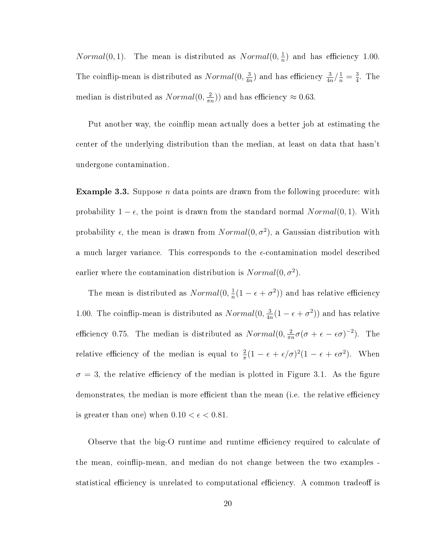*Normal*(0,1). The mean is distributed as  $Normal(0, \frac{1}{n})$  $\frac{1}{n}$ ) and has efficiency 1.00. The coinflip-mean is distributed as  $Normal(0, \frac{3}{4}, \frac{3}{4})$  $\frac{3}{4n}$ ) and has efficiency  $\frac{3}{4n}/\frac{1}{n} = \frac{3}{4}$  $\frac{3}{4}$ . The median is distributed as  $Normal(0, \frac{2}{\pi n})$  $(\frac{2}{\pi n})$  and has efficiency  $\approx 0.63$ .

Put another way, the coinflip mean actually does a better job at estimating the center of the underlying distribution than the median, at least on data that hasn't undergone contamination.

**Example 3.3.** Suppose *n* data points are drawn from the following procedure: with probability  $1 - \epsilon$ , the point is drawn from the standard normal  $Normal(0, 1)$ . With probability  $\epsilon$ , the mean is drawn from  $Normal(0, \sigma^2)$ , a Gaussian distribution with a much larger variance. This corresponds to the  $\epsilon$ -contamination model described earlier where the contamination distribution is  $Normal(0, \sigma^2)$ .

The mean is distributed as  $Normal(0, \frac{1}{n})$  $\frac{1}{n}(1 - \epsilon + \sigma^2)$  and has relative efficiency 1.00. The coinflip-mean is distributed as  $Normal(0, \frac{3}{4}, \frac{3}{4})$  $\frac{3}{4n}(1-\epsilon+\sigma^2))$  and has relative efficiency 0.75. The median is distributed as  $Normal(0, \frac{2}{\pi i})$  $\frac{2}{\pi n}\sigma(\sigma + \epsilon - \epsilon \sigma)^{-2}$ ). The relative efficiency of the median is equal to  $\frac{2}{\pi}(1 - \epsilon + \epsilon/\sigma)^2(1 - \epsilon + \epsilon \sigma^2)$ . When  $\sigma = 3$ , the relative efficiency of the median is plotted in Figure 3.1. As the figure demonstrates, the median is more efficient than the mean (i.e. the relative efficiency is greater than one) when  $0.10 < \epsilon < 0.81$ .

Observe that the big-O runtime and runtime efficiency required to calculate of the mean, coinflip-mean, and median do not change between the two examples statistical efficiency is unrelated to computational efficiency. A common tradeoff is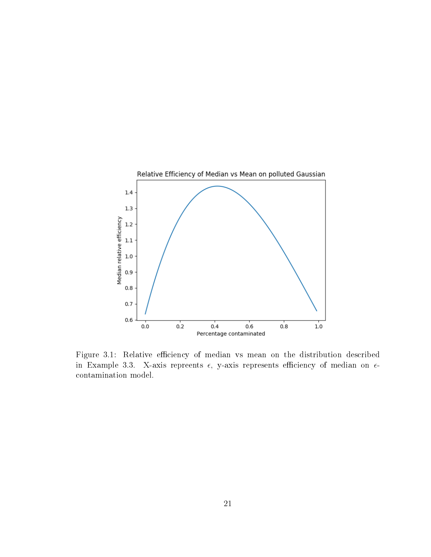

Figure 3.1: Relative efficiency of median vs mean on the distribution described in Example 3.3. X-axis repreents  $\epsilon$ , y-axis represents efficiency of median on  $\epsilon$ contamination model.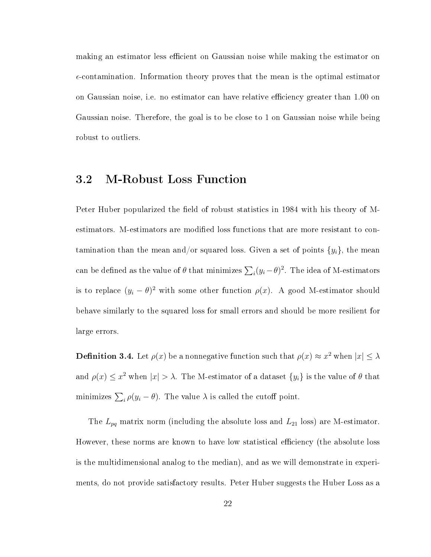making an estimator less efficient on Gaussian noise while making the estimator on  $\epsilon$ -contamination. Information theory proves that the mean is the optimal estimator on Gaussian noise, i.e. no estimator can have relative efficiency greater than 1.00 on Gaussian noise. Therefore, the goal is to be close to 1 on Gaussian noise while being robust to outliers.

## 3.2 M-Robust Loss Function

Peter Huber popularized the field of robust statistics in 1984 with his theory of Mestimators. M-estimators are modified loss functions that are more resistant to contamination than the mean and/or squared loss. Given a set of points  $\{y_i\}$ , the mean can be defined as the value of  $\theta$  that minimizes  $\sum_i (y_i - \theta)^2$ . The idea of M-estimators is to replace  $(y_i - \theta)^2$  with some other function  $\rho(x)$ . A good M-estimator should behave similarly to the squared loss for small errors and should be more resilient for large errors.

**Definition 3.4.** Let  $\rho(x)$  be a nonnegative function such that  $\rho(x) \approx x^2$  when  $|x| \leq \lambda$ and  $\rho(x) \leq x^2$  when  $|x| > \lambda$ . The M-estimator of a dataset  $\{y_i\}$  is the value of  $\theta$  that minimizes  $\sum_i \rho(y_i - \theta)$ . The value  $\lambda$  is called the cutoff point.

The  $L_{pq}$  matrix norm (including the absolute loss and  $L_{21}$  loss) are M-estimator. However, these norms are known to have low statistical efficiency (the absolute loss is the multidimensional analog to the median), and as we will demonstrate in experiments, do not provide satisfactory results. Peter Huber suggests the Huber Loss as a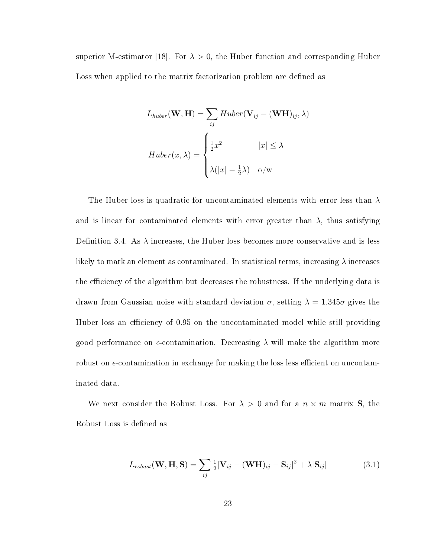superior M-estimator [18]. For  $\lambda > 0$ , the Huber function and corresponding Huber Loss when applied to the matrix factorization problem are defined as

$$
L_{huber}(\mathbf{W}, \mathbf{H}) = \sum_{ij} Huber(\mathbf{V}_{ij} - (\mathbf{W}\mathbf{H})_{ij}, \lambda)
$$

$$
Huber(x, \lambda) = \begin{cases} \frac{1}{2}x^2 & |x| \le \lambda \\ \lambda(|x| - \frac{1}{2}\lambda) & \text{o/w} \end{cases}
$$

The Huber loss is quadratic for uncontaminated elements with error less than  $\lambda$ and is linear for contaminated elements with error greater than  $\lambda$ , thus satisfying Definition 3.4. As  $\lambda$  increases, the Huber loss becomes more conservative and is less likely to mark an element as contaminated. In statistical terms, increasing  $\lambda$  increases the efficiency of the algorithm but decreases the robustness. If the underlying data is drawn from Gaussian noise with standard deviation  $\sigma$ , setting  $\lambda = 1.345\sigma$  gives the Huber loss an efficiency of 0.95 on the uncontaminated model while still providing good performance on  $\epsilon$ -contamination. Decreasing  $\lambda$  will make the algorithm more robust on  $\epsilon$ -contamination in exchange for making the loss less efficient on uncontaminated data.

We next consider the Robust Loss. For  $\lambda > 0$  and for a  $n \times m$  matrix S, the Robust Loss is defined as

$$
L_{robust}(\mathbf{W}, \mathbf{H}, \mathbf{S}) = \sum_{ij} \frac{1}{2} [\mathbf{V}_{ij} - (\mathbf{W} \mathbf{H})_{ij} - \mathbf{S}_{ij}]^2 + \lambda |\mathbf{S}_{ij}|
$$
(3.1)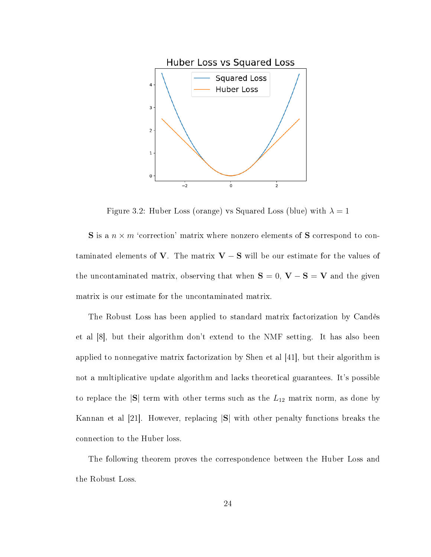

Figure 3.2: Huber Loss (orange) vs Squared Loss (blue) with  $\lambda = 1$ 

**S** is a  $n \times m$  'correction' matrix where nonzero elements of **S** correspond to contaminated elements of V. The matrix  $V - S$  will be our estimate for the values of the uncontaminated matrix, observing that when  $\mathbf{S} = 0$ ,  $\mathbf{V} - \mathbf{S} = \mathbf{V}$  and the given matrix is our estimate for the uncontaminated matrix.

The Robust Loss has been applied to standard matrix factorization by Candès et al [8], but their algorithm don't extend to the NMF setting. It has also been applied to nonnegative matrix factorization by Shen et al [41], but their algorithm is not a multiplicative update algorithm and lacks theoretical guarantees. It's possible to replace the  $|S|$  term with other terms such as the  $L_{12}$  matrix norm, as done by Kannan et al [21]. However, replacing |S| with other penalty functions breaks the connection to the Huber loss.

The following theorem proves the correspondence between the Huber Loss and the Robust Loss.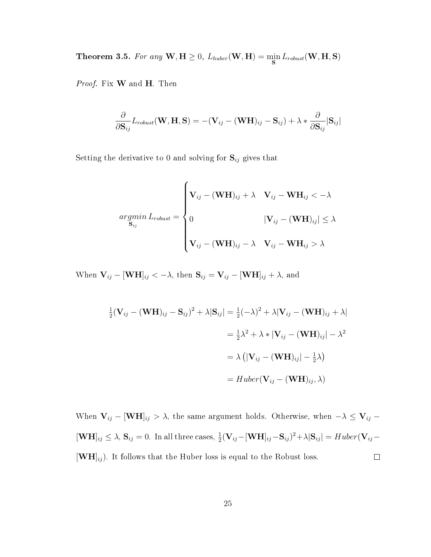Theorem 3.5. For any  $\textbf{W}, \textbf{H} \geq 0$ ,  $L_{huber}(\textbf{W}, \textbf{H}) = \min_{\textbf{S}} L_{robust}(\textbf{W}, \textbf{H}, \textbf{S})$ 

Proof. Fix **W** and **H**. Then

$$
\frac{\partial}{\partial \mathbf{S}_{ij}}L_{robust}(\mathbf{W}, \mathbf{H}, \mathbf{S}) = -(\mathbf{V}_{ij} - (\mathbf{W}\mathbf{H})_{ij} - \mathbf{S}_{ij}) + \lambda * \frac{\partial}{\partial \mathbf{S}_{ij}}|\mathbf{S}_{ij}|
$$

Setting the derivative to 0 and solving for  $S_{ij}$  gives that

$$
argmin_{\mathbf{S}_{ij}} L_{robust} = \begin{cases} \mathbf{V}_{ij} - (\mathbf{W} \mathbf{H})_{ij} + \lambda & \mathbf{V}_{ij} - \mathbf{W} \mathbf{H}_{ij} < -\lambda \\ 0 & |\mathbf{V}_{ij} - (\mathbf{W} \mathbf{H})_{ij}| \leq \lambda \\ \mathbf{V}_{ij} - (\mathbf{W} \mathbf{H})_{ij} - \lambda & \mathbf{V}_{ij} - \mathbf{W} \mathbf{H}_{ij} > \lambda \end{cases}
$$

When  $\mathbf{V}_{ij} - [\mathbf{WH}]_{ij} < -\lambda$ , then  $\mathbf{S}_{ij} = \mathbf{V}_{ij} - [\mathbf{WH}]_{ij} + \lambda$ , and

$$
\frac{1}{2}(\mathbf{V}_{ij} - (\mathbf{W}\mathbf{H})_{ij} - \mathbf{S}_{ij})^2 + \lambda |\mathbf{S}_{ij}| = \frac{1}{2}(-\lambda)^2 + \lambda |\mathbf{V}_{ij} - (\mathbf{W}\mathbf{H})_{ij} + \lambda|
$$

$$
= \frac{1}{2}\lambda^2 + \lambda * |\mathbf{V}_{ij} - (\mathbf{W}\mathbf{H})_{ij}| - \lambda^2
$$

$$
= \lambda (|\mathbf{V}_{ij} - (\mathbf{W}\mathbf{H})_{ij}| - \frac{1}{2}\lambda)
$$

$$
= Huber(\mathbf{V}_{ij} - (\mathbf{W}\mathbf{H})_{ij}, \lambda)
$$

When  $V_{ij} - [WH]_{ij} > \lambda$ , the same argument holds. Otherwise, when  $-\lambda \le V_{ij}$  –  $[\mathbf{WH}]_{ij} \leq \lambda$ ,  $\mathbf{S}_{ij} = 0$ . In all three cases,  $\frac{1}{2}(\mathbf{V}_{ij} - [\mathbf{WH}]_{ij} - \mathbf{S}_{ij})^2 + \lambda |\mathbf{S}_{ij}| = Huber(\mathbf{V}_{ij} - \mathbf{S}_{ij})^2$  $[\mathbf{WH}]_{ij}$ ). It follows that the Huber loss is equal to the Robust loss.  $\Box$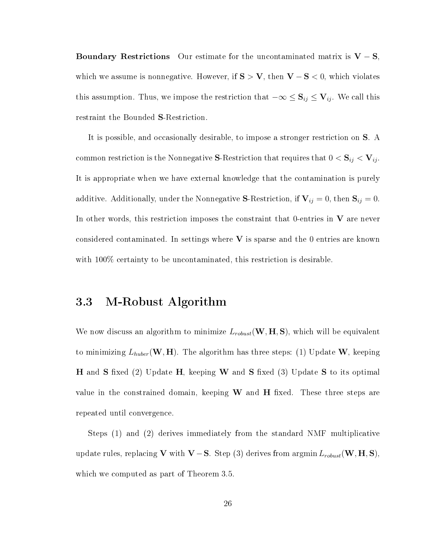Boundary Restrictions Our estimate for the uncontaminated matrix is  $V - S$ , which we assume is nonnegative. However, if  $S > V$ , then  $V - S < 0$ , which violates this assumption. Thus, we impose the restriction that  $-\infty \le S_{ij} \le V_{ij}$ . We call this restraint the Bounded S-Restriction.

It is possible, and occasionally desirable, to impose a stronger restriction on S. A common restriction is the Nonnegative S-Restriction that requires that  $0 < S_{ij} < V_{ij}$ . It is appropriate when we have external knowledge that the contamination is purely additive. Additionally, under the Nonnegative S-Restriction, if  $V_{ij} = 0$ , then  $S_{ij} = 0$ . In other words, this restriction imposes the constraint that 0-entries in  $V$  are never considered contaminated. In settings where  $V$  is sparse and the 0 entries are known with 100% certainty to be uncontaminated, this restriction is desirable.

### 3.3 M-Robust Algorithm

We now discuss an algorithm to minimize  $L_{robust}(\mathbf{W}, \mathbf{H}, \mathbf{S})$ , which will be equivalent to minimizing  $L_{huber}(\mathbf{W}, \mathbf{H})$ . The algorithm has three steps: (1) Update  $\mathbf{W}$ , keeping **H** and **S** fixed (2) Update **H**, keeping **W** and **S** fixed (3) Update **S** to its optimal value in the constrained domain, keeping  $W$  and  $H$  fixed. These three steps are repeated until convergence.

Steps (1) and (2) derives immediately from the standard NMF multiplicative update rules, replacing V with V – S. Step (3) derives from argmin  $L_{robust}$ (W, H, S), which we computed as part of Theorem 3.5.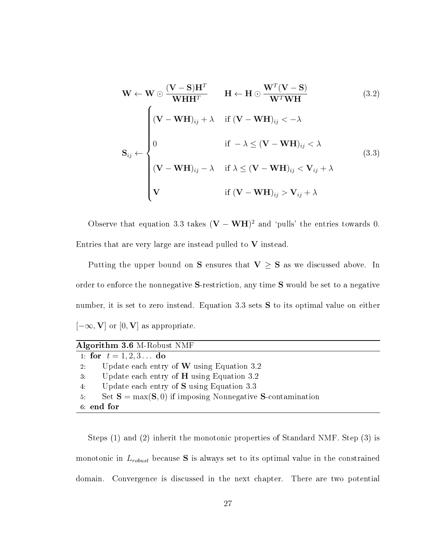$$
\mathbf{W} \leftarrow \mathbf{W} \odot \frac{(\mathbf{V} - \mathbf{S})\mathbf{H}^T}{\mathbf{W}\mathbf{H}\mathbf{H}^T} \qquad \mathbf{H} \leftarrow \mathbf{H} \odot \frac{\mathbf{W}^T(\mathbf{V} - \mathbf{S})}{\mathbf{W}^T \mathbf{W}\mathbf{H}} \tag{3.2}
$$
\n
$$
\mathbf{S}_{ij} \leftarrow \begin{cases}\n(\mathbf{V} - \mathbf{W}\mathbf{H})_{ij} + \lambda & \text{if } (\mathbf{V} - \mathbf{W}\mathbf{H})_{ij} < -\lambda \\
0 & \text{if } -\lambda \le (\mathbf{V} - \mathbf{W}\mathbf{H})_{ij} < \lambda \\
(\mathbf{V} - \mathbf{W}\mathbf{H})_{ij} - \lambda & \text{if } \lambda \le (\mathbf{V} - \mathbf{W}\mathbf{H})_{ij} < \mathbf{V}_{ij} + \lambda\n\end{cases} \tag{3.3}
$$
\n
$$
\mathbf{V} \qquad \text{if } (\mathbf{V} - \mathbf{W}\mathbf{H})_{ij} > \mathbf{V}_{ij} + \lambda
$$

Observe that equation 3.3 takes  $(V - WH)^2$  and 'pulls' the entries towards 0. Entries that are very large are instead pulled to  $V$  instead.

Putting the upper bound on S ensures that  $V \geq S$  as we discussed above. In order to enforce the nonnegative S-restriction, any time S would be set to a negative number, it is set to zero instead. Equation 3.3 sets S to its optimal value on either  $[-\infty, \mathbf{V}]$  or  $[0, \mathbf{V}]$  as appropriate.

| Algorithm 3.6 M-Robust NMF                                        |
|-------------------------------------------------------------------|
| 1: for $t = 1, 2, 3$ do                                           |
| Update each entry of $W$ using Equation 3.2<br>$2^-$              |
| Update each entry of $H$ using Equation 3.2<br>3.                 |
| Update each entry of $S$ using Equation 3.3<br>4:                 |
| Set $S = max(S, 0)$ if imposing Nonnegative S-contamination<br>5. |
| 6 end for                                                         |

Steps (1) and (2) inherit the monotonic properties of Standard NMF. Step (3) is monotonic in  $L_{robust}$  because S is always set to its optimal value in the constrained domain. Convergence is discussed in the next chapter. There are two potential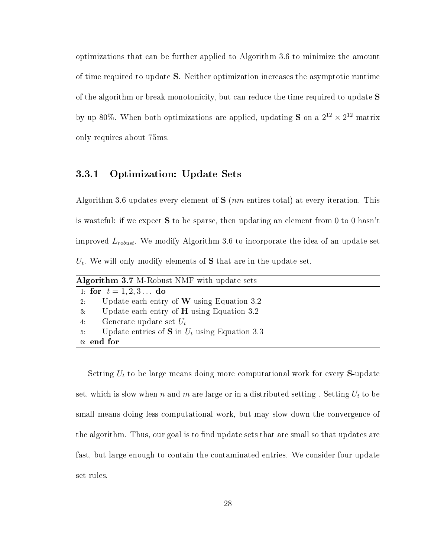optimizations that can be further applied to Algorithm 3.6 to minimize the amount of time required to update S. Neither optimization increases the asymptotic runtime of the algorithm or break monotonicity, but can reduce the time required to update S by up 80%. When both optimizations are applied, updating S on a  $2^{12} \times 2^{12}$  matrix only requires about 75ms.

#### 3.3.1 Optimization: Update Sets

Algorithm 3.6 updates every element of  $S$  (*nm* entires total) at every iteration. This is wasteful: if we expect S to be sparse, then updating an element from 0 to 0 hasn't improved  $L_{robust}$ . We modify Algorithm 3.6 to incorporate the idea of an update set  $U_t$ . We will only modify elements of  $S$  that are in the update set.

Setting  $U_t$  to be large means doing more computational work for every S-update set, which is slow when n and m are large or in a distributed setting. Setting  $U_t$  to be small means doing less computational work, but may slow down the convergence of the algorithm. Thus, our goal is to find update sets that are small so that updates are fast, but large enough to contain the contaminated entries. We consider four update set rules.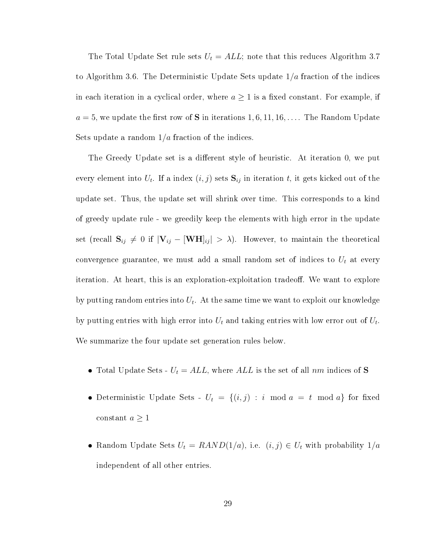The Total Update Set rule sets  $U_t = ALL$ ; note that this reduces Algorithm 3.7 to Algorithm 3.6. The Deterministic Update Sets update  $1/a$  fraction of the indices in each iteration in a cyclical order, where  $a \geq 1$  is a fixed constant. For example, if  $a = 5$ , we update the first row of S in iterations 1, 6, 11, 16, ... The Random Update Sets update a random  $1/a$  fraction of the indices.

The Greedy Update set is a different style of heuristic. At iteration 0, we put every element into  $U_t$ . If a index  $(i, j)$  sets  $\mathbf{S}_{ij}$  in iteration  $t$ , it gets kicked out of the update set. Thus, the update set will shrink over time. This corresponds to a kind of greedy update rule - we greedily keep the elements with high error in the update set (recall  $S_{ij} \neq 0$  if  $|V_{ij} - [WH]_{ij} > \lambda$ ). However, to maintain the theoretical convergence guarantee, we must add a small random set of indices to  $U_t$  at every iteration. At heart, this is an exploration-exploitation tradeoff. We want to explore by putting random entries into  $U_t$ . At the same time we want to exploit our knowledge by putting entries with high error into  $U_t$  and taking entries with low error out of  $U_t$ . We summarize the four update set generation rules below.

- Total Update Sets  $U_t = ALL$ , where  $ALL$  is the set of all nm indices of S
- Deterministic Update Sets  $U_t = \{(i, j) : i \mod a = t \mod a\}$  for fixed constant  $a\geq 1$
- Random Update Sets  $U_t = RAND(1/a)$ , i.e.  $(i, j) \in U_t$  with probability  $1/a$ independent of all other entries.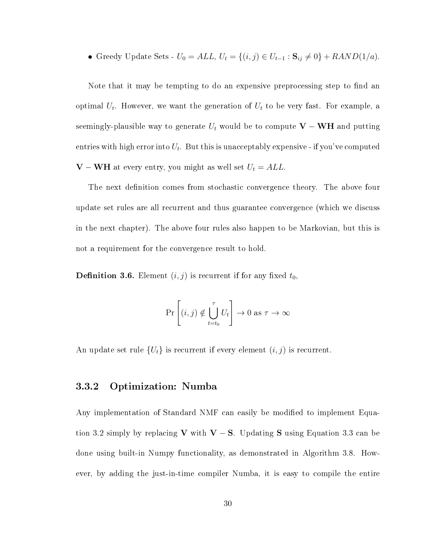Greedy Update Sets -  $U_0 = ALL, U_t = \{(i, j) \in U_{t-1} : \mathbf{S}_{ij} \neq 0\} + RAND(1/a).$ 

Note that it may be tempting to do an expensive preprocessing step to find an optimal  $U_t$ . However, we want the generation of  $U_t$  to be very fast. For example, a seemingly-plausible way to generate  $U_t$  would be to compute  $\mathbf{V} - \mathbf{WH}$  and putting entries with high error into  $U_t.$  But this is unacceptably expensive - if you've computed **V** − **WH** at every entry, you might as well set  $U_t = ALL$ .

The next definition comes from stochastic convergence theory. The above four update set rules are all recurrent and thus guarantee convergence (which we discuss in the next chapter). The above four rules also happen to be Markovian, but this is not a requirement for the convergence result to hold.

**Definition 3.6.** Element  $(i, j)$  is recurrent if for any fixed  $t_0$ ,

$$
\Pr\left[(i,j) \notin \bigcup_{t=t_0}^{\tau} U_t\right] \to 0 \text{ as } \tau \to \infty
$$

An update set rule  $\{U_t\}$  is recurrent if every element  $(i, j)$  is recurrent.

#### 3.3.2 Optimization: Numba

Any implementation of Standard NMF can easily be modified to implement Equation 3.2 simply by replacing V with  $V - S$ . Updating S using Equation 3.3 can be done using built-in Numpy functionality, as demonstrated in Algorithm 3.8. However, by adding the just-in-time compiler Numba, it is easy to compile the entire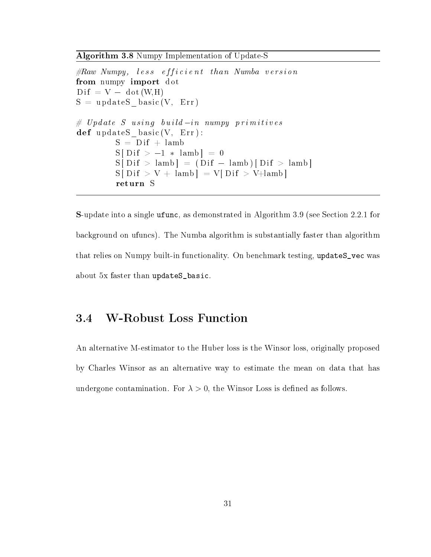Algorithm 3.8 Numpy Implementation of Update-S

```
\# Raw\ Numpy, \;less\; efficient\; than\; Numba\; versionfrom numpy import dot
\mathrm{Dif} = \mathrm{V} - \mathrm{dot}(\mathrm{W}, \mathrm{H})S = updateS_{base}(V, Err)\begin{array}{l} \displaystyle \frac{\textbf{Algorithm 3.8 Numpy Implementation of Update-S}}{\# Raw Numpy, less efficient than Numba versus} \textbf{from numpy import dot} \ \textbf{Dif = V - dot (W, H)} \ \textbf{S = updates\_basic (V, Err)} \ \# \textit{Update S using build-in numpy primitive} s, \end{array}def updateS_basic (V, Err ) :
                 S = Diff + lamb
                 S[Dif > -1 * lamb] = 0S[Dif > lambda] = (Dif - lambda)[Dif > lambda]S[Dif > V + lamb] = V[Dif > V+lamb]return S
```
S-update into a single ufunc, as demonstrated in Algorithm 3.9 (see Section 2.2.1 for background on ufuncs). The Numba algorithm is substantially faster than algorithm that relies on Numpy built-in functionality. On benchmark testing, updateS\_vec was about 5x faster than updateS\_basic.

### 3.4 W-Robust Loss Function

An alternative M-estimator to the Huber loss is the Winsor loss, originally proposed by Charles Winsor as an alternative way to estimate the mean on data that has undergone contamination. For  $\lambda > 0$ , the Winsor Loss is defined as follows.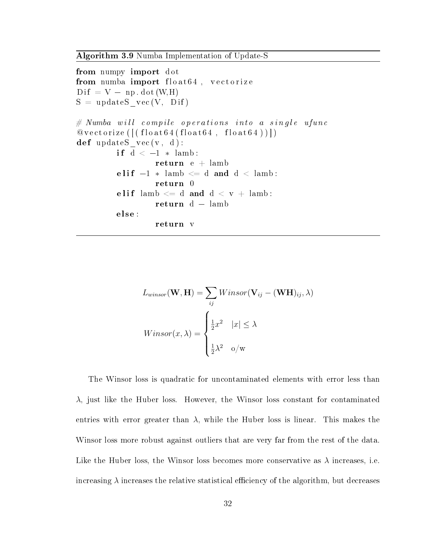Algorithm 3.9 Numba Implementation of Update-S

```
from numpy import dot
from numba import float64, vectorize
\text{Diff} = \text{V} - \text{np} \cdot \text{dot}(\text{W}, \text{H})S = updateS<sub></sub>vec(V, Dif)\# Numba will compile operations into a single ufunc
@vectorize([(float64(fload64, float64,def updateS vec(v, d):
          if d < -1 * lamb:
                   return e +lamb
          elif -1 * lamb \leq d and d < lamb:
                   return 0
          elif lamb \leq d and d < v + lamb:
                   return d - lambdaelse :
                   return v
```

$$
L_{winsor}(\mathbf{W}, \mathbf{H}) = \sum_{ij} Winsor(\mathbf{V}_{ij} - (\mathbf{W}\mathbf{H})_{ij}, \lambda)
$$

$$
Winsor(x, \lambda) = \begin{cases} \frac{1}{2}x^2 & |x| \le \lambda \\ \frac{1}{2}\lambda^2 & \text{o/w} \end{cases}
$$

The Winsor loss is quadratic for uncontaminated elements with error less than  $\lambda$ , just like the Huber loss. However, the Winsor loss constant for contaminated entries with error greater than  $\lambda$ , while the Huber loss is linear. This makes the Winsor loss more robust against outliers that are very far from the rest of the data. Like the Huber loss, the Winsor loss becomes more conservative as  $\lambda$  increases, i.e. increasing  $\lambda$  increases the relative statistical efficiency of the algorithm, but decreases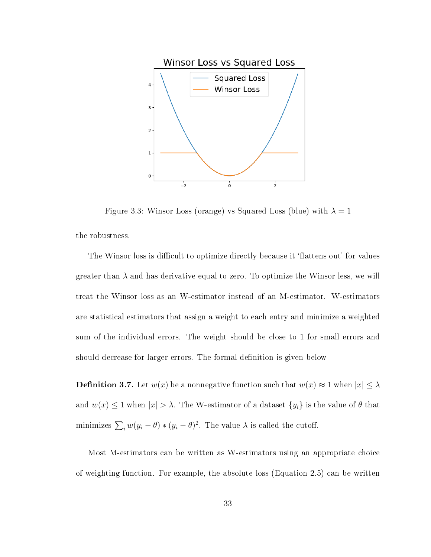

Figure 3.3: Winsor Loss (orange) vs Squared Loss (blue) with  $\lambda = 1$ the robustness.

The Winsor loss is difficult to optimize directly because it 'flattens out' for values greater than  $\lambda$  and has derivative equal to zero. To optimize the Winsor less, we will treat the Winsor loss as an W-estimator instead of an M-estimator. W-estimators are statistical estimators that assign a weight to each entry and minimize a weighted sum of the individual errors. The weight should be close to 1 for small errors and should decrease for larger errors. The formal definition is given below

**Definition 3.7.** Let  $w(x)$  be a nonnegative function such that  $w(x) \approx 1$  when  $|x| \leq \lambda$ and  $w(x) \le 1$  when  $|x| > \lambda$ . The W-estimator of a dataset  $\{y_i\}$  is the value of  $\theta$  that minimizes  $\sum_i w(y_i - \theta) * (y_i - \theta)^2$ . The value  $\lambda$  is called the cutoff.

Most M-estimators can be written as W-estimators using an appropriate choice of weighting function. For example, the absolute loss (Equation 2.5) can be written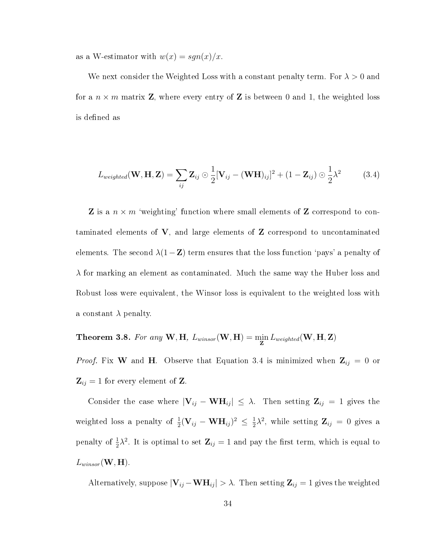as a W-estimator with  $w(x) = sgn(x)/x$ .

We next consider the Weighted Loss with a constant penalty term. For  $\lambda > 0$  and for a  $n \times m$  matrix **Z**, where every entry of **Z** is between 0 and 1, the weighted loss is defined as

$$
L_{weighted}(\mathbf{W}, \mathbf{H}, \mathbf{Z}) = \sum_{ij} \mathbf{Z}_{ij} \odot \frac{1}{2} [\mathbf{V}_{ij} - (\mathbf{W} \mathbf{H})_{ij}]^{2} + (1 - \mathbf{Z}_{ij}) \odot \frac{1}{2} \lambda^{2}
$$
(3.4)

**Z** is a  $n \times m$  'weighting' function where small elements of **Z** correspond to contaminated elements of  $V$ , and large elements of  $Z$  correspond to uncontaminated elements. The second  $\lambda(1-\mathbf{Z})$  term ensures that the loss function 'pays' a penalty of  $\lambda$  for marking an element as contaminated. Much the same way the Huber loss and Robust loss were equivalent, the Winsor loss is equivalent to the weighted loss with a constant  $\lambda$  penalty.

Theorem 3.8. For any  $\bf{W}, \bf{H}$ ,  $L_{winsor}(\bf{W}, \bf{H}) = \min_{\bf{Z}} L_{weighted}(\bf{W}, \bf{H}, \bf{Z})$ 

*Proof.* Fix W and H. Observe that Equation 3.4 is minimized when  $\mathbf{Z}_{ij} = 0$  or  $\mathbf{Z}_{ij} = 1$  for every element of Z.

Consider the case where  $|\mathbf{V}_{ij} - \mathbf{W} \mathbf{H}_{ij}| \leq \lambda$ . Then setting  $\mathbf{Z}_{ij} = 1$  gives the weighted loss a penalty of  $\frac{1}{2}(\mathbf{V}_{ij} - \mathbf{W}\mathbf{H}_{ij})^2 \leq \frac{1}{2}$  $\frac{1}{2}\lambda^2$ , while setting  $\mathbf{Z}_{ij} = 0$  gives a penalty of  $\frac{1}{2}\lambda^2$ . It is optimal to set  $\mathbf{Z}_{ij} = 1$  and pay the first term, which is equal to  $L_{win sor}(\mathbf{W}, \mathbf{H}).$ 

Alternatively, suppose  $|\mathbf{V}_{ij} - \mathbf{W} \mathbf{H}_{ij}| > \lambda$ . Then setting  $\mathbf{Z}_{ij} = 1$  gives the weighted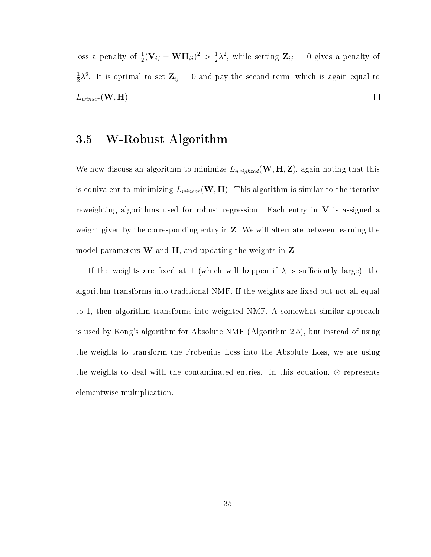loss a penalty of  $\frac{1}{2}(\mathbf{V}_{ij} - \mathbf{W}\mathbf{H}_{ij})^2 > \frac{1}{2}$  $\frac{1}{2}\lambda^2$ , while setting  $\mathbf{Z}_{ij} = 0$  gives a penalty of 1  $\frac{1}{2}\lambda^2$ . It is optimal to set  $\mathbf{Z}_{ij} = 0$  and pay the second term, which is again equal to  $L_{win sor}(\mathbf{W}, \mathbf{H}).$  $\Box$ 

#### 3.5 W-Robust Algorithm

We now discuss an algorithm to minimize  $L_{weighted}(\mathbf{W}, \mathbf{H}, \mathbf{Z})$ , again noting that this is equivalent to minimizing  $L_{winsor}(\mathbf{W}, \mathbf{H})$ . This algorithm is similar to the iterative reweighting algorithms used for robust regression. Each entry in  $V$  is assigned a weight given by the corresponding entry in Z. We will alternate between learning the model parameters  $W$  and  $H$ , and updating the weights in  $Z$ .

If the weights are fixed at 1 (which will happen if  $\lambda$  is sufficiently large), the algorithm transforms into traditional NMF. If the weights are fixed but not all equal to 1, then algorithm transforms into weighted NMF. A somewhat similar approach is used by Kong's algorithm for Absolute NMF (Algorithm 2.5), but instead of using the weights to transform the Frobenius Loss into the Absolute Loss, we are using the weights to deal with the contaminated entries. In this equation,  $\odot$  represents elementwise multiplication.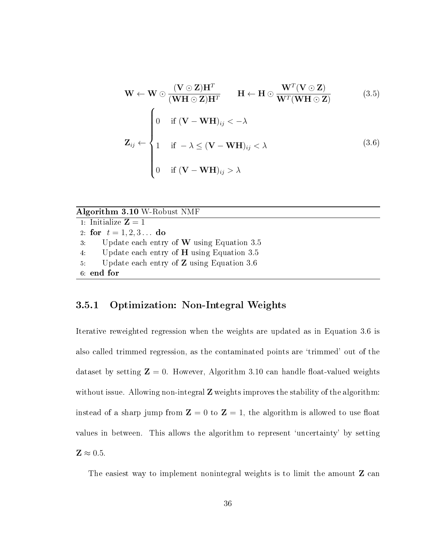$$
\mathbf{W} \leftarrow \mathbf{W} \odot \frac{(\mathbf{V} \odot \mathbf{Z})\mathbf{H}^T}{(\mathbf{W}\mathbf{H} \odot \mathbf{Z})\mathbf{H}^T} \qquad \mathbf{H} \leftarrow \mathbf{H} \odot \frac{\mathbf{W}^T(\mathbf{V} \odot \mathbf{Z})}{\mathbf{W}^T(\mathbf{W}\mathbf{H} \odot \mathbf{Z})} \tag{3.5}
$$
\n
$$
\mathbf{Z}_{ij} \leftarrow \begin{cases}\n0 & \text{if } (\mathbf{V} - \mathbf{W}\mathbf{H})_{ij} < -\lambda \\
1 & \text{if } -\lambda \le (\mathbf{V} - \mathbf{W}\mathbf{H})_{ij} < \lambda \\
0 & \text{if } (\mathbf{V} - \mathbf{W}\mathbf{H})_{ij} > \lambda\n\end{cases} \tag{3.6}
$$

#### Algorithm 3.10 W-Robust NMF

1: Initialize  $\mathbf{Z} = 1$ 2: for  $t = 1, 2, 3...$  do 3: Update each entry of W using Equation 3.5 4: Update each entry of H using Equation 3.5 5: Update each entry of Z using Equation 3.6 6: end for

#### 3.5.1 Optimization: Non-Integral Weights

Iterative reweighted regression when the weights are updated as in Equation 3.6 is also called trimmed regression, as the contaminated points are `trimmed' out of the dataset by setting  $\mathbf{Z} = 0$ . However, Algorithm 3.10 can handle float-valued weights without issue. Allowing non-integral **Z** weights improves the stability of the algorithm: instead of a sharp jump from  $\mathbf{Z} = 0$  to  $\mathbf{Z} = 1$ , the algorithm is allowed to use float values in between. This allows the algorithm to represent 'uncertainty' by setting  $\mathbf{Z} \approx 0.5$ .

The easiest way to implement nonintegral weights is to limit the amount **Z** can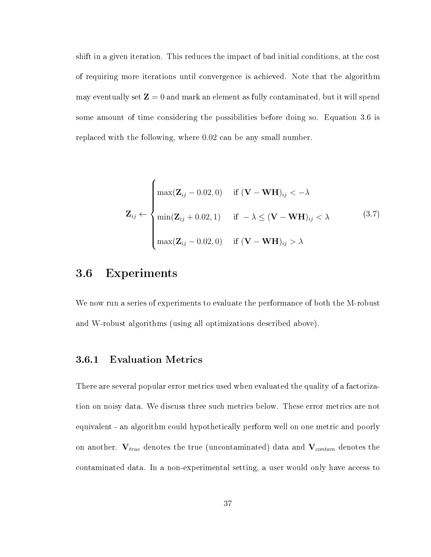shift in a given iteration. This reduces the impact of bad initial conditions, at the cost of requiring more iterations until convergence is achieved. Note that the algorithm may eventually set  $\mathbf{Z} = 0$  and mark an element as fully contaminated, but it will spend some amount of time considering the possibilities before doing so. Equation 3.6 is replaced with the following, where 0.02 can be any small number.

$$
\mathbf{Z}_{ij} \leftarrow \begin{cases} \max(\mathbf{Z}_{ij} - 0.02, 0) & \text{if } (\mathbf{V} - \mathbf{W} \mathbf{H})_{ij} < -\lambda \\ \min(\mathbf{Z}_{ij} + 0.02, 1) & \text{if } -\lambda \le (\mathbf{V} - \mathbf{W} \mathbf{H})_{ij} < \lambda \\ \max(\mathbf{Z}_{ij} - 0.02, 0) & \text{if } (\mathbf{V} - \mathbf{W} \mathbf{H})_{ij} > \lambda \end{cases}
$$
(3.7)

#### 3.6 Experiments

We now run a series of experiments to evaluate the performance of both the M-robust and W-robust algorithms (using all optimizations described above).

#### 3.6.1 Evaluation Metrics

There are several popular error metrics used when evaluated the quality of a factorization on noisy data. We discuss three such metrics below. These error metrics are not equivalent - an algorithm could hypothetically perform well on one metric and poorly on another.  $V_{true}$  denotes the true (uncontaminated) data and  $V_{contam}$  denotes the contaminated data. In a non-experimental setting, a user would only have access to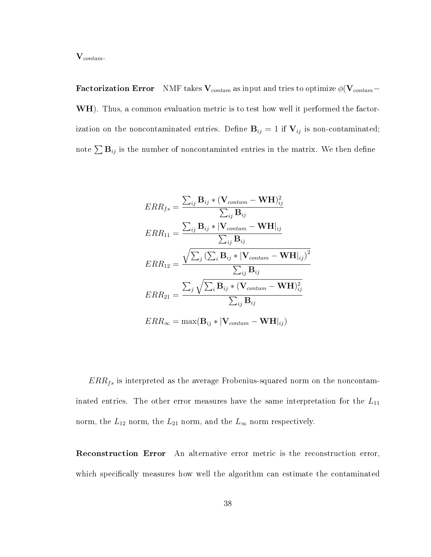$\mathbf{V}_{contam}.$ 

**Factorization Error** NMF takes  $V_{\text{contam}}$  as input and tries to optimize  $\phi(\mathbf{V}_{\text{contam}}-$ WH). Thus, a common evaluation metric is to test how well it performed the factorization on the noncontaminated entries. Define  $B_{ij} = 1$  if  $V_{ij}$  is non-contaminated; note  $\sum \mathbf{B}_{ij}$  is the number of noncontaminted entries in the matrix. We then define

$$
ERR_{fs} = \frac{\sum_{ij} \mathbf{B}_{ij} * (\mathbf{V}_{contam} - \mathbf{W} \mathbf{H})_{ij}^{2}}{\sum_{ij} \mathbf{B}_{ij}}
$$
  
\n
$$
ERR_{11} = \frac{\sum_{ij} \mathbf{B}_{ij} * |\mathbf{V}_{contam} - \mathbf{W} \mathbf{H}|_{ij}}{\sum_{ij} \mathbf{B}_{ij}}
$$
  
\n
$$
ERR_{12} = \frac{\sqrt{\sum_{j} (\sum_{i} \mathbf{B}_{ij} * |\mathbf{V}_{contam} - \mathbf{W} \mathbf{H}|_{ij})^{2}}}{\sum_{ij} \mathbf{B}_{ij}}
$$
  
\n
$$
ERR_{21} = \frac{\sum_{j} \sqrt{\sum_{i} \mathbf{B}_{ij} * (\mathbf{V}_{contam} - \mathbf{W} \mathbf{H})_{ij}^{2}}}{\sum_{ij} \mathbf{B}_{ij}}
$$
  
\n
$$
ERR_{\infty} = \max(\mathbf{B}_{ij} * |\mathbf{V}_{contam} - \mathbf{W} \mathbf{H}|_{ij})
$$

 $ERR_{fs}$  is interpreted as the average Frobenius-squared norm on the noncontaminated entries. The other error measures have the same interpretation for the  $L_{11}$ norm, the  $L_{12}$  norm, the  $L_{21}$  norm, and the  $L_{\infty}$  norm respectively.

Reconstruction Error An alternative error metric is the reconstruction error, which specifically measures how well the algorithm can estimate the contaminated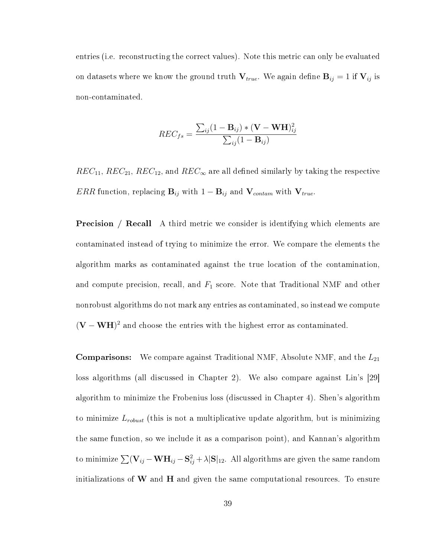entries (i.e. reconstructing the correct values). Note this metric can only be evaluated on datasets where we know the ground truth  $V_{true}$ . We again define  $B_{ij} = 1$  if  $V_{ij}$  is non-contaminated.

$$
REC_{fs} = \frac{\sum_{ij} (1 - \mathbf{B}_{ij}) \times (\mathbf{V} - \mathbf{W} \mathbf{H})_{ij}^2}{\sum_{ij} (1 - \mathbf{B}_{ij})}
$$

 $REC_{11}$ ,  $REC_{21}$ ,  $REC_{12}$ , and  $REC_{\infty}$  are all defined similarly by taking the respective ERR function, replacing  $B_{ij}$  with  $1 - B_{ij}$  and  $V_{contam}$  with  $V_{true}$ .

**Precision** / **Recall** A third metric we consider is identifying which elements are contaminated instead of trying to minimize the error. We compare the elements the algorithm marks as contaminated against the true location of the contamination, and compute precision, recall, and  $F_1$  score. Note that Traditional NMF and other nonrobust algorithms do not mark any entries as contaminated, so instead we compute  $(V - WH)^2$  and choose the entries with the highest error as contaminated.

**Comparisons:** We compare against Traditional NMF, Absolute NMF, and the  $L_{21}$ loss algorithms (all discussed in Chapter 2). We also compare against Lin's [29] algorithm to minimize the Frobenius loss (discussed in Chapter 4). Shen's algorithm to minimize  $L_{robust}$  (this is not a multiplicative update algorithm, but is minimizing the same function, so we include it as a comparison point), and Kannan's algorithm to minimize  $\sum({\bf V}_{ij} - {\bf W}{\bf H}_{ij} - {\bf S}_{ij}^2 + \lambda |{\bf S}|_{12}.$  All algorithms are given the same random initializations of  $W$  and  $H$  and given the same computational resources. To ensure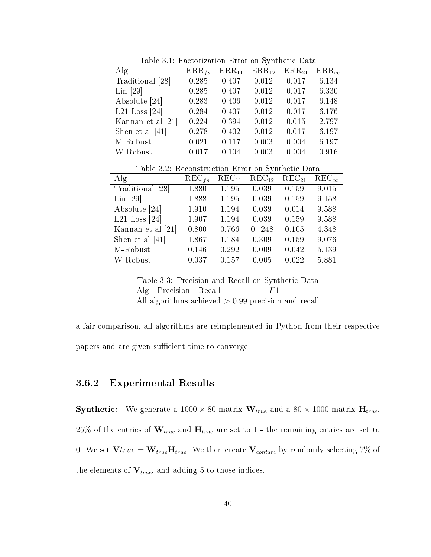| $\rm{Alg}$                                        | $\text{ERR}_{fs}$ | $ERR_{11}$ | $ERR_{12}$        | $\rm{ERR}_{21}$   | $\mathrm{ERR}_\infty$            |
|---------------------------------------------------|-------------------|------------|-------------------|-------------------|----------------------------------|
| Traditional [28]                                  | 0.285             | 0.407      | 0.012             | 0.017             | 6.134                            |
| $Lin$ [29]                                        | 0.285             | 0.407      | 0.012             | 0.017             | 6.330                            |
| Absolute [24]                                     | 0.283             | 0.406      | 0.012             | 0.017             | 6.148                            |
| L21 Loss $[24]$                                   | 0.284             | 0.407      | 0.012             | 0.017             | 6.176                            |
| Kannan et al [21]                                 | 0.224             | 0.394      | 0.012             | 0.015             | 2.797                            |
| Shen et al $[41]$                                 | 0.278             | 0.402      | 0.012             | 0.017             | 6.197                            |
| M-Robust                                          | 0.021             | 0.117      | 0.003             | 0.004             | 6.197                            |
| W-Robust                                          | 0.017             | 0.104      | 0.003             | 0.004             | 0.916                            |
| Table 3.2: Reconstruction Error on Synthetic Data |                   |            |                   |                   |                                  |
| $\rm{Alg}$                                        | $\text{REC}_{fs}$ | $REC_{11}$ | $\text{REC}_{12}$ | $\text{REC}_{21}$ | $\overline{\text{REC}}_{\infty}$ |
| Traditional [28]                                  | 1.880             | 1.195      | 0.039             | 0.159             | 9.015                            |
| Lin [29]                                          | 1.888             | 1.195      | 0.039             | 0.159             | 9.158                            |
| Absolute [24]                                     | 1.910             | 1.194      | 0.039             | 0.014             | 9.588                            |
| L21 Loss $[24]$                                   | 1.907             | 1.194      | 0.039             | 0.159             | 9.588                            |
| Kannan et al [21]                                 | 0.800             | 0.766      | 0.248             | 0.105             | 4.348                            |
| Shen et al $[41]$                                 | 1.867             | 1.184      | 0.309             | 0.159             | 9.076                            |
| M-Robust                                          | 0.146             | 0.292      | 0.009             | 0.042             | 5.139                            |
| W-Robust                                          | 0.037             | 0.157      | 0.005             | 0.022             | 5.881                            |
|                                                   |                   |            |                   |                   |                                  |
| Table 3.3: Precision and Recall on Synthetic Data |                   |            |                   |                   |                                  |
| $\rm{Alg}$<br>Precision                           | Recall            |            | F1                |                   |                                  |

Table 3.1: Factorization Error on Synthetic Data

All algorithms achieved > 0.99 precision and recall

a fair comparison, all algorithms are reimplemented in Python from their respective papers and are given sufficient time to converge.

#### 3.6.2 Experimental Results

**Synthetic:** We generate a  $1000 \times 80$  matrix  $W_{true}$  and a  $80 \times 1000$  matrix  $H_{true}$ . 25% of the entries of  $W_{true}$  and  $H_{true}$  are set to 1 - the remaining entries are set to 0. We set  $Vtrue = W_{true}H_{true}$ . We then create  $V_{contam}$  by randomly selecting 7% of the elements of  $V_{true}$ , and adding 5 to those indices.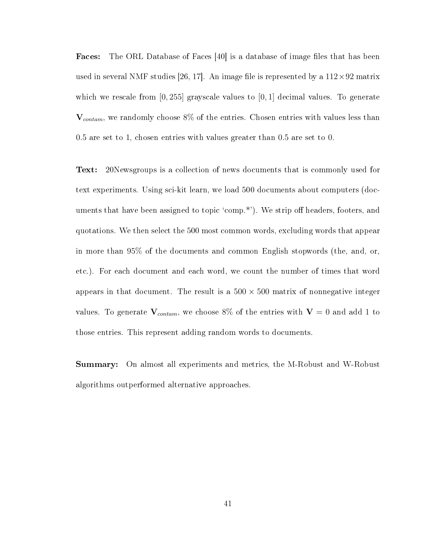**Faces:** The ORL Database of Faces  $[40]$  is a database of image files that has been used in several NMF studies [26, 17]. An image file is represented by a  $112 \times 92$  matrix which we rescale from  $[0, 255]$  grayscale values to  $[0, 1]$  decimal values. To generate  $V_{contam}$ , we randomly choose 8% of the entries. Chosen entries with values less than 0.5 are set to 1, chosen entries with values greater than 0.5 are set to 0.

Text: 20Newsgroups is a collection of news documents that is commonly used for text experiments. Using sci-kit learn, we load 500 documents about computers (documents that have been assigned to topic 'comp.\*'). We strip off headers, footers, and quotations. We then select the 500 most common words, excluding words that appear in more than 95% of the documents and common English stopwords (the, and, or, etc.). For each document and each word, we count the number of times that word appears in that document. The result is a  $500 \times 500$  matrix of nonnegative integer values. To generate  $V_{contam}$ , we choose 8% of the entries with  $V = 0$  and add 1 to those entries. This represent adding random words to documents.

Summary: On almost all experiments and metrics, the M-Robust and W-Robust algorithms outperformed alternative approaches.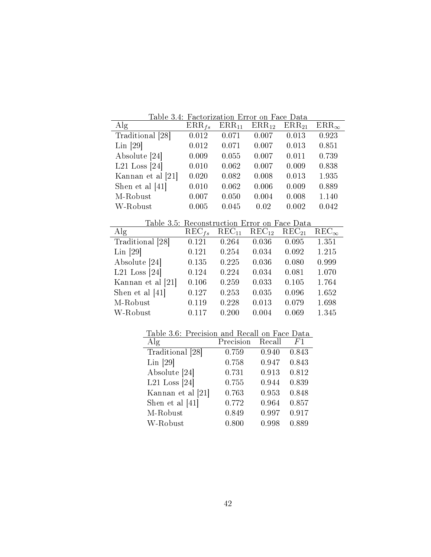|                                                            | Table 3.4: Factorization Error on Face Data |            |            |            |                                  |
|------------------------------------------------------------|---------------------------------------------|------------|------------|------------|----------------------------------|
| $\rm{Alg}$                                                 | $\text{ERR}_{fs}$                           | $ERR_{11}$ | $ERR_{12}$ | $ERR_{21}$ | $\rm{ERR}_{\infty}$              |
| Traditional [28]                                           | 0.012                                       | 0.071      | 0.007      | 0.013      | 0.923                            |
| $Lin$ [29]                                                 | 0.012                                       | 0.071      | 0.007      | 0.013      | 0.851                            |
| Absolute [24]                                              | 0.009                                       | 0.055      | 0.007      | 0.011      | 0.739                            |
| L21 Loss $[24]$                                            | 0.010                                       | 0.062      | 0.007      | 0.009      | 0.838                            |
| Kannan et al [21]                                          | 0.020                                       | 0.082      | 0.008      | 0.013      | 1.935                            |
| Shen et al $[41]$                                          | 0.010                                       | 0.062      | 0.006      | 0.009      | 0.889                            |
| M-Robust                                                   | 0.007                                       | 0.050      | 0.004      | 0.008      | 1.140                            |
| W-Robust                                                   | 0.005                                       | 0.045      | 0.02       | 0.002      | 0.042                            |
|                                                            |                                             |            |            |            |                                  |
|                                                            |                                             |            |            |            |                                  |
| Table 3.5: Reconstruction Error on Face Data<br>$\rm{Alg}$ | $\text{REC}_{fs}$                           | $REC_{11}$ | $REC_{12}$ | $REC_{21}$ | $\overline{\text{REC}}_{\infty}$ |
| Traditional [28]                                           | 0.121                                       | 0.264      | 0.036      | 0.095      | 1.351                            |
| $\text{Lin}$  29                                           | 0.121                                       | 0.254      | 0.034      | 0.092      | 1.215                            |
| Absolute 24                                                | 0.135                                       | 0.225      | 0.036      | 0.080      | 0.999                            |
| L21 Loss $[24]$                                            | 0.124                                       | 0.224      | 0.034      | 0.081      | 1.070                            |
| Kannan et al [21]                                          | 0.106                                       | 0.259      | 0.033      | 0.105      | 1.764                            |
| Shen et al [41]                                            | 0.127                                       | 0.253      | 0.035      | 0.096      | 1.652                            |
| M-Robust                                                   | 0.119                                       | 0.228      | 0.013      | 0.079      | 1.698                            |

| Table 3.6: Precision and Recall on Face Data |  |  |  |
|----------------------------------------------|--|--|--|
|                                              |  |  |  |

| $\rm{Alg}$        | Precision | Recall | F1    |
|-------------------|-----------|--------|-------|
| Traditional [28]  | 0.759     | 0.940  | 0.843 |
| $Lin$ [29]        | 0.758     | 0.947  | 0.843 |
| Absolute [24]     | 0.731     | 0.913  | 0.812 |
| L21 Loss $[24]$   | 0.755     | 0.944  | 0.839 |
| Kannan et al [21] | 0.763     | 0.953  | 0.848 |
| Shen et al $[41]$ | 0.772     | 0.964  | 0.857 |
| M-Robust          | 0.849     | 0.997  | 0.917 |
| W-Robust          | 0.800     | 0.998  | 0.889 |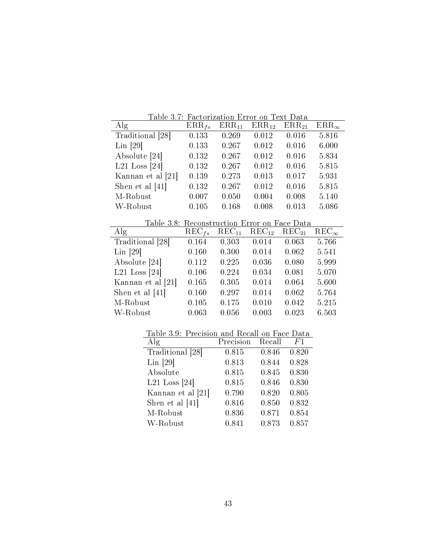| Table 3.7: Factorization Error on Text Data  |                     |                   |                   |                   |                                  |
|----------------------------------------------|---------------------|-------------------|-------------------|-------------------|----------------------------------|
| Alg                                          | $\mathrm{ERR}_{fs}$ | $ERR_{11}$        | $ERR_{12}$        | $ERR_{21}$        | $ERR_{\infty}$                   |
| Traditional [28]                             | 0.133               | 0.269             | 0.012             | 0.016             | 5.816                            |
| $Lin$ [29]                                   | 0.133               | 0.267             | 0.012             | 0.016             | 6.000                            |
| Absolute [24]                                | 0.132               | 0.267             | 0.012             | 0.016             | 5.834                            |
| L21 Loss $[24]$                              | 0.132               | 0.267             | 0.012             | 0.016             | 5.815                            |
| Kannan et al [21]                            | 0.139               | 0.273             | 0.013             | 0.017             | 5.931                            |
| Shen et al $[41]$                            | 0.132               | 0.267             | 0.012             | 0.016             | 5.815                            |
| M-Robust                                     | 0.007               | 0.050             | 0.004             | 0.008             | 5.140                            |
| W-Robust                                     | 0.105               | 0.168             | 0.008             | 0.013             | 5.086                            |
|                                              |                     |                   |                   |                   |                                  |
|                                              |                     |                   |                   |                   |                                  |
| Table 3.8: Reconstruction Error on Face Data |                     |                   |                   |                   |                                  |
| $\rm{Alg}$                                   | $\text{REC}_{fs}$   | $\text{REC}_{11}$ | $\text{REC}_{12}$ | $\text{REC}_{21}$ | $\overline{\text{REC}}_{\infty}$ |
| Traditional [28]                             | 0.164               | 0.303             | 0.014             | 0.063             | 5.766                            |
| $Lin$ [29]                                   | 0.160               | 0.300             | 0.014             | 0.062             | 5.541                            |
| Absolute [24]                                | 0.112               | 0.225             | 0.036             | 0.080             | 5.999                            |
| L21 Loss $[24]$                              | 0.106               | 0.224             | 0.034             | 0.081             | 5.070                            |
| Kannan et al [21]                            | 0.165               | 0.305             | 0.014             | 0.064             | 5.600                            |
| Shen et al $[41]$                            | 0.160               | 0.297             | 0.014             | 0.062             | 5.764                            |
| M-Robust                                     | 0.105               | 0.175             | 0.010             | 0.042             | 5.215                            |
| W-Robust                                     | 0.063               | 0.056             | 0.003             | 0.023             | 6.503                            |

| Table 3.9: Precision and Recall on Face Data |  |  |  |
|----------------------------------------------|--|--|--|
|                                              |  |  |  |

| $\rm{Alg}$        | Precision | Recall | F1    |
|-------------------|-----------|--------|-------|
| Traditional [28]  | 0.815     | 0.846  | 0.820 |
| $Lin$ [29]        | 0.813     | 0.844  | 0.828 |
| Absolute          | 0.815     | 0.845  | 0.830 |
| L21 Loss $[24]$   | 0.815     | 0.846  | 0.830 |
| Kannan et al [21] | 0.790     | 0.820  | 0.805 |
| Shen et al $[41]$ | 0.816     | 0.850  | 0.832 |
| M-Robust          | 0.836     | 0.871  | 0.854 |
| W-Robust          | 0.841     | 0.873  | 0.857 |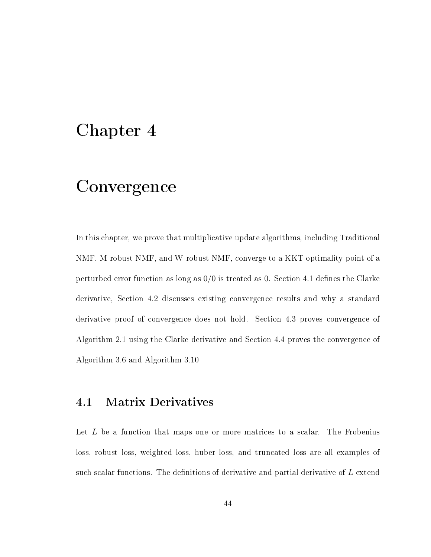## Chapter 4

# Convergence

In this chapter, we prove that multiplicative update algorithms, including Traditional NMF, M-robust NMF, and W-robust NMF, converge to a KKT optimality point of a perturbed error function as long as  $0/0$  is treated as 0. Section 4.1 defines the Clarke derivative, Section 4.2 discusses existing convergence results and why a standard derivative proof of convergence does not hold. Section 4.3 proves convergence of Algorithm 2.1 using the Clarke derivative and Section 4.4 proves the convergence of Algorithm 3.6 and Algorithm 3.10

### 4.1 Matrix Derivatives

Let  $L$  be a function that maps one or more matrices to a scalar. The Frobenius loss, robust loss, weighted loss, huber loss, and truncated loss are all examples of such scalar functions. The definitions of derivative and partial derivative of  $L$  extend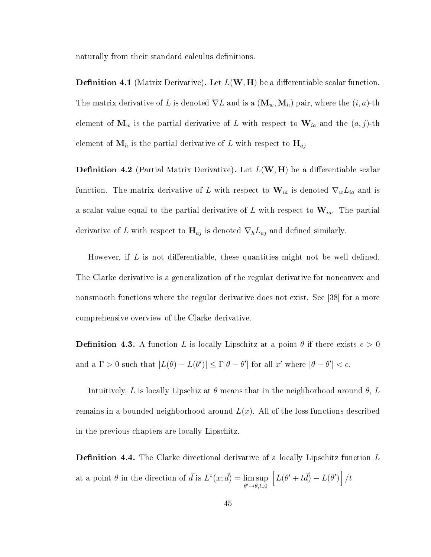naturally from their standard calculus definitions.

**Definition 4.1** (Matrix Derivative). Let  $L(\mathbf{W}, \mathbf{H})$  be a differentiable scalar function. The matrix derivative of L is denoted  $\nabla L$  and is a  $(\mathbf{M}_w, \mathbf{M}_h)$  pair, where the  $(i, a)$ -th element of  $\mathbf{M}_w$  is the partial derivative of L with respect to  $\mathbf{W}_{ia}$  and the  $(a, j)$ -th element of  $M_h$  is the partial derivative of L with respect to  $H_{aj}$ 

**Definition 4.2** (Partial Matrix Derivative). Let  $L(\mathbf{W}, \mathbf{H})$  be a differentiable scalar function. The matrix derivative of L with respect to  $\mathbf{W}_{ia}$  is denoted  $\nabla_w L_{ia}$  and is a scalar value equal to the partial derivative of L with respect to  $\mathbf{W}_{ia}$ . The partial derivative of L with respect to  $\mathbf{H}_{aj}$  is denoted  $\nabla_h L_{aj}$  and defined similarly.

However, if  $L$  is not differentiable, these quantities might not be well defined. The Clarke derivative is a generalization of the regular derivative for nonconvex and nonsmooth functions where the regular derivative does not exist. See [38] for a more comprehensive overview of the Clarke derivative.

**Definition 4.3.** A function L is locally Lipschitz at a point  $\theta$  if there exists  $\epsilon > 0$ and a  $\Gamma > 0$  such that  $|L(\theta) - L(\theta')| \leq \Gamma |\theta - \theta'|$  for all x' where  $|\theta - \theta'| < \epsilon$ .

Intuitively, L is locally Lipschiz at  $\theta$  means that in the neighborhood around  $\theta$ , L remains in a bounded neighborhood around  $L(x)$ . All of the loss functions described in the previous chapters are locally Lipschitz.

**Definition 4.4.** The Clarke directional derivative of a locally Lipschitz function  $L$ at a point  $\theta$  in the direction of  $\vec{d}$  is  $L^{\circ}(x; \vec{d}) = \limsup$  $\theta' \rightarrow \theta, t \downarrow 0$  $\left[ L(\theta' + t\vec{d}) - L(\theta') \right] / t$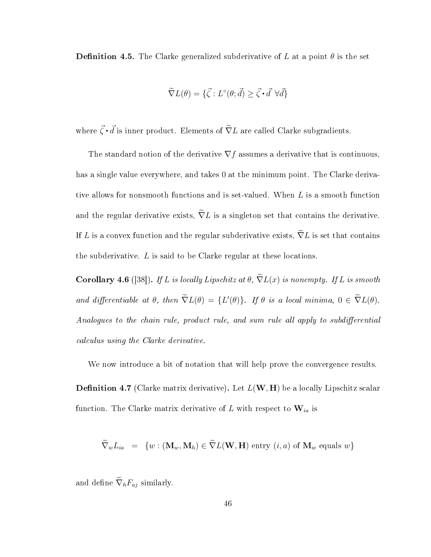**Definition 4.5.** The Clarke generalized subderivative of L at a point  $\theta$  is the set

$$
\widetilde{\nabla}L(\theta) = \{\vec{\zeta} : L^{\circ}(\theta; \vec{d}) \ge \vec{\zeta} \cdot \vec{d} \,\,\forall \vec{d}\}
$$

where  $\vec{\zeta} \cdot \vec{d}$  is inner product. Elements of  $\widetilde{\nabla}L$  are called Clarke subgradients.

The standard notion of the derivative  $\nabla f$  assumes a derivative that is continuous, has a single value everywhere, and takes 0 at the minimum point. The Clarke derivative allows for nonsmooth functions and is set-valued. When L is a smooth function and the regular derivative exists,  $\widetilde{\nabla}L$  is a singleton set that contains the derivative. If L is a convex function and the regular subderivative exists,  $\nabla L$  is set that contains the subderivative.  $L$  is said to be Clarke regular at these locations.

**Corollary 4.6** ([38]). If L is locally Lipschitz at  $\theta$ ,  $\tilde{\nabla}L(x)$  is nonempty. If L is smooth and differentiable at  $\theta$ , then  $\tilde{\nabla}L(\theta) = \{L'(\theta)\}\$ . If  $\theta$  is a local minima,  $0 \in \tilde{\nabla}L(\theta)$ . Analogues to the chain rule, product rule, and sum rule all apply to subdifferential calculus using the Clarke derivative.

We now introduce a bit of notation that will help prove the convergence results.

**Definition 4.7** (Clarke matrix derivative). Let  $L(\mathbf{W}, \mathbf{H})$  be a locally Lipschitz scalar function. The Clarke matrix derivative of L with respect to  $\mathbf{W}_{ia}$  is

$$
\nabla_w L_{ia} = \{ w : (\mathbf{M}_w, \mathbf{M}_h) \in \nabla L(\mathbf{W}, \mathbf{H}) \text{ entry } (i, a) \text{ of } \mathbf{M}_w \text{ equals } w \}
$$

and define  $\widetilde{\nabla}_h F_{aj}$  similarly.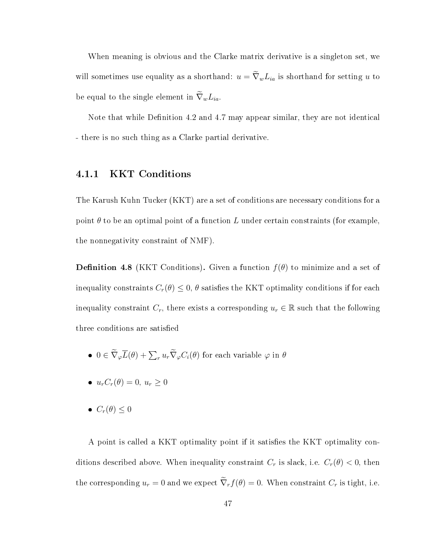When meaning is obvious and the Clarke matrix derivative is a singleton set, we will sometimes use equality as a shorthand:  $u = \tilde{\nabla}_{w}L_{ia}$  is shorthand for setting u to be equal to the single element in  $\widetilde{\nabla}_{w}L_{ia}$ .

Note that while Definition 4.2 and 4.7 may appear similar, they are not identical - there is no such thing as a Clarke partial derivative.

#### 4.1.1 KKT Conditions

The Karush Kuhn Tucker (KKT) are a set of conditions are necessary conditions for a point  $\theta$  to be an optimal point of a function L under certain constraints (for example, the nonnegativity constraint of NMF).

**Definition 4.8** (KKT Conditions). Given a function  $f(\theta)$  to minimize and a set of inequality constraints  $C_r(\theta) \leq 0$ ,  $\theta$  satisfies the KKT optimality conditions if for each inequality constraint  $C_r$ , there exists a corresponding  $u_r \in \mathbb{R}$  such that the following three conditions are satisfied

- $0 \in \widetilde{\nabla}_{\varphi} \overline{L}(\theta) + \sum_{r} u_r \widetilde{\nabla}_{\varphi} C_i(\theta)$  for each variable  $\varphi$  in  $\theta$
- $u_rC_r(\theta) = 0, u_r \ge 0$
- $C_r(\theta) \leq 0$

A point is called a KKT optimality point if it satisfies the KKT optimality conditions described above. When inequality constraint  $C_r$  is slack, i.e.  $C_r(\theta) < 0$ , then the corresponding  $u_r = 0$  and we expect  $\tilde{\nabla}_r f(\theta) = 0$ . When constraint  $C_r$  is tight, i.e.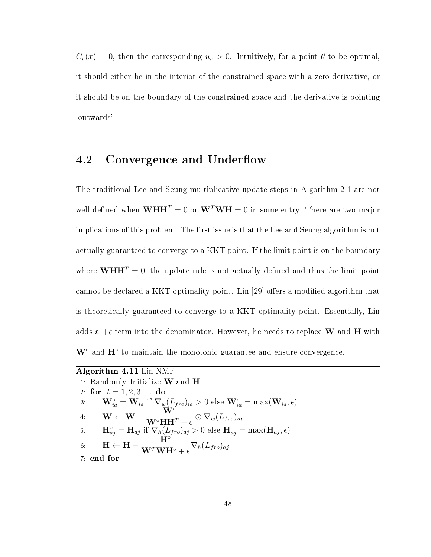$C_r(x) = 0$ , then the corresponding  $u_r > 0$ . Intuitively, for a point  $\theta$  to be optimal, it should either be in the interior of the constrained space with a zero derivative, or it should be on the boundary of the constrained space and the derivative is pointing `outwards'.

## 4.2 Convergence and Underflow

The traditional Lee and Seung multiplicative update steps in Algorithm 2.1 are not well defined when  $\mathbf{WHH}^T = 0$  or  $\mathbf{W}^T \mathbf{WH} = 0$  in some entry. There are two major implications of this problem. The first issue is that the Lee and Seung algorithm is not actually guaranteed to converge to a KKT point. If the limit point is on the boundary where  $\mathbf{WHH}^T = 0$ , the update rule is not actually defined and thus the limit point cannot be declared a KKT optimality point. Lin [29] offers a modified algorithm that is theoretically guaranteed to converge to a KKT optimality point. Essentially, Lin adds a  $+\epsilon$  term into the denominator. However, he needs to replace W and H with  $W^{\circ}$  and  $H^{\circ}$  to maintain the monotonic guarantee and ensure convergence.

| Algorithm 4.11 Lin NMF                                                                                                                                                |
|-----------------------------------------------------------------------------------------------------------------------------------------------------------------------|
| 1: Randomly Initialize $W$ and $H$                                                                                                                                    |
| 2 for $t = 1, 2, 3$ do                                                                                                                                                |
| 3: $\mathbf{W}_{ia}^{\circ} = \mathbf{W}_{ia}$ if $\nabla_w (L_{fro})_{ia} > 0$ else $\mathbf{W}_{ia}^{\circ} = \max(\mathbf{W}_{ia}, \epsilon)$                      |
| $\mathbf{W} \leftarrow \mathbf{W} - \frac{\mathbf{W}}{\mathbf{W}^\circ \mathbf{H} \mathbf{H}^T + \epsilon} \odot \nabla_w (L_{fro})_{ia}$<br>4 <sup>1</sup>           |
| 5: $\mathbf{H}_{aj}^{\circ} = \mathbf{H}_{aj}$ if $\nabla_h (L_{fro})_{aj} > 0$ else $\mathbf{H}_{aj}^{\circ} = \max(\mathbf{H}_{aj}, \epsilon)$                      |
| $\mathbf{H}^{\circ}$<br>$\mathbf{H} \leftarrow \mathbf{H} - \frac{11}{\mathbf{W}^T \mathbf{W} \mathbf{H}^\circ + \epsilon} \nabla_h (L_{fro})_{aj}$<br>6 <sub>1</sub> |
| 7 end for                                                                                                                                                             |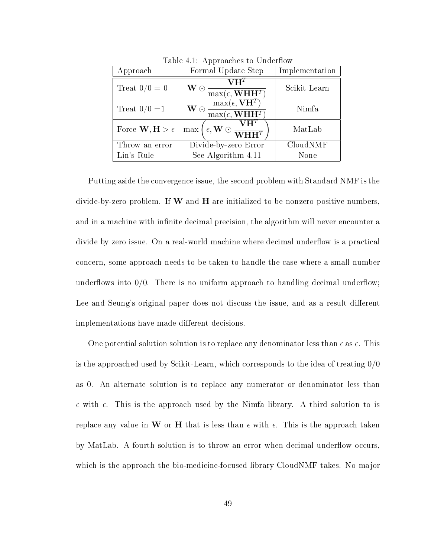| rapic 1.1. <i>Tipproaches</i> to Chucritow |                                                                                                                                                                  |                |  |  |  |
|--------------------------------------------|------------------------------------------------------------------------------------------------------------------------------------------------------------------|----------------|--|--|--|
| Approach                                   | Formal Update Step                                                                                                                                               | Implementation |  |  |  |
| Treat $0/0 = 0$                            | $\mathbf{V}\mathbf{H}^T$<br>$\mathbf{W}\odot$<br>$\overline{\max(\epsilon, \mathbf{WHH}^T)}$                                                                     | Scikit-Learn   |  |  |  |
| Treat $0/0 = 1$                            | $\frac{\max(\epsilon,\mathbf{V}\mathbf{H}^T)}{\max(\epsilon,\mathbf{W}\mathbf{H}\mathbf{H}^T)}$<br>$\mathbf{W}\odot$                                             | Nimfa          |  |  |  |
| Force $\mathbf{W}, \mathbf{H} > \epsilon$  | $\overbrace{\phantom{(\mathcal{L}_1,\mathbf{W})\oplus\mathbf{W}}^{\mathcal{L}_2,\mathbf{W}}}\mathbf{W}_{\mathbf{H}}\mathbf{W}_{\mathbf{H}}\mathbf{H}^T$ ,<br>max | MatLab         |  |  |  |
| Throw an error                             | Divide-by-zero Error                                                                                                                                             | CloudNMF       |  |  |  |
| Lin's Rule                                 | See Algorithm 4.11                                                                                                                                               | None           |  |  |  |

Table  $4.1:$  Approaches to Underflow

Putting aside the convergence issue, the second problem with Standard NMF is the divide-by-zero problem. If  $W$  and  $H$  are initialized to be nonzero positive numbers, and in a machine with infinite decimal precision, the algorithm will never encounter a divide by zero issue. On a real-world machine where decimal underflow is a practical concern, some approach needs to be taken to handle the case where a small number underflows into  $0/0$ . There is no uniform approach to handling decimal underflow; Lee and Seung's original paper does not discuss the issue, and as a result different implementations have made different decisions.

One potential solution solution is to replace any denominator less than  $\epsilon$  as  $\epsilon$ . This is the approached used by Scikit-Learn, which corresponds to the idea of treating  $0/0$ as 0. An alternate solution is to replace any numerator or denominator less than  $\epsilon$  with  $\epsilon$ . This is the approach used by the Nimfa library. A third solution to is replace any value in W or H that is less than  $\epsilon$  with  $\epsilon$ . This is the approach taken by MatLab. A fourth solution is to throw an error when decimal underflow occurs, which is the approach the bio-medicine-focused library CloudNMF takes. No major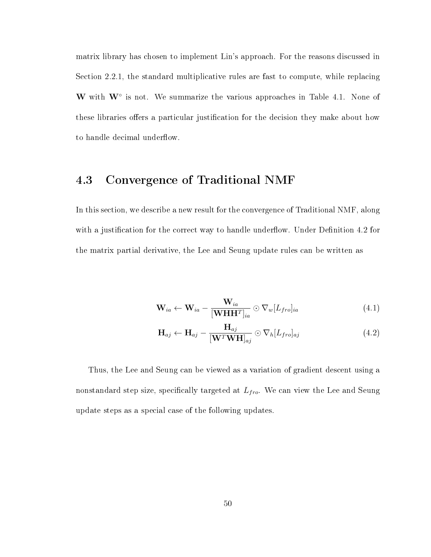matrix library has chosen to implement Lin's approach. For the reasons discussed in Section 2.2.1, the standard multiplicative rules are fast to compute, while replacing W with  $W^{\circ}$  is not. We summarize the various approaches in Table 4.1. None of these libraries offers a particular justification for the decision they make about how to handle decimal underflow.

## 4.3 Convergence of Traditional NMF

In this section, we describe a new result for the convergence of Traditional NMF, along with a justification for the correct way to handle underflow. Under Definition  $4.2$  for the matrix partial derivative, the Lee and Seung update rules can be written as

$$
\mathbf{W}_{ia} \leftarrow \mathbf{W}_{ia} - \frac{\mathbf{W}_{ia}}{[\mathbf{W} \mathbf{H} \mathbf{H}^T]_{ia}} \odot \nabla_w [L_{fro}]_{ia} \tag{4.1}
$$

$$
\mathbf{H}_{aj} \leftarrow \mathbf{H}_{aj} - \frac{\mathbf{H}_{aj}}{[\mathbf{W}^T \mathbf{W} \mathbf{H}]_{aj}} \odot \nabla_h [L_{fro}]_{aj} \tag{4.2}
$$

Thus, the Lee and Seung can be viewed as a variation of gradient descent using a nonstandard step size, specifically targeted at  $L_{fro}$ . We can view the Lee and Seung update steps as a special case of the following updates.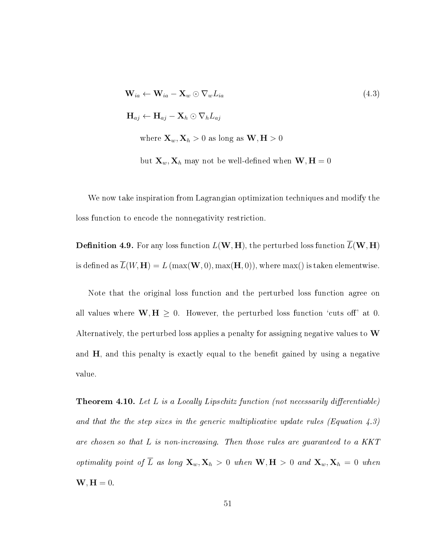$$
\mathbf{W}_{ia} \leftarrow \mathbf{W}_{ia} - \mathbf{X}_w \odot \nabla_w L_{ia}
$$
\n
$$
\mathbf{H}_{aj} \leftarrow \mathbf{H}_{aj} - \mathbf{X}_h \odot \nabla_h L_{aj}
$$
\nwhere  $\mathbf{X}_w, \mathbf{X}_h > 0$  as long as  $\mathbf{W}, \mathbf{H} > 0$ 

but  $\mathbf{X}_w, \mathbf{X}_h$  may not be well-defined when  $\mathbf{W}, \mathbf{H} = 0$ 

We now take inspiration from Lagrangian optimization techniques and modify the loss function to encode the nonnegativity restriction.

**Definition 4.9.** For any loss function  $L(W, H)$ , the perturbed loss function  $\overline{L}(W, H)$ is defined as  $L(W, H) = L(\max(W, 0), \max(H, 0)),$  where  $\max()$  is taken elementwise.

Note that the original loss function and the perturbed loss function agree on all values where  $W, H \geq 0$ . However, the perturbed loss function 'cuts off' at 0. Alternatively, the perturbed loss applies a penalty for assigning negative values to  $W$ and  $H$ , and this penalty is exactly equal to the benefit gained by using a negative value.

**Theorem 4.10.** Let L is a Locally Lipschitz function (not necessarily differentiable) and that the the step sizes in the generic multiplicative update rules (Equation  $\angle 4.3$ ) are chosen so that L is non-increasing. Then those rules are guaranteed to a KKT optimality point of  $\overline{L}$  as long  $\mathbf{X}_w, \mathbf{X}_h > 0$  when  $\mathbf{W}, \mathbf{H} > 0$  and  $\mathbf{X}_w, \mathbf{X}_h = 0$  when  $W, H = 0.$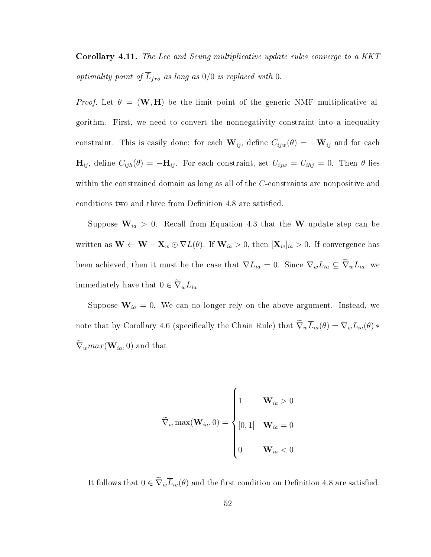Corollary 4.11. The Lee and Seung multiplicative update rules converge to a KKT optimality point of  $\overline{L}_{fro}$  as long as  $0/0$  is replaced with 0.

*Proof.* Let  $\theta = (\mathbf{W}, \mathbf{H})$  be the limit point of the generic NMF multiplicative algorithm. First, we need to convert the nonnegativity constraint into a inequality constraint. This is easily done: for each  $\mathbf{W}_{ij}$ , define  $C_{ijw}(\theta) = -\mathbf{W}_{ij}$  and for each  $\mathbf{H}_{ij}$ , define  $C_{ijh}(\theta) = -\mathbf{H}_{ij}$ . For each constraint, set  $U_{ijw} = U_{ihj} = 0$ . Then  $\theta$  lies within the constrained domain as long as all of the C-constraints are nonpositive and conditions two and three from Definition 4.8 are satisfied.

Suppose  $\mathbf{W}_{ia} > 0$ . Recall from Equation 4.3 that the W update step can be written as  $\mathbf{W} \leftarrow \mathbf{W} - \mathbf{X}_w \odot \nabla L(\theta)$ . If  $\mathbf{W}_{ia} > 0$ , then  $[\mathbf{X}_w]_{ia} > 0$ . If convergence has been achieved, then it must be the case that  $\nabla L_{ia} = 0$ . Since  $\nabla_w L_{ia} \subseteq \widetilde{\nabla}_w L_{ia}$ , we immediately have that  $0 \in \widetilde{\nabla}_{w} L_{ia}$ .

Suppose  $\mathbf{W}_{ia} = 0$ . We can no longer rely on the above argument. Instead, we note that by Corollary 4.6 (specifically the Chain Rule) that  $\widetilde{\nabla}_{w}\overline{L}_{ia}(\theta) = \nabla_{w}L_{ia}(\theta) *$  $\widetilde{\nabla}_{w} max(\mathbf{W}_{ia}, 0)$  and that

$$
\widetilde{\nabla}_{w} \max(\mathbf{W}_{ia}, 0) = \begin{cases} 1 & \mathbf{W}_{ia} > 0 \\ \begin{bmatrix} 0, 1 \end{bmatrix} & \mathbf{W}_{ia} = 0 \\ 0 & \mathbf{W}_{ia} < 0 \end{cases}
$$

It follows that  $0 \in \tilde{\nabla}_{w}\overline{L}_{ia}(\theta)$  and the first condition on Definition 4.8 are satisfied.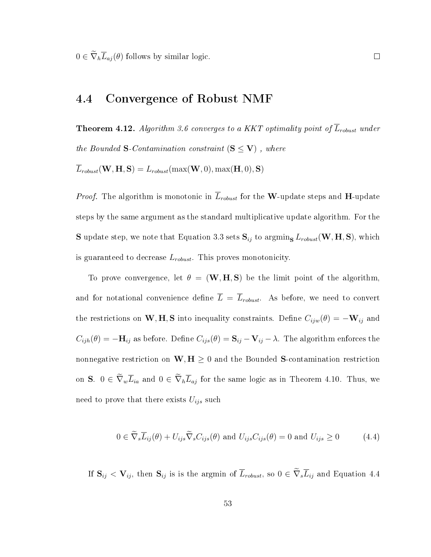$0 \in \widetilde{\nabla}_h \overline{L}_{aj}(\theta)$  follows by similar logic.

### 4.4 Convergence of Robust NMF

**Theorem 4.12.** Algorithm 3.6 converges to a KKT optimality point of  $\overline{L}_{robust}$  under the Bounded S-Contamination constraint  $(S \leq V)$ , where

 $\overline{L}_{robust}(\mathbf{W}, \mathbf{H}, \mathbf{S}) = L_{robust}(\max(\mathbf{W}, 0), \max(\mathbf{H}, 0), \mathbf{S})$ 

*Proof.* The algorithm is monotonic in  $\overline{L}_{robust}$  for the W-update steps and H-update steps by the same argument as the standard multiplicative update algorithm. For the **S** update step, we note that Equation 3.3 sets  $S_{ij}$  to argmin<sub>S</sub>  $L_{robust}$  (W, H, S), which is guaranteed to decrease  $L_{robust}$ . This proves monotonicity.

To prove convergence, let  $\theta = (\mathbf{W}, \mathbf{H}, \mathbf{S})$  be the limit point of the algorithm, and for notational convenience define  $\overline{L} = \overline{L}_{robust}$ . As before, we need to convert the restrictions on W, H, S into inequality constraints. Define  $C_{ijw}(\theta) = -\mathbf{W}_{ij}$  and  $C_{ijh}(\theta) = -\mathbf{H}_{ij}$  as before. Define  $C_{ijs}(\theta) = \mathbf{S}_{ij} - \mathbf{V}_{ij} - \lambda$ . The algorithm enforces the nonnegative restriction on  $W, H \geq 0$  and the Bounded S-contamination restriction on S.  $0 \in \widetilde{\nabla}_w \overline{L}_{ia}$  and  $0 \in \widetilde{\nabla}_h \overline{L}_{aj}$  for the same logic as in Theorem 4.10. Thus, we need to prove that there exists  $U_{ijs}$  such

$$
0 \in \widetilde{\nabla}_s \overline{L}_{ij}(\theta) + U_{ijs} \widetilde{\nabla}_s C_{ijs}(\theta) \text{ and } U_{ijs} C_{ijs}(\theta) = 0 \text{ and } U_{ijs} \ge 0 \tag{4.4}
$$

If  $S_{ij} < V_{ij}$ , then  $S_{ij}$  is is the argmin of  $\overline{L}_{robust}$ , so  $0 \in \widetilde{\nabla}_s \overline{L}_{ij}$  and Equation 4.4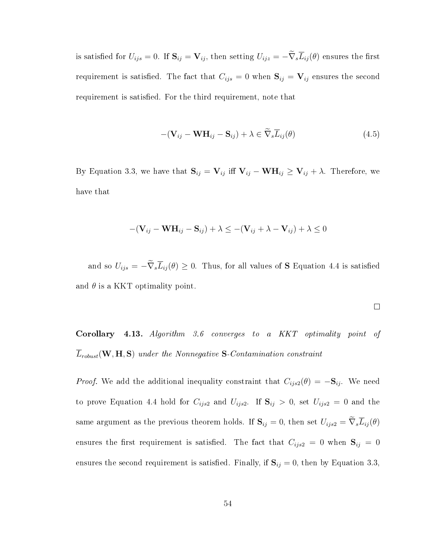is satisfied for  $U_{ijs} = 0$ . If  $S_{ij} = V_{ij}$ , then setting  $U_{ijz} = -\tilde{\nabla}_s \overline{L}_{ij}(\theta)$  ensures the first requirement is satisfied. The fact that  $C_{ijs} = 0$  when  $S_{ij} = V_{ij}$  ensures the second requirement is satisfied. For the third requirement, note that

$$
-(\mathbf{V}_{ij} - \mathbf{W}\mathbf{H}_{ij} - \mathbf{S}_{ij}) + \lambda \in \tilde{\nabla}_s \overline{L}_{ij}(\theta)
$$
(4.5)

By Equation 3.3, we have that  $S_{ij} = V_{ij}$  iff  $V_{ij} - WH_{ij} \geq V_{ij} + \lambda$ . Therefore, we have that

$$
-(\mathbf{V}_{ij} - \mathbf{W}\mathbf{H}_{ij} - \mathbf{S}_{ij}) + \lambda \leq -(\mathbf{V}_{ij} + \lambda - \mathbf{V}_{ij}) + \lambda \leq 0
$$

and so  $U_{ijs} = -\tilde{\nabla}_s \overline{L}_{ij}(\theta) \geq 0$ . Thus, for all values of S Equation 4.4 is satisfied and  $\theta$  is a KKT optimality point.

Corollary 4.13. Algorithm 3.6 converges to a KKT optimality point of  $\overline{L}_{robust}(\mathbf{W}, \mathbf{H}, \mathbf{S})$  under the Nonnegative S-Contamination constraint

*Proof.* We add the additional inequality constraint that  $C_{ijs2}(\theta) = -S_{ij}$ . We need to prove Equation 4.4 hold for  $C_{ijs2}$  and  $U_{ijs2}$ . If  $S_{ij} > 0$ , set  $U_{ijs2} = 0$  and the same argument as the previous theorem holds. If  $S_{ij} = 0$ , then set  $U_{ijs2} = \tilde{\nabla}_s \overline{L}_{ij}(\theta)$ ensures the first requirement is satisfied. The fact that  $C_{ijs2} = 0$  when  $S_{ij} = 0$ ensures the second requirement is satisfied. Finally, if  $S_{ij} = 0$ , then by Equation 3.3,

 $\Box$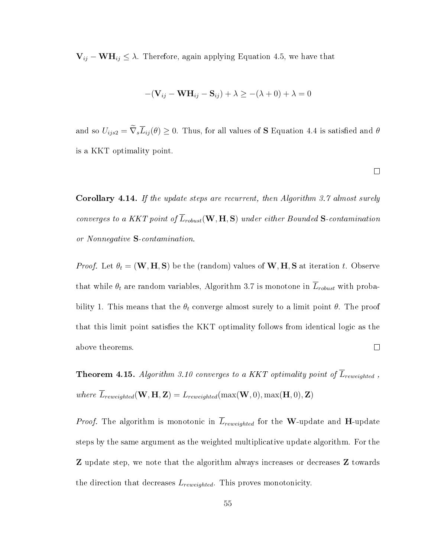$V_{ij} - WH_{ij} \leq \lambda$ . Therefore, again applying Equation 4.5, we have that

$$
-(\mathbf{V}_{ij} - \mathbf{W}\mathbf{H}_{ij} - \mathbf{S}_{ij}) + \lambda \geq -(\lambda + 0) + \lambda = 0
$$

and so  $U_{ijs2} = \tilde{\nabla}_s \overline{L}_{ij}(\theta) \geq 0$ . Thus, for all values of **S** Equation 4.4 is satisfied and  $\theta$ is a KKT optimality point.

 $\Box$ 

Corollary 4.14. If the update steps are recurrent, then Algorithm 3.7 almost surely converges to a KKT point of  $\overline{L}_{robust}(\mathbf{W}, \mathbf{H}, \mathbf{S})$  under either Bounded S-contamination or Nonnegative S-contamination.

*Proof.* Let  $\theta_t = (\mathbf{W}, \mathbf{H}, \mathbf{S})$  be the (random) values of  $\mathbf{W}, \mathbf{H}, \mathbf{S}$  at iteration t. Observe that while  $\theta_t$  are random variables, Algorithm 3.7 is monotone in  $\overline{L}_{robust}$  with probability 1. This means that the  $\theta_t$  converge almost surely to a limit point  $\theta$ . The proof that this limit point satisfies the KKT optimality follows from identical logic as the above theorems.  $\Box$ 

**Theorem 4.15.** Algorithm 3.10 converges to a KKT optimality point of  $\overline{L}_{reweighted}$ , where  $\overline{L}_{reweighted}(\mathbf{W}, \mathbf{H}, \mathbf{Z}) = L_{reweighted}(\max(\mathbf{W}, 0), \max(\mathbf{H}, 0), \mathbf{Z})$ 

*Proof.* The algorithm is monotonic in  $\overline{L}_{reweighted}$  for the W-update and H-update steps by the same argument as the weighted multiplicative update algorithm. For the **Z** update step, we note that the algorithm always increases or decreases **Z** towards the direction that decreases  $L_{reweighted}$ . This proves monotonicity.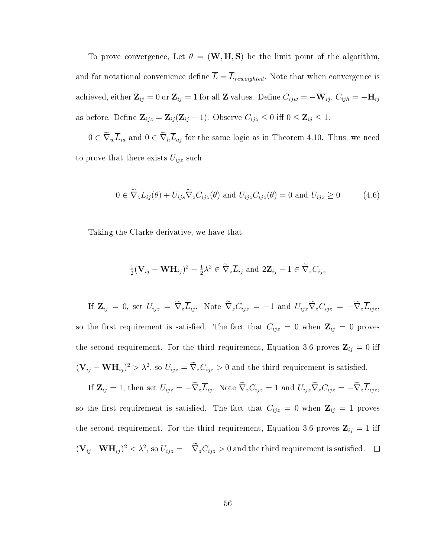To prove convergence, Let  $\theta = (\mathbf{W}, \mathbf{H}, \mathbf{S})$  be the limit point of the algorithm, and for notational convenience define  $\overline{L} = \overline{L}_{reweighted}$ . Note that when convergence is achieved, either  $\mathbf{Z}_{ij} = 0$  or  $\mathbf{Z}_{ij} = 1$  for all  $\mathbf{Z}$  values. Define  $C_{ijw} = -\mathbf{W}_{ij}$ ,  $C_{ijh} = -\mathbf{H}_{ij}$ as before. Define  $\mathbf{Z}_{ijz} = \mathbf{Z}_{ij} (\mathbf{Z}_{ij} - 1)$ . Observe  $C_{ijz} \leq 0$  iff  $0 \leq \mathbf{Z}_{ij} \leq 1$ .

 $0 \in \widetilde{\nabla}_{w}\overline{L}_{ia}$  and  $0 \in \widetilde{\nabla}_{h}\overline{L}_{aj}$  for the same logic as in Theorem 4.10. Thus, we need to prove that there exists  $U_{ijz}$  such

$$
0 \in \widetilde{\nabla}_z \overline{L}_{ij}(\theta) + U_{ijs} \widetilde{\nabla}_z C_{ijz}(\theta) \text{ and } U_{ijz} C_{ijz}(\theta) = 0 \text{ and } U_{ijz} \ge 0 \tag{4.6}
$$

Taking the Clarke derivative, we have that

$$
\frac{1}{2}(\mathbf{V}_{ij} - \mathbf{W}\mathbf{H}_{ij})^2 - \frac{1}{2}\lambda^2 \in \widetilde{\nabla}_z \overline{L}_{ij} \text{ and } 2\mathbf{Z}_{ij} - 1 \in \widetilde{\nabla}_z C_{ijz}
$$

If  $\mathbf{Z}_{ij} = 0$ , set  $U_{ijz} = \widetilde{\nabla}_z \overline{L}_{ij}$ . Note  $\widetilde{\nabla}_z C_{ijz} = -1$  and  $U_{ijz} \widetilde{\nabla}_z C_{ijz} = -\widetilde{\nabla}_z \overline{L}_{ijz}$ so the first requirement is satisfied. The fact that  $C_{ijz} = 0$  when  $\mathbf{Z}_{ij} = 0$  proves the second requirement. For the third requirement, Equation 3.6 proves  $\mathbf{Z}_{ij} = 0$  iff  $(\mathbf{V}_{ij} - \mathbf{W} \mathbf{H}_{ij})^2 > \lambda^2$ , so  $U_{ijz} = \nabla_z C_{ijz} > 0$  and the third requirement is satisfied.

If  $\mathbf{Z}_{ij} = 1$ , then set  $U_{ijz} = -\tilde{\nabla}_z \overline{L}_{ij}$ . Note  $\tilde{\nabla}_z C_{ijz} = 1$  and  $U_{ijz} \tilde{\nabla}_z C_{ijz} = -\tilde{\nabla}_z \overline{L}_{ijz}$ , so the first requirement is satisfied. The fact that  $C_{ijz} = 0$  when  $\mathbf{Z}_{ij} = 1$  proves the second requirement. For the third requirement, Equation 3.6 proves  $\mathbf{Z}_{ij} = 1$  iff  $(\mathbf{V}_{ij}-\mathbf{W}\mathbf{H}_{ij})^2 < \lambda^2$ , so  $U_{ijz} = -\nabla_z C_{ijz} > 0$  and the third requirement is satisfied.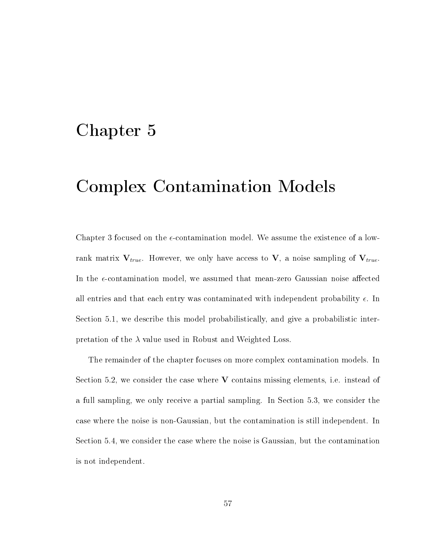## Chapter 5

## Complex Contamination Models

Chapter 3 focused on the  $\epsilon$ -contamination model. We assume the existence of a lowrank matrix  $V_{true}$ . However, we only have access to V, a noise sampling of  $V_{true}$ . In the e-contamination model, we assumed that mean-zero Gaussian noise affected all entries and that each entry was contaminated with independent probability  $\epsilon$ . In Section 5.1, we describe this model probabilistically, and give a probabilistic interpretation of the  $\lambda$  value used in Robust and Weighted Loss.

The remainder of the chapter focuses on more complex contamination models. In Section 5.2, we consider the case where  $V$  contains missing elements, i.e. instead of a full sampling, we only receive a partial sampling. In Section 5.3, we consider the case where the noise is non-Gaussian, but the contamination is still independent. In Section 5.4, we consider the case where the noise is Gaussian, but the contamination is not independent.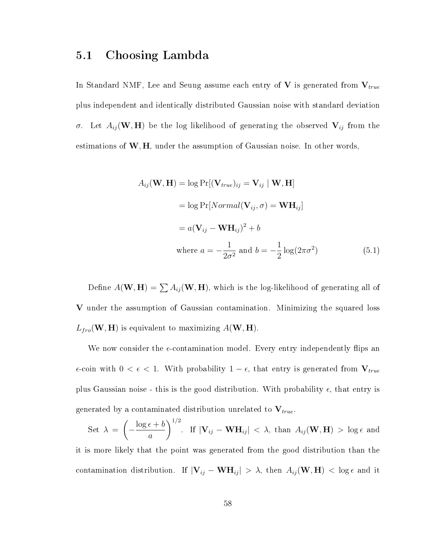## 5.1 Choosing Lambda

In Standard NMF, Lee and Seung assume each entry of  $V$  is generated from  $V_{true}$ plus independent and identically distributed Gaussian noise with standard deviation σ. Let  $A_{ij}$  (W, H) be the log likelihood of generating the observed  $V_{ij}$  from the estimations of  $W, H$ , under the assumption of Gaussian noise. In other words,

$$
A_{ij}(\mathbf{W}, \mathbf{H}) = \log \Pr[(\mathbf{V}_{true})_{ij} = \mathbf{V}_{ij} | \mathbf{W}, \mathbf{H}]
$$
  
= log Pr[Normal( $\mathbf{V}_{ij}, \sigma$ ) =  $\mathbf{W} \mathbf{H}_{ij}$ ]  
=  $a(\mathbf{V}_{ij} - \mathbf{W} \mathbf{H}_{ij})^2 + b$   
where  $a = -\frac{1}{2\sigma^2}$  and  $b = -\frac{1}{2} \log(2\pi\sigma^2)$  (5.1)

Define  $A(\mathbf{W}, \mathbf{H}) = \sum A_{ij}(\mathbf{W}, \mathbf{H})$ , which is the log-likelihood of generating all of V under the assumption of Gaussian contamination. Minimizing the squared loss  $L_{fro}(\mathbf{W}, \mathbf{H})$  is equivalent to maximizing  $A(\mathbf{W}, \mathbf{H})$ .

We now consider the  $\epsilon$ -contamination model. Every entry independently flips an  $\epsilon$ -coin with  $0 < \epsilon < 1$ . With probability  $1 - \epsilon$ , that entry is generated from  $V_{true}$ plus Gaussian noise - this is the good distribution. With probability  $\epsilon$ , that entry is generated by a contaminated distribution unrelated to  $V_{true}$ .

Set  $\lambda =$  $\sqrt{ }$  $-\frac{\log \epsilon + b}{\epsilon}$ a  $\setminus$ <sup>1/2</sup> . If  $|\mathbf{V}_{ij} - \mathbf{W} \mathbf{H}_{ij}| < \lambda$ , than  $A_{ij}(\mathbf{W}, \mathbf{H}) > \log \epsilon$  and it is more likely that the point was generated from the good distribution than the

contamination distribution. If  $|\mathbf{V}_{ij} - \mathbf{W} \mathbf{H}_{ij}| > \lambda$ , then  $A_{ij}(\mathbf{W}, \mathbf{H}) < \log \epsilon$  and it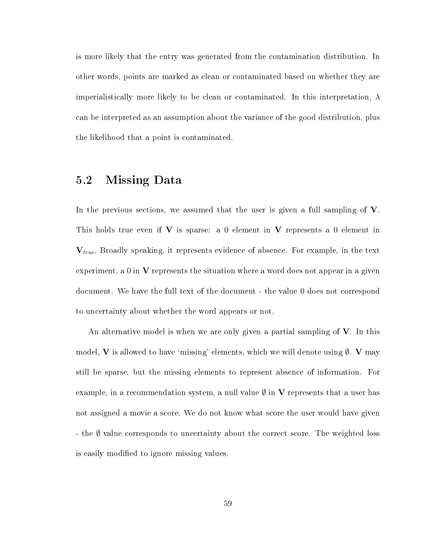is more likely that the entry was generated from the contamination distribution. In other words, points are marked as clean or contaminated based on whether they are imperialistically more likely to be clean or contaminated. In this interpretation,  $\lambda$ can be interpreted as an assumption about the variance of the good distribution, plus the likelihood that a point is contaminated.

## 5.2 Missing Data

In the previous sections, we assumed that the user is given a full sampling of V. This holds true even if  $V$  is sparse: a 0 element in  $V$  represents a 0 element in  $V_{true}$ , Broadly speaking, it represents evidence of absence. For example, in the text experiment, a  $0$  in  $V$  represents the situation where a word does not appear in a given document. We have the full text of the document - the value 0 does not correspond to uncertainty about whether the word appears or not.

An alternative model is when we are only given a partial sampling of  $V$ . In this model, V is allowed to have 'missing' elements, which we will denote using  $\emptyset$ . V may still be sparse, but the missing elements to represent absence of information. For example, in a recommendation system, a null value  $\emptyset$  in V represents that a user has not assigned a movie a score. We do not know what score the user would have given - the  $\emptyset$  value corresponds to uncertainty about the correct score. The weighted loss is easily modified to ignore missing values.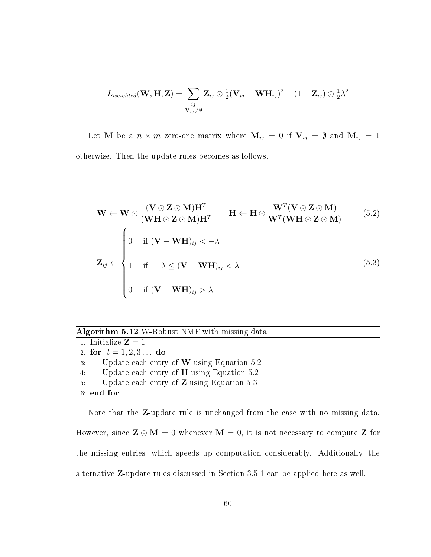$$
L_{weighted}(\mathbf{W}, \mathbf{H}, \mathbf{Z}) = \sum_{\substack{ij \\ \mathbf{V}_{ij} \neq \emptyset}} \mathbf{Z}_{ij} \odot \frac{1}{2} (\mathbf{V}_{ij} - \mathbf{W} \mathbf{H}_{ij})^2 + (1 - \mathbf{Z}_{ij}) \odot \frac{1}{2} \lambda^2
$$

Let **M** be a  $n \times m$  zero-one matrix where  $M_{ij} = 0$  if  $V_{ij} = \emptyset$  and  $M_{ij} = 1$ otherwise. Then the update rules becomes as follows.

$$
\mathbf{W} \leftarrow \mathbf{W} \odot \frac{(\mathbf{V} \odot \mathbf{Z} \odot \mathbf{M})\mathbf{H}^T}{(\mathbf{W} \mathbf{H} \odot \mathbf{Z} \odot \mathbf{M})\mathbf{H}^T} \qquad \mathbf{H} \leftarrow \mathbf{H} \odot \frac{\mathbf{W}^T(\mathbf{V} \odot \mathbf{Z} \odot \mathbf{M})}{\mathbf{W}^T(\mathbf{W} \mathbf{H} \odot \mathbf{Z} \odot \mathbf{M})} \qquad (5.2)
$$
  

$$
\mathbf{Z}_{ij} \leftarrow \begin{cases} 0 & \text{if } (\mathbf{V} - \mathbf{W} \mathbf{H})_{ij} < -\lambda \\ 1 & \text{if } -\lambda \le (\mathbf{V} - \mathbf{W} \mathbf{H})_{ij} < \lambda \\ 0 & \text{if } (\mathbf{V} - \mathbf{W} \mathbf{H})_{ij} > \lambda \end{cases} \qquad (5.3)
$$

| Algorithm 5.12 W-Robust NMF with missing data |  |  |  |  |  |  |
|-----------------------------------------------|--|--|--|--|--|--|
|-----------------------------------------------|--|--|--|--|--|--|

| 1. Initialize $\mathbf{Z} = 1$                             |
|------------------------------------------------------------|
| 2. for $t = 1, 2, 3$ do                                    |
| Update each entry of $W$ using Equation 5.2<br>3.          |
| Update each entry of $H$ using Equation 5.2<br>$4^{\circ}$ |
| Update each entry of $Z$ using Equation 5.3<br>5.          |
| 6 end for                                                  |

Note that the Z-update rule is unchanged from the case with no missing data. However, since  $\mathbf{Z} \odot \mathbf{M} = 0$  whenever  $\mathbf{M} = 0$ , it is not necessary to compute  $\mathbf{Z}$  for the missing entries, which speeds up computation considerably. Additionally, the alternative Z-update rules discussed in Section 3.5.1 can be applied here as well.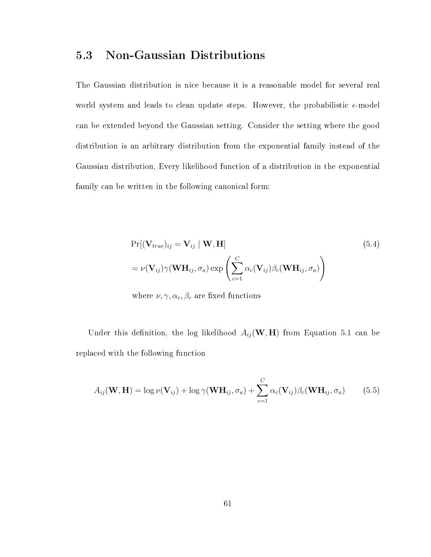## 5.3 Non-Gaussian Distributions

The Gaussian distribution is nice because it is a reasonable model for several real world system and leads to clean update steps. However, the probabilistic  $\epsilon$ -model can be extended beyond the Gaussian setting. Consider the setting where the good distribution is an arbitrary distribution from the exponential family instead of the Gaussian distribution, Every likelihood function of a distribution in the exponential family can be written in the following canonical form:

$$
Pr[(\mathbf{V}_{true})_{ij} = \mathbf{V}_{ij} | \mathbf{W}, \mathbf{H}]
$$
\n
$$
= \nu(\mathbf{V}_{ij})\gamma(\mathbf{W}\mathbf{H}_{ij}, \sigma_a) \exp\left(\sum_{c=1}^{C} \alpha_c(\mathbf{V}_{ij})\beta_c(\mathbf{W}\mathbf{H}_{ij}, \sigma_a)\right)
$$
\n(5.4)

where  $\nu, \gamma, \alpha_c, \beta_c$  are fixed functions

Under this definition, the log likelihood  $A_{ij}$  (W, H) from Equation 5.1 can be replaced with the following function

$$
A_{ij}(\mathbf{W}, \mathbf{H}) = \log \nu(\mathbf{V}_{ij}) + \log \gamma(\mathbf{W} \mathbf{H}_{ij}, \sigma_a) + \sum_{c=1}^{C} \alpha_c(\mathbf{V}_{ij}) \beta_c(\mathbf{W} \mathbf{H}_{ij}, \sigma_a)
$$
(5.5)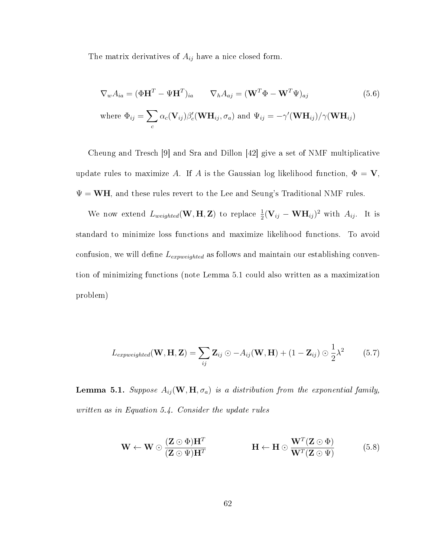The matrix derivatives of  $A_{ij}$  have a nice closed form.

$$
\nabla_w A_{ia} = (\Phi \mathbf{H}^T - \Psi \mathbf{H}^T)_{ia} \qquad \nabla_h A_{aj} = (\mathbf{W}^T \Phi - \mathbf{W}^T \Psi)_{aj}
$$
(5.6)  
where  $\Phi_{ij} = \sum_c \alpha_c (\mathbf{V}_{ij}) \beta'_c (\mathbf{W} \mathbf{H}_{ij}, \sigma_a)$  and  $\Psi_{ij} = -\gamma' (\mathbf{W} \mathbf{H}_{ij})/\gamma (\mathbf{W} \mathbf{H}_{ij})$ 

Cheung and Tresch [9] and Sra and Dillon [42] give a set of NMF multiplicative update rules to maximize A. If A is the Gaussian log likelihood function,  $\Phi = \mathbf{V}$ ,  $\Psi = WH$ , and these rules revert to the Lee and Seung's Traditional NMF rules.

We now extend  $L_{weighted}(\mathbf{W}, \mathbf{H}, \mathbf{Z})$  to replace  $\frac{1}{2}(\mathbf{V}_{ij} - \mathbf{W} \mathbf{H}_{ij})^2$  with  $A_{ij}$ . It is standard to minimize loss functions and maximize likelihood functions. To avoid confusion, we will define  $L_{expweighted}$  as follows and maintain our establishing convention of minimizing functions (note Lemma 5.1 could also written as a maximization problem)

$$
L_{expweighted}(\mathbf{W}, \mathbf{H}, \mathbf{Z}) = \sum_{ij} \mathbf{Z}_{ij} \odot -A_{ij}(\mathbf{W}, \mathbf{H}) + (1 - \mathbf{Z}_{ij}) \odot \frac{1}{2} \lambda^2 \tag{5.7}
$$

**Lemma 5.1.** Suppose  $A_{ij}(\mathbf{W}, \mathbf{H}, \sigma_a)$  is a distribution from the exponential family, written as in Equation 5.4. Consider the update rules

$$
\mathbf{W} \leftarrow \mathbf{W} \odot \frac{(\mathbf{Z} \odot \Phi) \mathbf{H}^T}{(\mathbf{Z} \odot \Psi) \mathbf{H}^T} \qquad \qquad \mathbf{H} \leftarrow \mathbf{H} \odot \frac{\mathbf{W}^T(\mathbf{Z} \odot \Phi)}{\mathbf{W}^T(\mathbf{Z} \odot \Psi)} \qquad (5.8)
$$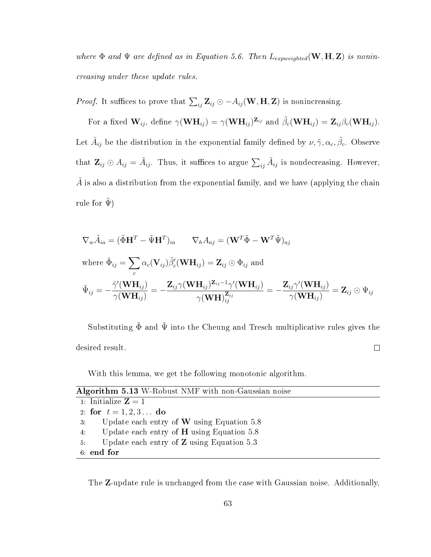where  $\Phi$  and  $\Psi$  are defined as in Equation 5.6. Then  $L_{expweighted}(\mathbf{W}, \mathbf{H}, \mathbf{Z})$  is nonincreasing under these update rules.

*Proof.* It suffices to prove that  $\sum_{ij} \mathbf{Z}_{ij} \odot -A_{ij}(\mathbf{W}, \mathbf{H}, \mathbf{Z})$  is nonincreasing.

For a fixed  $\mathbf{W}_{ij}$ , define  $\gamma(\mathbf{W}\mathbf{H}_{ij}) = \gamma(\mathbf{W}\mathbf{H}_{ij})^{\mathbf{Z}_{ij}}$  and  $\tilde{\beta}_{c}(\mathbf{W}\mathbf{H}_{ij}) = \mathbf{Z}_{ij}\beta_{c}(\mathbf{W}\mathbf{H}_{ij}).$ Let  $\tilde{A}_{ij}$  be the distribution in the exponential family defined by  $\nu, \tilde{\gamma}, \alpha_c, \tilde{\beta}_c$ . Observe that  $\mathbf{Z}_{ij} \odot A_{ij} = \tilde{A}_{ij}$ . Thus, it suffices to argue  $\sum_{ij} \tilde{A}_{ij}$  is nondecreasing. However, A is also a distribution from the exponential family, and we have (applying the chain rule for  $\tilde{\Psi}$ )

$$
\nabla_w \tilde{A}_{ia} = (\tilde{\Phi} \mathbf{H}^T - \tilde{\Psi} \mathbf{H}^T)_{ia} \qquad \nabla_h A_{aj} = (\mathbf{W}^T \tilde{\Phi} - \mathbf{W}^T \tilde{\Psi})_{aj}
$$
\nwhere  $\tilde{\Phi}_{ij} = \sum_c \alpha_c (\mathbf{V}_{ij}) \tilde{\beta}'_c (\mathbf{W} \mathbf{H}_{ij}) = \mathbf{Z}_{ij} \odot \Phi_{ij}$  and\n
$$
\tilde{\Psi}_{ij} = -\frac{\tilde{\gamma}'(\mathbf{W} \mathbf{H}_{ij})}{\gamma(\mathbf{W} \mathbf{H}_{ij})} = -\frac{\mathbf{Z}_{ij} \gamma(\mathbf{W} \mathbf{H}_{ij}) \mathbf{Z}_{ij} - \frac{1}{\gamma(\mathbf{W} \mathbf{H}_{ij})}}{\gamma(\mathbf{W} \mathbf{H}_{ij})} = -\frac{\mathbf{Z}_{ij} \gamma'(\mathbf{W} \mathbf{H}_{ij})}{\gamma(\mathbf{W} \mathbf{H}_{ij})} = \mathbf{Z}_{ij} \odot \Psi_{ij}
$$

Substituting  $\tilde{\Phi}$  and  $\tilde{\Psi}$  into the Cheung and Tresch multiplicative rules gives the desired result.  $\Box$ 

With this lemma, we get the following monotonic algorithm.

| Algorithm 5.13 W-Robust NMF with non-Gaussian noise             |
|-----------------------------------------------------------------|
| 1. Initialize $\mathbf{Z}=1$                                    |
| 2 for $t = 1, 2, 3$ do                                          |
| Update each entry of <b>W</b> using Equation 5.8<br>$3^{\circ}$ |
| 4. Update each entry of <b>H</b> using Equation 5.8             |
| Update each entry of $Z$ using Equation 5.3<br>$5 -$            |
| 6 end for                                                       |

The Z-update rule is unchanged from the case with Gaussian noise. Additionally,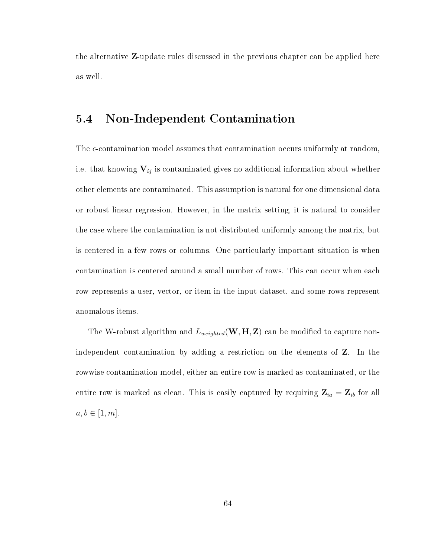the alternative Z-update rules discussed in the previous chapter can be applied here as well.

# 5.4 Non-Independent Contamination

The  $\epsilon$ -contamination model assumes that contamination occurs uniformly at random, i.e. that knowing  $V_{ij}$  is contaminated gives no additional information about whether other elements are contaminated. This assumption is natural for one dimensional data or robust linear regression. However, in the matrix setting, it is natural to consider the case where the contamination is not distributed uniformly among the matrix, but is centered in a few rows or columns. One particularly important situation is when contamination is centered around a small number of rows. This can occur when each row represents a user, vector, or item in the input dataset, and some rows represent anomalous items.

The W-robust algorithm and  $L_{weighted}(\mathbf{W}, \mathbf{H}, \mathbf{Z})$  can be modified to capture nonindependent contamination by adding a restriction on the elements of Z. In the rowwise contamination model, either an entire row is marked as contaminated, or the entire row is marked as clean. This is easily captured by requiring  $\mathbf{Z}_{ia} = \mathbf{Z}_{ib}$  for all  $a, b \in [1, m].$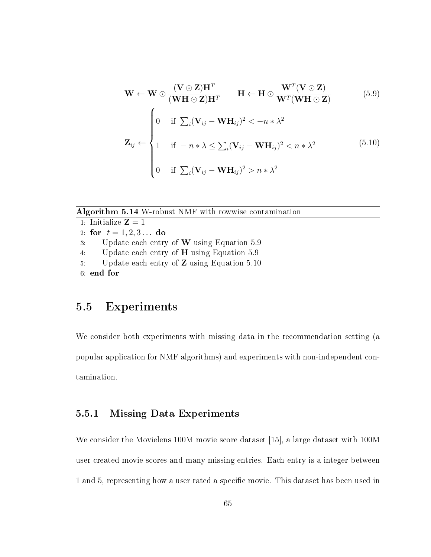$$
\mathbf{W} \leftarrow \mathbf{W} \odot \frac{(\mathbf{V} \odot \mathbf{Z})\mathbf{H}^T}{(\mathbf{W}\mathbf{H} \odot \mathbf{Z})\mathbf{H}^T} \qquad \mathbf{H} \leftarrow \mathbf{H} \odot \frac{\mathbf{W}^T(\mathbf{V} \odot \mathbf{Z})}{\mathbf{W}^T(\mathbf{W}\mathbf{H} \odot \mathbf{Z})} \tag{5.9}
$$
\n
$$
\mathbf{Z}_{ij} \leftarrow \begin{cases}\n0 & \text{if } \sum_i (\mathbf{V}_{ij} - \mathbf{W}\mathbf{H}_{ij})^2 < -n*\lambda^2 \\
1 & \text{if } -n*\lambda \le \sum_i (\mathbf{V}_{ij} - \mathbf{W}\mathbf{H}_{ij})^2 < n*\lambda^2 \\
0 & \text{if } \sum_i (\mathbf{V}_{ij} - \mathbf{W}\mathbf{H}_{ij})^2 > n*\lambda^2\n\end{cases} \tag{5.10}
$$

#### Algorithm 5.14 W-robust NMF with rowwise contamination

1: Initialize  $\mathbf{Z} = 1$ 2: for  $t = 1, 2, 3...$  do 3: Update each entry of W using Equation 5.9 4: Update each entry of H using Equation 5.9 5: Update each entry of Z using Equation 5.10 6: end for

# 5.5 Experiments

We consider both experiments with missing data in the recommendation setting (a popular application for NMF algorithms) and experiments with non-independent contamination.

#### 5.5.1 Missing Data Experiments

We consider the Movielens 100M movie score dataset [15], a large dataset with 100M user-created movie scores and many missing entries. Each entry is a integer between 1 and 5, representing how a user rated a specific movie. This dataset has been used in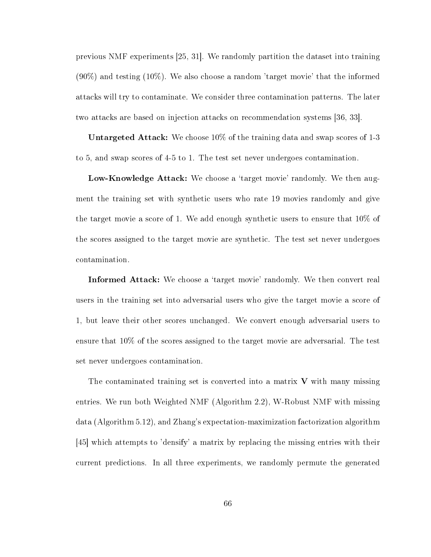previous NMF experiments [25, 31]. We randomly partition the dataset into training (90%) and testing (10%). We also choose a random 'target movie' that the informed attacks will try to contaminate. We consider three contamination patterns. The later two attacks are based on injection attacks on recommendation systems [36, 33].

Untargeted Attack: We choose 10% of the training data and swap scores of 1-3 to 5, and swap scores of 4-5 to 1. The test set never undergoes contamination.

Low-Knowledge Attack: We choose a 'target movie' randomly. We then augment the training set with synthetic users who rate 19 movies randomly and give the target movie a score of 1. We add enough synthetic users to ensure that 10% of the scores assigned to the target movie are synthetic. The test set never undergoes contamination.

Informed Attack: We choose a 'target movie' randomly. We then convert real users in the training set into adversarial users who give the target movie a score of 1, but leave their other scores unchanged. We convert enough adversarial users to ensure that 10% of the scores assigned to the target movie are adversarial. The test set never undergoes contamination.

The contaminated training set is converted into a matrix  $V$  with many missing entries. We run both Weighted NMF (Algorithm 2.2), W-Robust NMF with missing data (Algorithm 5.12), and Zhang's expectation-maximization factorization algorithm [45] which attempts to 'densify' a matrix by replacing the missing entries with their current predictions. In all three experiments, we randomly permute the generated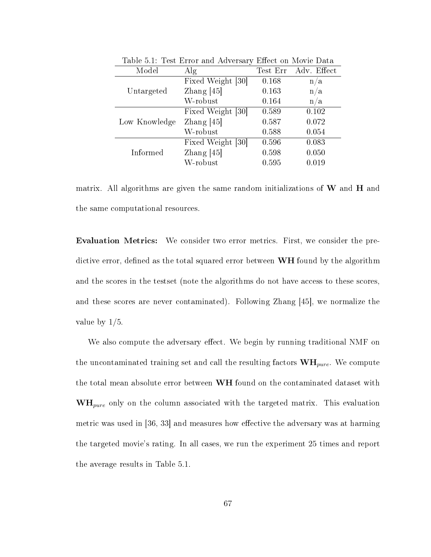| Model         | $\rm{Alg}$          |       | Test Err Adv. Effect |
|---------------|---------------------|-------|----------------------|
|               | Fixed Weight [30]   | 0.168 | n/a                  |
| Untargeted    | Zhang $[45]$        | 0.163 | n/a                  |
|               | W-robust            | 0.164 | n/a                  |
|               | Fixed Weight [30]   | 0.589 | 0.102                |
| Low Knowledge | $\text{Zhang}$ [45] | 0.587 | 0.072                |
|               | W-robust            | 0.588 | 0.054                |
|               | Fixed Weight [30]   | 0.596 | 0.083                |
| Informed      | Zhang $[45]$        | 0.598 | 0.050                |
|               | W-robust            | 0.595 | 0.019                |

Table 5.1: Test Error and Adversary Effect on Movie Data

matrix. All algorithms are given the same random initializations of  $W$  and  $H$  and the same computational resources.

Evaluation Metrics: We consider two error metrics. First, we consider the predictive error, defined as the total squared error between  $WH$  found by the algorithm and the scores in the testset (note the algorithms do not have access to these scores, and these scores are never contaminated). Following Zhang [45], we normalize the value by 1/5.

We also compute the adversary effect. We begin by running traditional NMF on the uncontaminated training set and call the resulting factors  $\textbf{WH}_{pure}$ . We compute the total mean absolute error between WH found on the contaminated dataset with  $\mathbf{WH}_{pure}$  only on the column associated with the targeted matrix. This evaluation metric was used in  $[36, 33]$  and measures how effective the adversary was at harming the targeted movie's rating. In all cases, we run the experiment 25 times and report the average results in Table 5.1.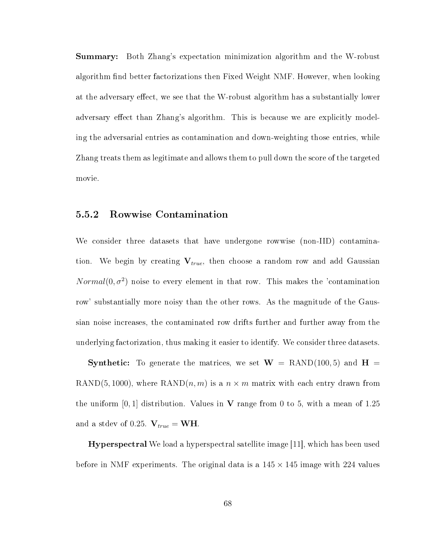Summary: Both Zhang's expectation minimization algorithm and the W-robust algorithm find better factorizations then Fixed Weight NMF. However, when looking at the adversary effect, we see that the W-robust algorithm has a substantially lower adversary effect than Zhang's algorithm. This is because we are explicitly modeling the adversarial entries as contamination and down-weighting those entries, while Zhang treats them as legitimate and allows them to pull down the score of the targeted movie.

#### 5.5.2 Rowwise Contamination

We consider three datasets that have undergone rowwise (non-IID) contamination. We begin by creating  $V_{true}$ , then choose a random row and add Gaussian  $Normal(0, \sigma^2)$  noise to every element in that row. This makes the 'contamination row' substantially more noisy than the other rows. As the magnitude of the Gaussian noise increases, the contaminated row drifts further and further away from the underlying factorization, thus making it easier to identify. We consider three datasets.

**Synthetic:** To generate the matrices, we set  $W =$  RAND(100,5) and  $H =$ RAND(5, 1000), where RAND(n, m) is a  $n \times m$  matrix with each entry drawn from the uniform  $[0, 1]$  distribution. Values in V range from 0 to 5, with a mean of 1.25 and a stdev of 0.25.  $V_{true} = WH$ .

Hyperspectral We load a hyperspectral satellite image [11], which has been used before in NMF experiments. The original data is a  $145 \times 145$  image with 224 values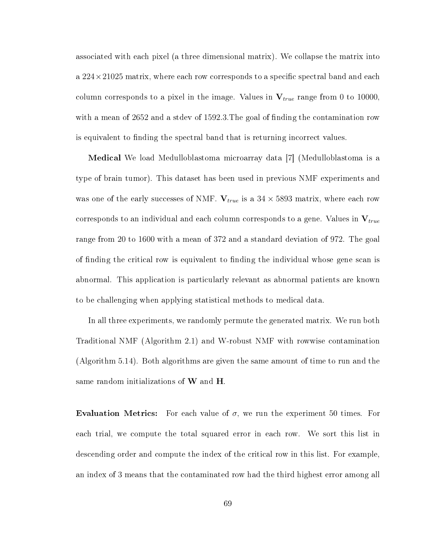associated with each pixel (a three dimensional matrix). We collapse the matrix into a  $224\times21025$  matrix, where each row corresponds to a specific spectral band and each column corresponds to a pixel in the image. Values in  $V_{true}$  range from 0 to 10000, with a mean of 2652 and a stdev of 1592.3. The goal of finding the contamination row is equivalent to finding the spectral band that is returning incorrect values.

Medical We load Medulloblastoma microarray data [7] (Medulloblastoma is a type of brain tumor). This dataset has been used in previous NMF experiments and was one of the early successes of NMF.  $V_{true}$  is a  $34 \times 5893$  matrix, where each row corresponds to an individual and each column corresponds to a gene. Values in  $V_{true}$ range from 20 to 1600 with a mean of 372 and a standard deviation of 972. The goal of finding the critical row is equivalent to finding the individual whose gene scan is abnormal. This application is particularly relevant as abnormal patients are known to be challenging when applying statistical methods to medical data.

In all three experiments, we randomly permute the generated matrix. We run both Traditional NMF (Algorithm 2.1) and W-robust NMF with rowwise contamination (Algorithm 5.14). Both algorithms are given the same amount of time to run and the same random initializations of W and H.

**Evaluation Metrics:** For each value of  $\sigma$ , we run the experiment 50 times. For each trial, we compute the total squared error in each row. We sort this list in descending order and compute the index of the critical row in this list. For example, an index of 3 means that the contaminated row had the third highest error among all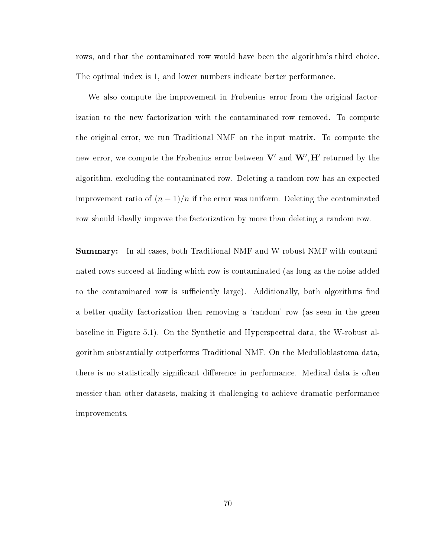rows, and that the contaminated row would have been the algorithm's third choice. The optimal index is 1, and lower numbers indicate better performance.

We also compute the improvement in Frobenius error from the original factorization to the new factorization with the contaminated row removed. To compute the original error, we run Traditional NMF on the input matrix. To compute the new error, we compute the Frobenius error between  $\mathbf{V}'$  and  $\mathbf{W}', \mathbf{H}'$  returned by the algorithm, excluding the contaminated row. Deleting a random row has an expected improvement ratio of  $(n-1)/n$  if the error was uniform. Deleting the contaminated row should ideally improve the factorization by more than deleting a random row.

Summary: In all cases, both Traditional NMF and W-robust NMF with contaminated rows succeed at finding which row is contaminated (as long as the noise added to the contaminated row is sufficiently large). Additionally, both algorithms find a better quality factorization then removing a 'random' row (as seen in the green baseline in Figure 5.1). On the Synthetic and Hyperspectral data, the W-robust algorithm substantially outperforms Traditional NMF. On the Medulloblastoma data, there is no statistically significant difference in performance. Medical data is often messier than other datasets, making it challenging to achieve dramatic performance improvements.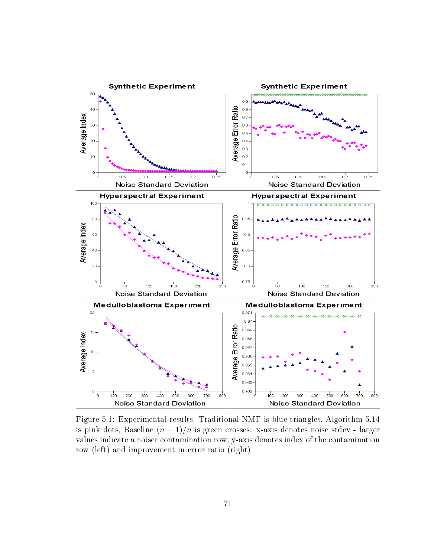

Figure 5.1: Experimental results. Traditional NMF is blue triangles, Algorithm 5.14 is pink dots, Baseline  $(n-1)/n$  is green crosses. x-axis denotes noise stdev - larger values indicate a noiser contamination row; y-axis denotes index of the contamination row (left) and improvement in error ratio (right)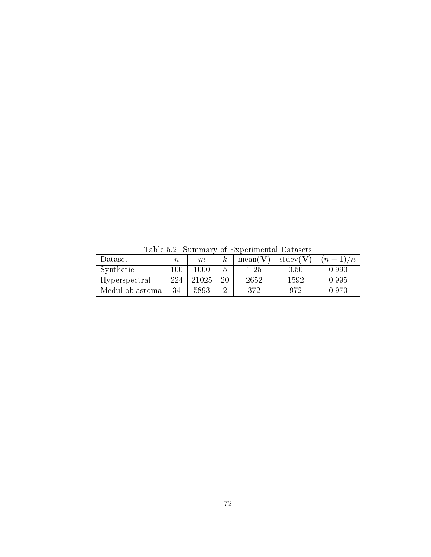| тарто отд. ранным у от длуренностоя дамарсы |         |       |    |         |                              |       |  |  |  |
|---------------------------------------------|---------|-------|----|---------|------------------------------|-------|--|--|--|
| Dataset                                     | n       | m     | К  | mean(V) | $\mathrm{stdev}(\mathbf{V})$ | $n -$ |  |  |  |
| Synthetic                                   | $100\,$ | 1000  |    | 1.25    | 0.50                         | 0.990 |  |  |  |
| Hyperspectral                               | 224     | 21025 | 20 | 2652    | 1592                         | 0.995 |  |  |  |
| Medulloblastoma                             | 34      | 5893  |    | 372     | 972                          | 0.970 |  |  |  |

Table 5.2: Summary of Experimental Datasets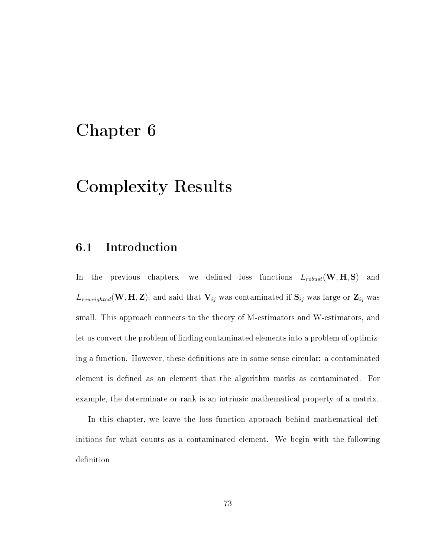# Chapter 6

# Complexity Results

# 6.1 Introduction

In the previous chapters, we defined loss functions  $L_{robust}(\mathbf{W}, \mathbf{H}, \mathbf{S})$  and  $L_{reweighted}(\mathbf{W}, \mathbf{H}, \mathbf{Z})$ , and said that  $\mathbf{V}_{ij}$  was contaminated if  $\mathbf{S}_{ij}$  was large or  $\mathbf{Z}_{ij}$  was small. This approach connects to the theory of M-estimators and W-estimators, and let us convert the problem of finding contaminated elements into a problem of optimizing a function. However, these definitions are in some sense circular: a contaminated element is defined as an element that the algorithm marks as contaminated. For example, the determinate or rank is an intrinsic mathematical property of a matrix.

In this chapter, we leave the loss function approach behind mathematical definitions for what counts as a contaminated element. We begin with the following definition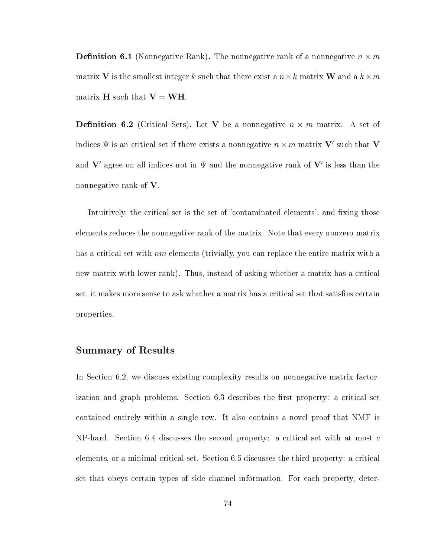**Definition 6.1** (Nonnegative Rank). The nonnegative rank of a nonnegative  $n \times m$ matrix V is the smallest integer k such that there exist a  $n \times k$  matrix W and a  $k \times m$ matrix  $H$  such that  $V = WH$ .

**Definition 6.2** (Critical Sets). Let V be a nonnegative  $n \times m$  matrix. A set of indices  $\Psi$  is an critical set if there exists a nonnegative  $n\times m$  matrix  ${\bf V}'$  such that  ${\bf V}$ and  $V'$  agree on all indices not in  $\Psi$  and the nonnegative rank of  $V'$  is less than the nonnegative rank of V.

Intuitively, the critical set is the set of 'contaminated elements', and fixing those elements reduces the nonnegative rank of the matrix. Note that every nonzero matrix has a critical set with  $nm$  elements (trivially, you can replace the entire matrix with a new matrix with lower rank). Thus, instead of asking whether a matrix has a critical set, it makes more sense to ask whether a matrix has a critical set that satisfies certain properties.

#### Summary of Results

In Section 6.2, we discuss existing complexity results on nonnegative matrix factorization and graph problems. Section 6.3 describes the first property: a critical set contained entirely within a single row. It also contains a novel proof that NMF is NP-hard. Section 6.4 discusses the second property: a critical set with at most  $c$ elements, or a minimal critical set. Section 6.5 discusses the third property: a critical set that obeys certain types of side channel information. For each property, deter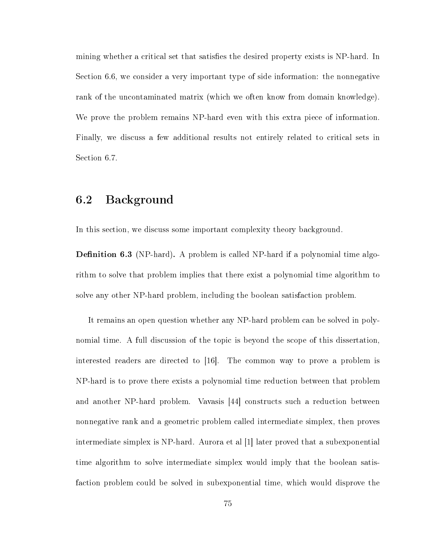mining whether a critical set that satisfies the desired property exists is NP-hard. In Section 6.6, we consider a very important type of side information: the nonnegative rank of the uncontaminated matrix (which we often know from domain knowledge). We prove the problem remains NP-hard even with this extra piece of information. Finally, we discuss a few additional results not entirely related to critical sets in Section 6.7.

# 6.2 Background

In this section, we discuss some important complexity theory background.

**Definition 6.3** (NP-hard). A problem is called NP-hard if a polynomial time algorithm to solve that problem implies that there exist a polynomial time algorithm to solve any other NP-hard problem, including the boolean satisfaction problem.

It remains an open question whether any NP-hard problem can be solved in polynomial time. A full discussion of the topic is beyond the scope of this dissertation, interested readers are directed to [16]. The common way to prove a problem is NP-hard is to prove there exists a polynomial time reduction between that problem and another NP-hard problem. Vavasis [44] constructs such a reduction between nonnegative rank and a geometric problem called intermediate simplex, then proves intermediate simplex is NP-hard. Aurora et al [1] later proved that a subexponential time algorithm to solve intermediate simplex would imply that the boolean satisfaction problem could be solved in subexponential time, which would disprove the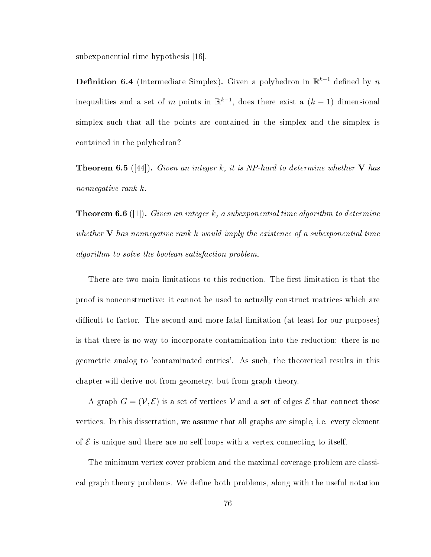subexponential time hypothesis [16].

**Definition 6.4** (Intermediate Simplex). Given a polyhedron in  $\mathbb{R}^{k-1}$  defined by n inequalities and a set of m points in  $\mathbb{R}^{k-1}$ , does there exist a  $(k-1)$  dimensional simplex such that all the points are contained in the simplex and the simplex is contained in the polyhedron?

**Theorem 6.5** ([44]). Given an integer k, it is NP-hard to determine whether V has nonnegative rank k.

**Theorem 6.6** ([1]). Given an integer k, a subexponential time algorithm to determine whether  $V$  has nonnegative rank k would imply the existence of a subexponential time algorithm to solve the boolean satisfaction problem.

There are two main limitations to this reduction. The first limitation is that the proof is nonconstructive: it cannot be used to actually construct matrices which are difficult to factor. The second and more fatal limitation (at least for our purposes) is that there is no way to incorporate contamination into the reduction: there is no geometric analog to 'contaminated entries'. As such, the theoretical results in this chapter will derive not from geometry, but from graph theory.

A graph  $G = (\mathcal{V}, \mathcal{E})$  is a set of vertices V and a set of edges E that connect those vertices. In this dissertation, we assume that all graphs are simple, i.e. every element of  $\mathcal E$  is unique and there are no self loops with a vertex connecting to itself.

The minimum vertex cover problem and the maximal coverage problem are classical graph theory problems. We define both problems, along with the useful notation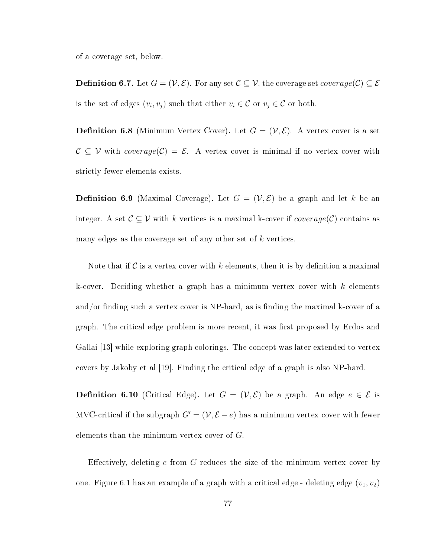of a coverage set, below.

**Definition 6.7.** Let  $G = (\mathcal{V}, \mathcal{E})$ . For any set  $\mathcal{C} \subseteq \mathcal{V}$ , the coverage set *coverage*( $\mathcal{C}$ )  $\subseteq \mathcal{E}$ is the set of edges  $(v_i, v_j)$  such that either  $v_i \in \mathcal{C}$  or  $v_j \in \mathcal{C}$  or both.

**Definition 6.8** (Minimum Vertex Cover). Let  $G = (\mathcal{V}, \mathcal{E})$ . A vertex cover is a set  $C \subseteq V$  with  $coverage(C) = \mathcal{E}$ . A vertex cover is minimal if no vertex cover with strictly fewer elements exists.

**Definition 6.9** (Maximal Coverage). Let  $G = (\mathcal{V}, \mathcal{E})$  be a graph and let k be an integer. A set  $\mathcal{C} \subseteq \mathcal{V}$  with k vertices is a maximal k-cover if  $coverage(\mathcal{C})$  contains as many edges as the coverage set of any other set of k vertices.

Note that if  $\mathcal C$  is a vertex cover with k elements, then it is by definition a maximal k-cover. Deciding whether a graph has a minimum vertex cover with  $k$  elements and/or finding such a vertex cover is NP-hard, as is finding the maximal k-cover of a graph. The critical edge problem is more recent, it was first proposed by Erdos and Gallai [13] while exploring graph colorings. The concept was later extended to vertex covers by Jakoby et al [19]. Finding the critical edge of a graph is also NP-hard.

**Definition 6.10** (Critical Edge). Let  $G = (\mathcal{V}, \mathcal{E})$  be a graph. An edge  $e \in \mathcal{E}$  is MVC-critical if the subgraph  $G' = (\mathcal{V}, \mathcal{E} - e)$  has a minimum vertex cover with fewer elements than the minimum vertex cover of G.

Effectively, deleting  $e$  from  $G$  reduces the size of the minimum vertex cover by one. Figure 6.1 has an example of a graph with a critical edge - deleting edge  $(v_1, v_2)$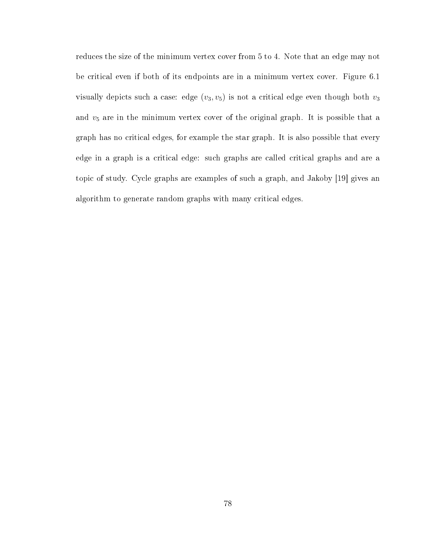reduces the size of the minimum vertex cover from 5 to 4. Note that an edge may not be critical even if both of its endpoints are in a minimum vertex cover. Figure 6.1 visually depicts such a case: edge  $(v_3, v_5)$  is not a critical edge even though both  $v_3$ and  $v<sub>5</sub>$  are in the minimum vertex cover of the original graph. It is possible that a graph has no critical edges, for example the star graph. It is also possible that every edge in a graph is a critical edge: such graphs are called critical graphs and are a topic of study. Cycle graphs are examples of such a graph, and Jakoby [19] gives an algorithm to generate random graphs with many critical edges.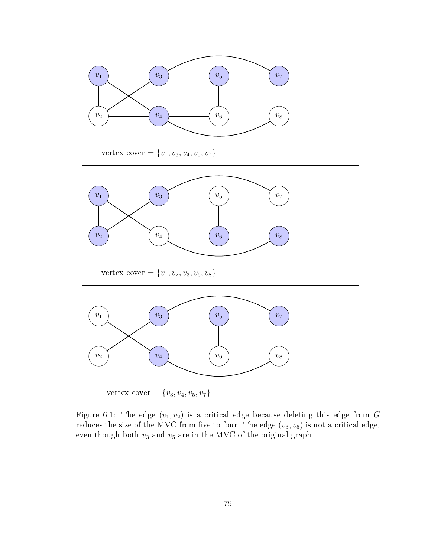

vertex cover =  ${v_1, v_3, v_4, v_5, v_7}$ 



vertex cover =  $\{v_1, v_2, v_3, v_6, v_8\}$ 



vertex cover =  ${v_3, v_4, v_5, v_7}$ 

Figure 6.1: The edge  $(v_1, v_2)$  is a critical edge because deleting this edge from G reduces the size of the MVC from five to four. The edge  $(v_3, v_5)$  is not a critical edge, even though both  $v_3$  and  $v_5$  are in the MVC of the original graph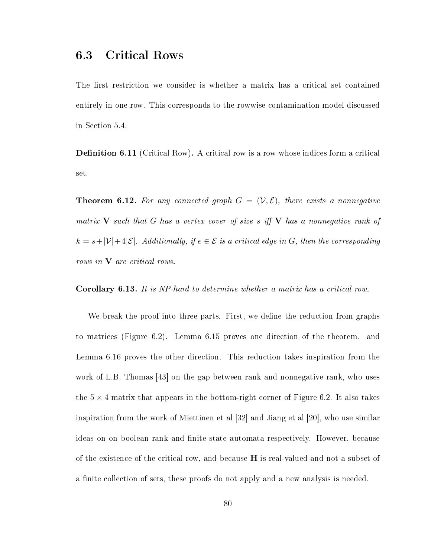# 6.3 Critical Rows

The first restriction we consider is whether a matrix has a critical set contained entirely in one row. This corresponds to the rowwise contamination model discussed in Section 5.4.

**Definition 6.11** (Critical Row). A critical row is a row whose indices form a critical set.

**Theorem 6.12.** For any connected graph  $G = (\mathcal{V}, \mathcal{E})$ , there exists a nonnegative matrix  $\bf{V}$  such that G has a vertex cover of size s iff  $\bf{V}$  has a nonnegative rank of  $k = s + |\mathcal{V}| + 4|\mathcal{E}|$ . Additionally, if  $e \in \mathcal{E}$  is a critical edge in G, then the corresponding rows in **V** are critical rows.

Corollary 6.13. It is NP-hard to determine whether a matrix has a critical row.

We break the proof into three parts. First, we define the reduction from graphs to matrices (Figure 6.2). Lemma 6.15 proves one direction of the theorem. and Lemma 6.16 proves the other direction. This reduction takes inspiration from the work of L.B. Thomas [43] on the gap between rank and nonnegative rank, who uses the  $5 \times 4$  matrix that appears in the bottom-right corner of Figure 6.2. It also takes inspiration from the work of Miettinen et al [32] and Jiang et al [20], who use similar ideas on on boolean rank and finite state automata respectively. However, because of the existence of the critical row, and because  $H$  is real-valued and not a subset of a finite collection of sets, these proofs do not apply and a new analysis is needed.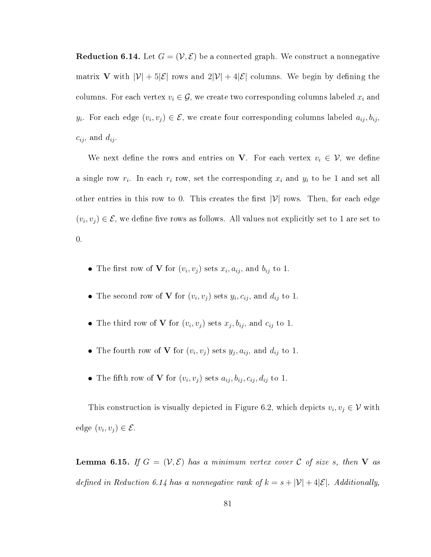**Reduction 6.14.** Let  $G = (\mathcal{V}, \mathcal{E})$  be a connected graph. We construct a nonnegative matrix V with  $|\mathcal{V}| + 5|\mathcal{E}|$  rows and  $2|\mathcal{V}| + 4|\mathcal{E}|$  columns. We begin by defining the columns. For each vertex  $v_i \in \mathcal{G}$ , we create two corresponding columns labeled  $x_i$  and  $y_i$ . For each edge  $(v_i, v_j) \in \mathcal{E}$ , we create four corresponding columns labeled  $a_{ij}, b_{ij}$ ,  $c_{ij}$ , and  $d_{ij}$ .

We next define the rows and entries on V. For each vertex  $v_i \in V$ , we define a single row  $r_i$ . In each  $r_i$  row, set the corresponding  $x_i$  and  $y_i$  to be 1 and set all other entries in this row to 0. This creates the first  $|\mathcal{V}|$  rows. Then, for each edge  $(v_i, v_j) \in \mathcal{E}$ , we define five rows as follows. All values not explicitly set to 1 are set to 0.

- The first row of **V** for  $(v_i, v_j)$  sets  $x_i, a_{ij}$ , and  $b_{ij}$  to 1.
- The second row of **V** for  $(v_i, v_j)$  sets  $y_i, c_{ij}$ , and  $d_{ij}$  to 1.
- The third row of **V** for  $(v_i, v_j)$  sets  $x_j, b_{ij}$ , and  $c_{ij}$  to 1.
- The fourth row of **V** for  $(v_i, v_j)$  sets  $y_j, a_{ij}$ , and  $d_{ij}$  to 1.
- The fifth row of **V** for  $(v_i, v_j)$  sets  $a_{ij}, b_{ij}, c_{ij}, d_{ij}$  to 1.

This construction is visually depicted in Figure 6.2, which depicts  $v_i, v_j \in V$  with edge  $(v_i, v_j) \in \mathcal{E}$ .

**Lemma 6.15.** If  $G = (\mathcal{V}, \mathcal{E})$  has a minimum vertex cover C of size s, then V as defined in Reduction 6.14 has a nonnegative rank of  $k = s + |\mathcal{V}| + 4|\mathcal{E}|$ . Additionally,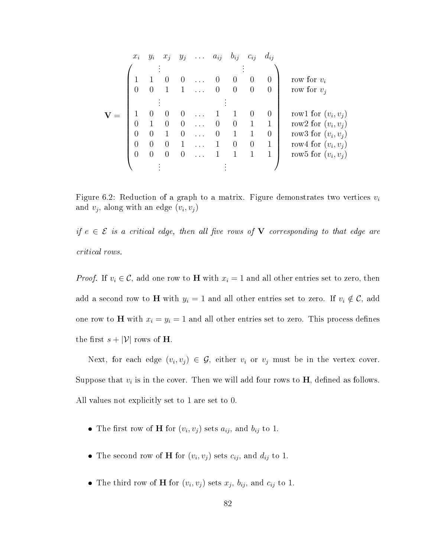| $x_i$    | $y_i$            |          |                  | $x_j$ $y_j$ $a_{ij}$ |          | $b_{ij}$         | $c_{ij}$         | $d_{ij}$       |                       |
|----------|------------------|----------|------------------|----------------------|----------|------------------|------------------|----------------|-----------------------|
|          |                  |          |                  |                      |          |                  |                  |                |                       |
|          |                  |          | $\left( \right)$ |                      | $\cup$   | $\theta$         | $\theta$         | $\theta$       | row for $v_i$         |
|          |                  |          |                  |                      |          | $\theta$         | $\theta$         |                | row for $v_i$         |
|          |                  |          |                  |                      |          |                  |                  |                |                       |
|          | $\theta$         |          | $\theta$         |                      |          |                  | $\left( \right)$ | $\theta$       | row1 for $(v_i, v_j)$ |
| $\Omega$ |                  | $\Omega$ | $\overline{0}$   |                      | $\Omega$ | $\left( \right)$ |                  |                | row2 for $(v_i, v_j)$ |
| $\Omega$ | 0                |          | $\theta$         |                      |          |                  |                  | $\overline{0}$ | row3 for $(v_i, v_j)$ |
| $\Omega$ | 0                | 0        |                  |                      |          | $\theta$         | $\theta$         |                | row4 for $(v_i, v_j)$ |
|          | $\left( \right)$ |          | $\theta$         |                      |          |                  |                  |                | row5 for $(v_i, v_j)$ |
|          |                  |          |                  |                      |          |                  |                  |                |                       |

Figure 6.2: Reduction of a graph to a matrix. Figure demonstrates two vertices  $v_i$ and  $v_j$ , along with an edge  $(v_i, v_j)$ 

if  $e \in \mathcal{E}$  is a critical edge, then all five rows of **V** corresponding to that edge are critical rows.

*Proof.* If  $v_i \in \mathcal{C}$ , add one row to **H** with  $x_i = 1$  and all other entries set to zero, then add a second row to H with  $y_i = 1$  and all other entries set to zero. If  $v_i \notin \mathcal{C}$ , add one row to **H** with  $x_i = y_i = 1$  and all other entries set to zero. This process defines the first  $s + |\mathcal{V}|$  rows of **H**.

Next, for each edge  $(v_i, v_j) \in \mathcal{G}$ , either  $v_i$  or  $v_j$  must be in the vertex cover. Suppose that  $v_i$  is in the cover. Then we will add four rows to  $H$ , defined as follows. All values not explicitly set to 1 are set to 0.

- The first row of **H** for  $(v_i, v_j)$  sets  $a_{ij}$ , and  $b_{ij}$  to 1.
- The second row of **H** for  $(v_i, v_j)$  sets  $c_{ij}$ , and  $d_{ij}$  to 1.
- The third row of **H** for  $(v_i, v_j)$  sets  $x_j$ ,  $b_{ij}$ , and  $c_{ij}$  to 1.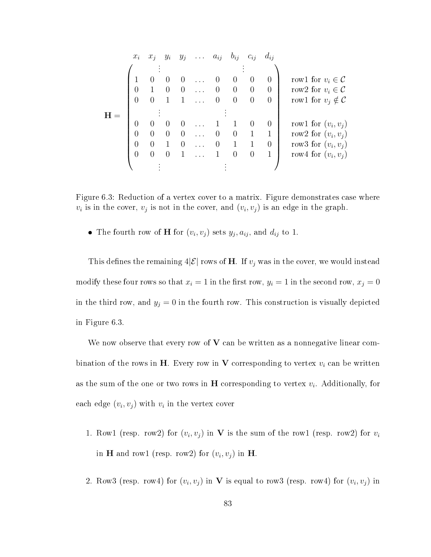| $x_i$ | $x_i$ | $y_i$ | $y_j$            | $\ldots \quad a_{ij}$ | $b_{ij}$         | $c_{ij}$ | $d_{ij}$       |                                |
|-------|-------|-------|------------------|-----------------------|------------------|----------|----------------|--------------------------------|
|       |       |       |                  |                       |                  |          |                |                                |
|       |       |       | $\left( \right)$ |                       | $\theta$         | $\theta$ | $\overline{0}$ | rowl for $v_i \in \mathcal{C}$ |
|       |       |       | $\theta$         |                       | 0                | $\theta$ | $\overline{0}$ | row2 for $v_i \in \mathcal{C}$ |
|       |       |       |                  |                       | $\boldsymbol{0}$ | $\theta$ | $\overline{0}$ | row1 for $v_j \notin C$        |
|       |       |       |                  |                       |                  |          |                |                                |
|       |       |       |                  |                       |                  |          | $\theta$       | row1 for $(v_i, v_j)$          |
|       |       |       | $\Omega$         |                       | $\theta$         |          |                | row2 for $(v_i, v_j)$          |
| 0     |       |       | $\Omega$         |                       |                  |          | $\theta$       | row3 for $(v_i, v_j)$          |
|       |       |       |                  |                       | 0                | $\theta$ |                | row4 for $(v_i, v_j)$          |
|       |       |       |                  |                       |                  |          |                |                                |

Figure 6.3: Reduction of a vertex cover to a matrix. Figure demonstrates case where  $v_i$  is in the cover,  $v_j$  is not in the cover, and  $(v_i, v_j)$  is an edge in the graph.

• The fourth row of **H** for  $(v_i, v_j)$  sets  $y_j, a_{ij}$ , and  $d_{ij}$  to 1.

This defines the remaining  $4|\mathcal{E}|$  rows of H. If  $v_j$  was in the cover, we would instead modify these four rows so that  $x_i = 1$  in the first row,  $y_i = 1$  in the second row,  $x_j = 0$ in the third row, and  $y_j = 0$  in the fourth row. This construction is visually depicted in Figure 6.3.

We now observe that every row of  $V$  can be written as a nonnegative linear combination of the rows in H. Every row in V corresponding to vertex  $v_i$  can be written as the sum of the one or two rows in  $H$  corresponding to vertex  $v_i$ . Additionally, for each edge  $(v_i, v_j)$  with  $v_i$  in the vertex cover

- 1. Row1 (resp. row2) for  $(v_i, v_j)$  in V is the sum of the row1 (resp. row2) for  $v_i$ in **H** and row1 (resp. row2) for  $(v_i, v_j)$  in **H**.
- 2. Row3 (resp. row4) for  $(v_i, v_j)$  in V is equal to row3 (resp. row4) for  $(v_i, v_j)$  in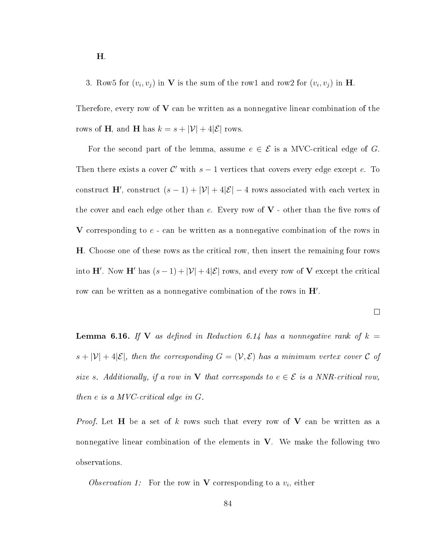3. Row5 for  $(v_i, v_j)$  in V is the sum of the row1 and row2 for  $(v_i, v_j)$  in H.

Therefore, every row of  $V$  can be written as a nonnegative linear combination of the rows of **H**, and **H** has  $k = s + |\mathcal{V}| + 4|\mathcal{E}|$  rows.

For the second part of the lemma, assume  $e \in \mathcal{E}$  is a MVC-critical edge of G. Then there exists a cover  $\mathcal{C}'$  with  $s-1$  vertices that covers every edge except e. To construct H', construct  $(s-1) + |\mathcal{V}| + 4|\mathcal{E}| - 4$  rows associated with each vertex in the cover and each edge other than e. Every row of  $V$  - other than the five rows of V corresponding to e - can be written as a nonnegative combination of the rows in H. Choose one of these rows as the critical row, then insert the remaining four rows into H'. Now H' has  $(s - 1) + |\mathcal{V}| + 4|\mathcal{E}|$  rows, and every row of V except the critical row can be written as a nonnegative combination of the rows in  $H'$ .

 $\Box$ 

**Lemma 6.16.** If V as defined in Reduction 6.14 has a nonnegative rank of  $k =$  $s + |\mathcal{V}| + 4|\mathcal{E}|$ , then the corresponding  $G = (\mathcal{V}, \mathcal{E})$  has a minimum vertex cover  $\mathcal C$  of size s. Additionally, if a row in **V** that corresponds to  $e \in \mathcal{E}$  is a NNR-critical row, then e is a MVC-critical edge in G.

*Proof.* Let **H** be a set of k rows such that every row of V can be written as a nonnegative linear combination of the elements in  $V$ . We make the following two observations.

Observation 1: For the row in **V** corresponding to a  $v_i$ , either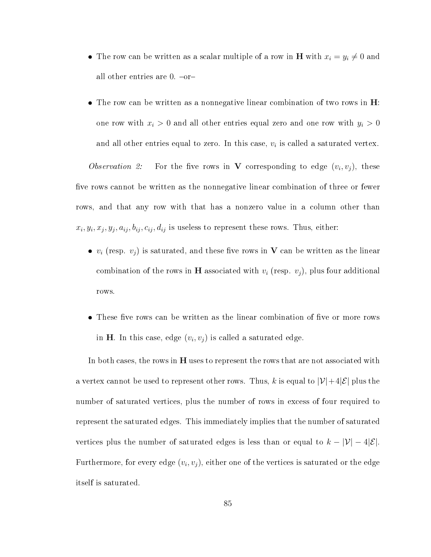- The row can be written as a scalar multiple of a row in **H** with  $x_i = y_i \neq 0$  and all other entries are  $0.$  -or-
- $\bullet$  The row can be written as a nonnegative linear combination of two rows in  $H$ : one row with  $x_i > 0$  and all other entries equal zero and one row with  $y_i > 0$ and all other entries equal to zero. In this case,  $v_i$  is called a saturated vertex.

Observation 2: For the five rows in V corresponding to edge  $(v_i, v_j)$ , these five rows cannot be written as the nonnegative linear combination of three or fewer rows, and that any row with that has a nonzero value in a column other than  $x_i, y_i, x_j, y_j, a_{ij}, b_{ij}, c_{ij}, d_{ij}$  is useless to represent these rows. Thus, either:

- $v_i$  (resp.  $v_j$ ) is saturated, and these five rows in V can be written as the linear combination of the rows in **H** associated with  $v_i$  (resp.  $v_j$ ), plus four additional rows.
- $\bullet$  These five rows can be written as the linear combination of five or more rows in **H**. In this case, edge  $(v_i, v_j)$  is called a saturated edge.

In both cases, the rows in H uses to represent the rows that are not associated with a vertex cannot be used to represent other rows. Thus, k is equal to  $|\mathcal{V}|+4|\mathcal{E}|$  plus the number of saturated vertices, plus the number of rows in excess of four required to represent the saturated edges. This immediately implies that the number of saturated vertices plus the number of saturated edges is less than or equal to  $k - |\mathcal{V}| - 4|\mathcal{E}|$ . Furthermore, for every edge  $\left( v_i, v_j \right)$ , either one of the vertices is saturated or the edge itself is saturated.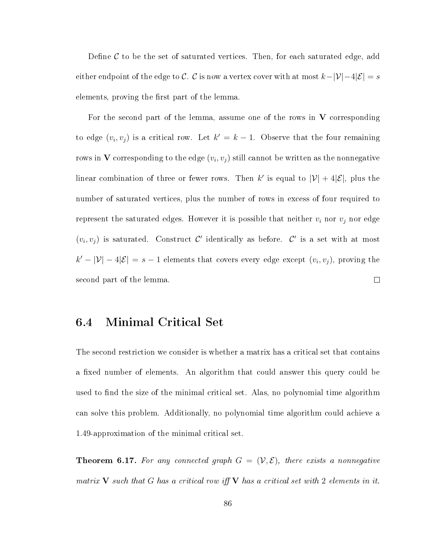Define  $\mathcal C$  to be the set of saturated vertices. Then, for each saturated edge, add either endpoint of the edge to  $\mathcal{C}$ .  $\mathcal{C}$  is now a vertex cover with at most  $k-|\mathcal{V}|-4|\mathcal{E}|=s$ elements, proving the first part of the lemma.

For the second part of the lemma, assume one of the rows in  $V$  corresponding to edge  $(v_i, v_j)$  is a critical row. Let  $k' = k - 1$ . Observe that the four remaining rows in  ${\bf V}$  corresponding to the edge  $(v_i,v_j)$  still cannot be written as the nonnegative linear combination of three or fewer rows. Then k' is equal to  $|\mathcal{V}| + 4|\mathcal{E}|$ , plus the number of saturated vertices, plus the number of rows in excess of four required to represent the saturated edges. However it is possible that neither  $v_i$  nor  $v_j$  nor edge  $(v_i, v_j)$  is saturated. Construct C' identically as before. C' is a set with at most  $k'-|\mathcal{V}|-4|\mathcal{E}|=s-1$  elements that covers every edge except  $(v_i, v_j)$ , proving the second part of the lemma.  $\Box$ 

## 6.4 Minimal Critical Set

The second restriction we consider is whether a matrix has a critical set that contains a fixed number of elements. An algorithm that could answer this query could be used to find the size of the minimal critical set. Alas, no polynomial time algorithm can solve this problem. Additionally, no polynomial time algorithm could achieve a 1.49-approximation of the minimal critical set.

**Theorem 6.17.** For any connected graph  $G = (\mathcal{V}, \mathcal{E})$ , there exists a nonnegative matrix V such that G has a critical row if  $V$  has a critical set with 2 elements in it.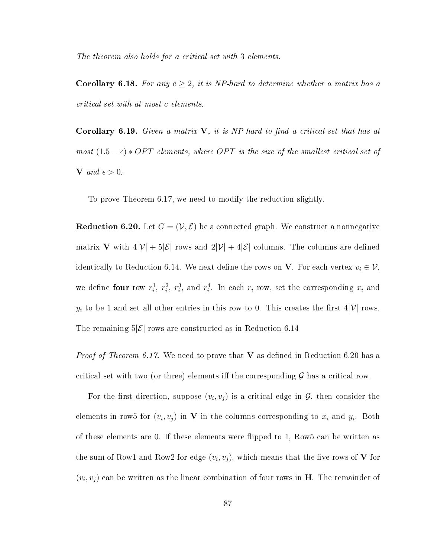The theorem also holds for a critical set with 3 elements.

**Corollary 6.18.** For any  $c \geq 2$ , it is NP-hard to determine whether a matrix has a critical set with at most c elements.

**Corollary 6.19.** Given a matrix  $V$ , it is NP-hard to find a critical set that has at most  $(1.5 - \epsilon) * OPT$  elements, where OPT is the size of the smallest critical set of V and  $\epsilon > 0$ .

To prove Theorem 6.17, we need to modify the reduction slightly.

**Reduction 6.20.** Let  $G = (\mathcal{V}, \mathcal{E})$  be a connected graph. We construct a nonnegative matrix **V** with  $4|\mathcal{V}| + 5|\mathcal{E}|$  rows and  $2|\mathcal{V}| + 4|\mathcal{E}|$  columns. The columns are defined identically to Reduction 6.14. We next define the rows on **V**. For each vertex  $v_i \in V$ , we define four row  $r_i^1$ ,  $r_i^2$ ,  $r_i^3$ , and  $r_i^4$ . In each  $r_i$  row, set the corresponding  $x_i$  and  $y_i$  to be 1 and set all other entries in this row to 0. This creates the first  $4|\mathcal{V}|$  rows. The remaining  $5|\mathcal{E}|$  rows are constructed as in Reduction 6.14

*Proof of Theorem 6.17.* We need to prove that **V** as defined in Reduction 6.20 has a critical set with two (or three) elements iff the corresponding  $\mathcal G$  has a critical row.

For the first direction, suppose  $(v_i, v_j)$  is a critical edge in  $\mathcal{G}$ , then consider the elements in row5 for  $(v_i, v_j)$  in V in the columns corresponding to  $x_i$  and  $y_i$ . Both of these elements are 0. If these elements were flipped to 1, Row5 can be written as the sum of Row1 and Row2 for edge  $(v_i, v_j)$ , which means that the five rows of V for  $(v_i, v_j)$  can be written as the linear combination of four rows in H. The remainder of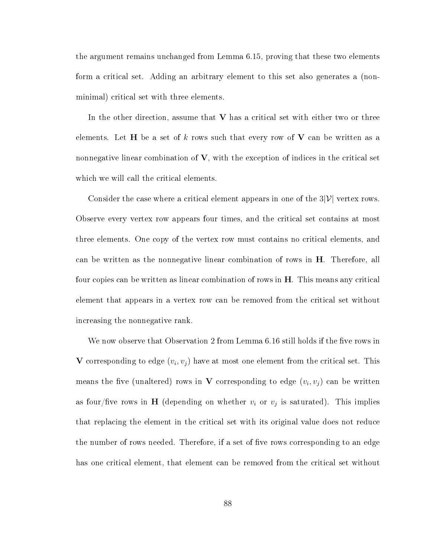the argument remains unchanged from Lemma 6.15, proving that these two elements form a critical set. Adding an arbitrary element to this set also generates a (nonminimal) critical set with three elements.

In the other direction, assume that  $V$  has a critical set with either two or three elements. Let H be a set of k rows such that every row of V can be written as a nonnegative linear combination of  $V$ , with the exception of indices in the critical set which we will call the critical elements.

Consider the case where a critical element appears in one of the  $3|\mathcal{V}|$  vertex rows. Observe every vertex row appears four times, and the critical set contains at most three elements. One copy of the vertex row must contains no critical elements, and can be written as the nonnegative linear combination of rows in H. Therefore, all four copies can be written as linear combination of rows in H. This means any critical element that appears in a vertex row can be removed from the critical set without increasing the nonnegative rank.

We now observe that Observation 2 from Lemma  $6.16$  still holds if the five rows in V corresponding to edge  $(v_i, v_j)$  have at most one element from the critical set. This means the five (unaltered) rows in V corresponding to edge  $(v_i, v_j)$  can be written as four/five rows in  ${\bf H}$  (depending on whether  $v_i$  or  $v_j$  is saturated). This implies that replacing the element in the critical set with its original value does not reduce the number of rows needed. Therefore, if a set of five rows corresponding to an edge has one critical element, that element can be removed from the critical set without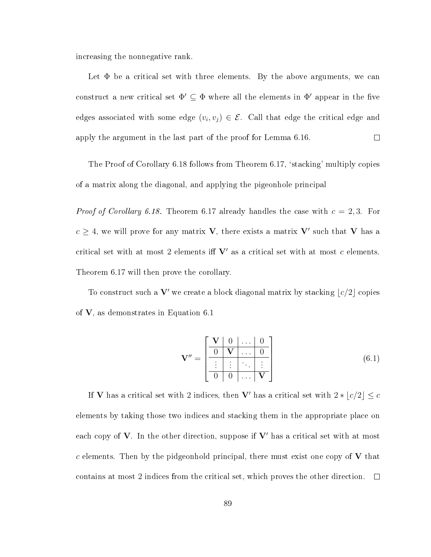increasing the nonnegative rank.

Let  $\Phi$  be a critical set with three elements. By the above arguments, we can construct a new critical set  $\Phi' \subseteq \Phi$  where all the elements in  $\Phi'$  appear in the five edges associated with some edge  $(v_i, v_j) \in \mathcal{E}$ . Call that edge the critical edge and apply the argument in the last part of the proof for Lemma 6.16.  $\Box$ 

The Proof of Corollary 6.18 follows from Theorem 6.17, `stacking' multiply copies of a matrix along the diagonal, and applying the pigeonhole principal

*Proof of Corollary 6.18.* Theorem 6.17 already handles the case with  $c = 2, 3$ . For  $c \geq 4$ , we will prove for any matrix **V**, there exists a matrix **V'** such that **V** has a critical set with at most 2 elements iff  $V'$  as a critical set with at most  $c$  elements. Theorem 6.17 will then prove the corollary.

To construct such a  $V'$  we create a block diagonal matrix by stacking  $\lfloor c/2 \rfloor$  copies of V, as demonstrates in Equation 6.1

$$
\mathbf{V}'' = \begin{bmatrix} \mathbf{V} & 0 & \dots & 0 \\ \hline 0 & \mathbf{V} & \dots & 0 \\ \vdots & \vdots & \ddots & \vdots \\ \hline 0 & 0 & \dots & \mathbf{V} \end{bmatrix}
$$
(6.1)

If **V** has a critical set with 2 indices, then **V'** has a critical set with  $2 * [c/2] \leq c$ elements by taking those two indices and stacking them in the appropriate place on each copy of  $V$ . In the other direction, suppose if  $V'$  has a critical set with at most c elements. Then by the pidgeonhold principal, there must exist one copy of  $V$  that contains at most 2 indices from the critical set, which proves the other direction.  $\Box$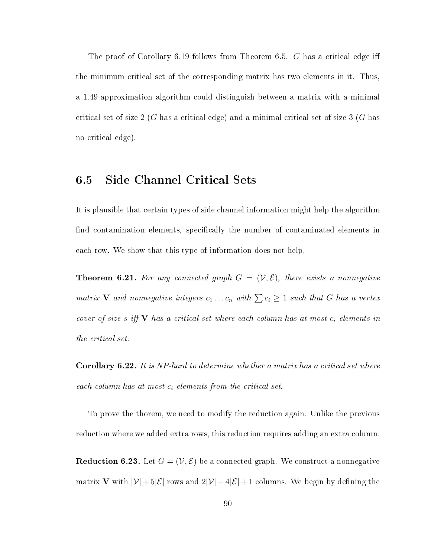The proof of Corollary 6.19 follows from Theorem 6.5. G has a critical edge iff the minimum critical set of the corresponding matrix has two elements in it. Thus, a 1.49-approximation algorithm could distinguish between a matrix with a minimal critical set of size  $2(G$  has a critical edge) and a minimal critical set of size  $3(G)$  has no critical edge).

# 6.5 Side Channel Critical Sets

It is plausible that certain types of side channel information might help the algorithm find contamination elements, specifically the number of contaminated elements in each row. We show that this type of information does not help.

**Theorem 6.21.** For any connected graph  $G = (\mathcal{V}, \mathcal{E})$ , there exists a nonnegative matrix **V** and nonnegative integers  $c_1 \ldots c_n$  with  $\sum c_i \geq 1$  such that G has a vertex cover of size s iff  $V$  has a critical set where each column has at most  $c_i$  elements in the critical set.

Corollary 6.22. It is NP-hard to determine whether a matrix has a critical set where each column has at most  $c_i$  elements from the critical set.

To prove the thorem, we need to modify the reduction again. Unlike the previous reduction where we added extra rows, this reduction requires adding an extra column.

**Reduction 6.23.** Let  $G = (\mathcal{V}, \mathcal{E})$  be a connected graph. We construct a nonnegative matrix **V** with  $|\mathcal{V}| + 5|\mathcal{E}|$  rows and  $2|\mathcal{V}| + 4|\mathcal{E}| + 1$  columns. We begin by defining the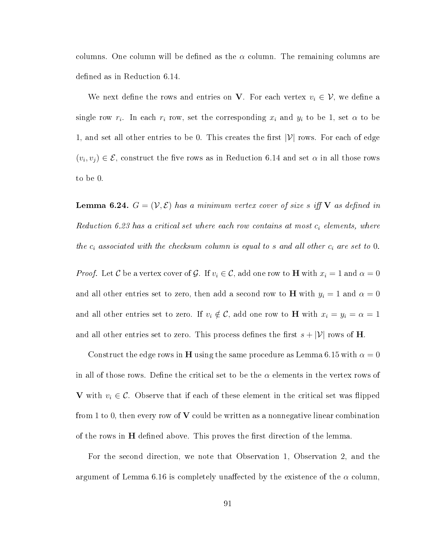columns. One column will be defined as the  $\alpha$  column. The remaining columns are defined as in Reduction 6.14.

We next define the rows and entries on **V**. For each vertex  $v_i \in \mathcal{V}$ , we define a single row  $r_i$ . In each  $r_i$  row, set the corresponding  $x_i$  and  $y_i$  to be 1, set  $\alpha$  to be 1, and set all other entries to be 0. This creates the first  $|\mathcal{V}|$  rows. For each of edge  $(v_i, v_j) \in \mathcal{E}$ , construct the five rows as in Reduction 6.14 and set  $\alpha$  in all those rows to be 0.

**Lemma 6.24.**  $G = (\mathcal{V}, \mathcal{E})$  has a minimum vertex cover of size s iff V as defined in Reduction 6.23 has a critical set where each row contains at most  $c_i$  elements, where the  $c_i$  associated with the checksum column is equal to s and all other  $c_i$  are set to 0.

*Proof.* Let C be a vertex cover of G. If  $v_i \in C$ , add one row to **H** with  $x_i = 1$  and  $\alpha = 0$ and all other entries set to zero, then add a second row to **H** with  $y_i = 1$  and  $\alpha = 0$ and all other entries set to zero. If  $v_i \notin \mathcal{C}$ , add one row to **H** with  $x_i = y_i = \alpha = 1$ and all other entries set to zero. This process defines the first  $s + |\mathcal{V}|$  rows of **H**.

Construct the edge rows in H using the same procedure as Lemma 6.15 with  $\alpha = 0$ in all of those rows. Define the critical set to be the  $\alpha$  elements in the vertex rows of V with  $v_i \in \mathcal{C}$ . Observe that if each of these element in the critical set was flipped from 1 to 0, then every row of  $V$  could be written as a nonnegative linear combination of the rows in  $H$  defined above. This proves the first direction of the lemma.

For the second direction, we note that Observation 1, Observation 2, and the argument of Lemma 6.16 is completely unaffected by the existence of the  $\alpha$  column,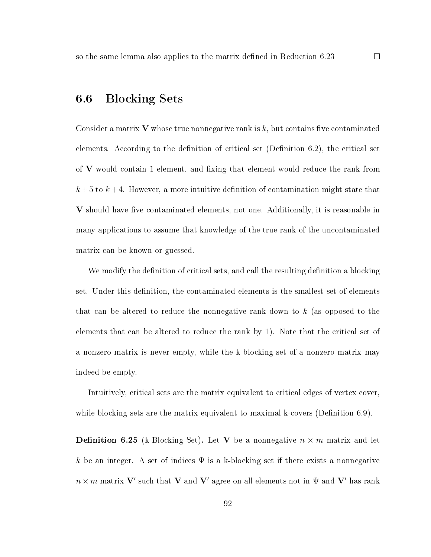# 6.6 Blocking Sets

Consider a matrix V whose true nonnegative rank is  $k$ , but contains five contaminated elements. According to the definition of critical set (Definition  $6.2$ ), the critical set of  $V$  would contain 1 element, and fixing that element would reduce the rank from  $k+5$  to  $k+4$ . However, a more intuitive definition of contamination might state that  $V$  should have five contaminated elements, not one. Additionally, it is reasonable in many applications to assume that knowledge of the true rank of the uncontaminated matrix can be known or guessed.

We modify the definition of critical sets, and call the resulting definition a blocking set. Under this definition, the contaminated elements is the smallest set of elements that can be altered to reduce the nonnegative rank down to k (as opposed to the elements that can be altered to reduce the rank by 1). Note that the critical set of a nonzero matrix is never empty, while the k-blocking set of a nonzero matrix may indeed be empty.

Intuitively, critical sets are the matrix equivalent to critical edges of vertex cover, while blocking sets are the matrix equivalent to maximal k-covers (Definition  $6.9$ ).

**Definition 6.25** (k-Blocking Set). Let V be a nonnegative  $n \times m$  matrix and let k be an integer. A set of indices  $\Psi$  is a k-blocking set if there exists a nonnegative  $n \times m$  matrix  ${\bf V}'$  such that  ${\bf V}$  and  ${\bf V}'$  agree on all elements not in  $\Psi$  and  ${\bf V}'$  has rank

92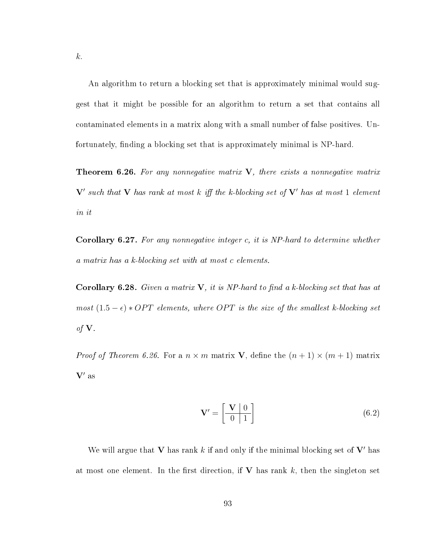An algorithm to return a blocking set that is approximately minimal would suggest that it might be possible for an algorithm to return a set that contains all contaminated elements in a matrix along with a small number of false positives. Unfortunately, finding a blocking set that is approximately minimal is NP-hard.

**Theorem 6.26.** For any nonnegative matrix  $V$ , there exists a nonnegative matrix  ${\bf V}'$  such that  ${\bf V}$  has rank at most k iff the k-blocking set of  ${\bf V}'$  has at most 1 element in it

Corollary 6.27. For any nonnegative integer c, it is NP-hard to determine whether a matrix has a k-blocking set with at most c elements.

Corollary 6.28. Given a matrix  $V$ , it is NP-hard to find a k-blocking set that has at most  $(1.5 - \epsilon) * OPT$  elements, where OPT is the size of the smallest k-blocking set of  $V$ .

*Proof of Theorem 6.26.* For a  $n \times m$  matrix **V**, define the  $(n + 1) \times (m + 1)$  matrix  $V'$  as

$$
\mathbf{V}' = \begin{bmatrix} \mathbf{V} & 0 \\ 0 & 1 \end{bmatrix} \tag{6.2}
$$

We will argue that V has rank k if and only if the minimal blocking set of  $V'$  has at most one element. In the first direction, if  $V$  has rank k, then the singleton set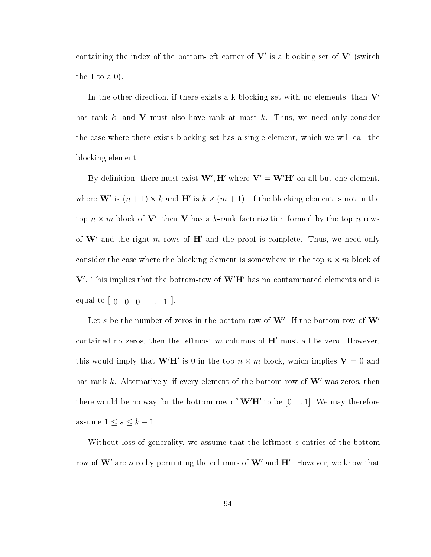containing the index of the bottom-left corner of  ${\bf V}'$  is a blocking set of  ${\bf V}'$  (switch the 1 to a  $0$ ).

In the other direction, if there exists a k-blocking set with no elements, than  $V'$ has rank  $k$ , and  $V$  must also have rank at most  $k$ . Thus, we need only consider the case where there exists blocking set has a single element, which we will call the blocking element.

By definition, there must exist  $\mathbf{W}', \mathbf{H}'$  where  $\mathbf{V}' = \mathbf{W}'\mathbf{H}'$  on all but one element, where **W**' is  $(n+1) \times k$  and **H**' is  $k \times (m+1)$ . If the blocking element is not in the top  $n \times m$  block of **V'**, then **V** has a k-rank factorization formed by the top n rows of  $W'$  and the right m rows of  $H'$  and the proof is complete. Thus, we need only consider the case where the blocking element is somewhere in the top  $n \times m$  block of  $V'$ . This implies that the bottom-row of  $W'H'$  has no contaminated elements and is equal to  $[0 \ 0 \ 0 \ ... \ 1].$ 

Let s be the number of zeros in the bottom row of  $\mathbf{W}'$ . If the bottom row of  $\mathbf{W}'$ contained no zeros, then the leftmost m columns of  $H'$  must all be zero. However, this would imply that  $\mathbf{W}'\mathbf{H}'$  is 0 in the top  $n \times m$  block, which implies  $\mathbf{V} = 0$  and has rank k. Alternatively, if every element of the bottom row of  $W'$  was zeros, then there would be no way for the bottom row of  $\mathbf{W}'\mathbf{H}'$  to be  $[0 \dots 1]$ . We may therefore assume  $1 \leq s \leq k-1$ 

Without loss of generality, we assume that the leftmost s entries of the bottom row of  $\mathbf{W}'$  are zero by permuting the columns of  $\mathbf{W}'$  and  $\mathbf{H}'$ . However, we know that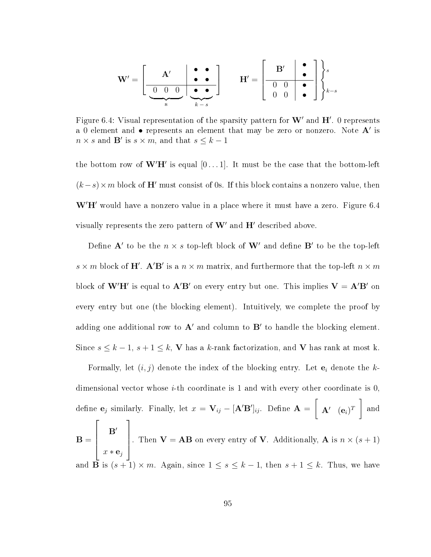$$
\mathbf{W}' = \left[\begin{array}{c|c} \mathbf{A}' & \bullet & \bullet \\ \hline \hline 0 & 0 & 0 \\ \hline \mathbf{s} & \mathbf{A}' & \mathbf{A}' \\ \hline \mathbf{s} & \mathbf{A}' & \mathbf{A}' \\ \hline \mathbf{s} & \mathbf{A}' & \mathbf{A}' \end{array}\right] \qquad \mathbf{H}' = \left[\begin{array}{c|c} \mathbf{B}' & \bullet & \bullet \\ \hline 0 & 0 & \bullet \\ \hline 0 & 0 & \bullet \\ \hline \mathbf{0} & \mathbf{0} & \mathbf{A} \end{array}\right] \bigg\}_{k-s}
$$

Figure 6.4: Visual representation of the sparsity pattern for  $\mathbf{W}'$  and  $\mathbf{H}'$ . 0 represents a 0 element and  $\bullet$  represents an element that may be zero or nonzero. Note  $\mathbf{A}'$  is  $n \times s$  and **B'** is  $s \times m$ , and that  $s \leq k - 1$ 

the bottom row of  $W'H'$  is equal  $[0 \dots 1]$ . It must be the case that the bottom-left  $(k-s) \times m$  block of H' must consist of 0s. If this block contains a nonzero value, then  $W'H'$  would have a nonzero value in a place where it must have a zero. Figure 6.4 visually represents the zero pattern of  $W'$  and  $H'$  described above.

Define  $\mathbf{A}'$  to be the  $n \times s$  top-left block of  $\mathbf{W}'$  and define  $\mathbf{B}'$  to be the top-left  $s \times m$  block of H'. A'B' is a  $n \times m$  matrix, and furthermore that the top-left  $n \times m$ block of  $W'H'$  is equal to  $A'B'$  on every entry but one. This implies  $V = A'B'$  on every entry but one (the blocking element). Intuitively, we complete the proof by adding one additional row to  $A'$  and column to  $B'$  to handle the blocking element. Since  $s \leq k - 1$ ,  $s + 1 \leq k$ , **V** has a k-rank factorization, and **V** has rank at most k.

Formally, let  $(i, j)$  denote the index of the blocking entry. Let  $e_i$  denote the kdimensional vector whose  $i$ -th coordinate is 1 and with every other coordinate is 0, define  $\mathbf{e}_j$  similarly. Finally, let  $x = \mathbf{V}_{ij} - [\mathbf{A}'\mathbf{B}']_{ij}$ . Define  $\mathbf{A} =$  $\lceil$ A0 (ei) T and  $\mathbf{B} =$  $\sqrt{ }$   $\mathbf{B}'$  $x * e_j$ 1  $\begin{array}{c} \begin{array}{c} \begin{array}{c} \end{array} \end{array} \end{array}$ . Then  $V = AB$  on every entry of V. Additionally, A is  $n \times (s + 1)$ and  $\overline{\mathbf{B}}$  is  $(s+1) \times m$ . Again, since  $1 \leq s \leq k-1$ , then  $s+1 \leq k$ . Thus, we have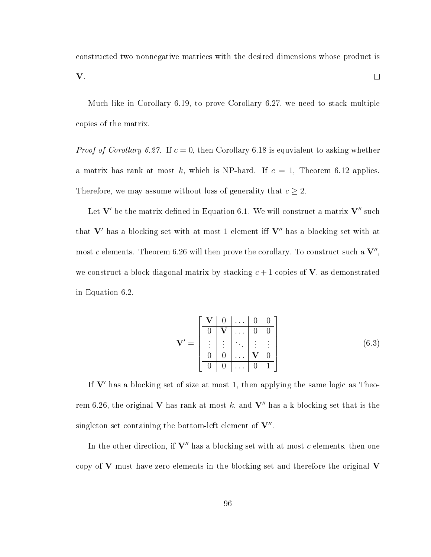constructed two nonnegative matrices with the desired dimensions whose product is  $\Box$ 

V.

Much like in Corollary 6.19, to prove Corollary 6.27, we need to stack multiple copies of the matrix.

*Proof of Corollary 6.27.* If  $c = 0$ , then Corollary 6.18 is equvialent to asking whether a matrix has rank at most k, which is NP-hard. If  $c = 1$ , Theorem 6.12 applies. Therefore, we may assume without loss of generality that  $c \geq 2$ .

Let  $V'$  be the matrix defined in Equation 6.1. We will construct a matrix  $V''$  such that  $V'$  has a blocking set with at most 1 element iff  $V''$  has a blocking set with at most  $c$  elements. Theorem 6.26 will then prove the corollary. To construct such a  $\mathbf{V}'',$ we construct a block diagonal matrix by stacking  $c+1$  copies of  $V$ , as demonstrated in Equation 6.2.

$$
\mathbf{V}' = \begin{bmatrix} \mathbf{V} & 0 & \dots & 0 & 0 \\ \hline 0 & \mathbf{V} & \dots & 0 & 0 \\ \vdots & \vdots & \ddots & \vdots & \vdots \\ 0 & 0 & \dots & \mathbf{V} & 0 \\ 0 & 0 & \dots & 0 & 1 \end{bmatrix}
$$
(6.3)

If  $V'$  has a blocking set of size at most 1, then applying the same logic as Theorem 6.26, the original V has rank at most k, and V'' has a k-blocking set that is the singleton set containing the bottom-left element of  $V''$ .

In the other direction, if  $V''$  has a blocking set with at most c elements, then one copy of  $V$  must have zero elements in the blocking set and therefore the original  $V$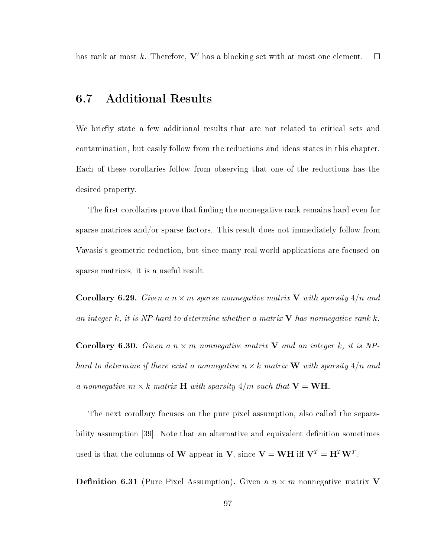has rank at most k. Therefore,  $V'$  has a blocking set with at most one element.  $\Box$ 

# 6.7 Additional Results

We briefly state a few additional results that are not related to critical sets and contamination, but easily follow from the reductions and ideas states in this chapter. Each of these corollaries follow from observing that one of the reductions has the desired property.

The first corollaries prove that finding the nonnegative rank remains hard even for sparse matrices and/or sparse factors. This result does not immediately follow from Vavasis's geometric reduction, but since many real world applications are focused on sparse matrices, it is a useful result.

**Corollary 6.29.** Given a  $n \times m$  sparse nonnegative matrix V with sparsity  $4/n$  and an integer  $k$ , it is NP-hard to determine whether a matrix  $V$  has nonnegative rank  $k$ .

**Corollary 6.30.** Given a  $n \times m$  nonnegative matrix V and an integer k, it is NPhard to determine if there exist a nonnegative  $n \times k$  matrix **W** with sparsity  $4/n$  and a nonnegative  $m \times k$  matrix **H** with sparsity  $4/m$  such that  $V = WH$ .

The next corollary focuses on the pure pixel assumption, also called the separability assumption [39]. Note that an alternative and equivalent definition sometimes used is that the columns of **W** appear in **V**, since  $\mathbf{V} = \mathbf{WH}$  iff  $\mathbf{V}^T = \mathbf{H}^T \mathbf{W}^T$ .

**Definition 6.31** (Pure Pixel Assumption). Given a  $n \times m$  nonnegative matrix V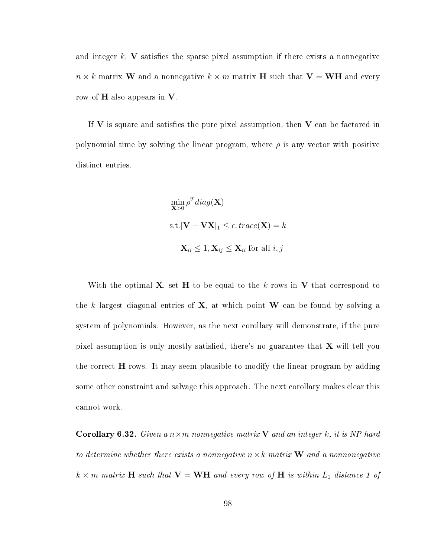and integer k, V satisfies the sparse pixel assumption if there exists a nonnegative  $n \times k$  matrix W and a nonnegative  $k \times m$  matrix H such that  $V = WH$  and every row of  $H$  also appears in  $V$ .

If  $V$  is square and satisfies the pure pixel assumption, then  $V$  can be factored in polynomial time by solving the linear program, where  $\rho$  is any vector with positive distinct entries.

$$
\min_{\mathbf{X}>0} \rho^T diag(\mathbf{X})
$$
  
s.t.  $|\mathbf{V} - \mathbf{V}\mathbf{X}|_1 \le \epsilon$ .  $trace(\mathbf{X}) = k$   

$$
\mathbf{X}_{ii} \le 1, \mathbf{X}_{ij} \le \mathbf{X}_{ii} \text{ for all } i, j
$$

With the optimal  $X$ , set H to be equal to the k rows in V that correspond to the k largest diagonal entries of  $X$ , at which point W can be found by solving a system of polynomials. However, as the next corollary will demonstrate, if the pure pixel assumption is only mostly satisfied, there's no guarantee that  $X$  will tell you the correct  $H$  rows. It may seem plausible to modify the linear program by adding some other constraint and salvage this approach. The next corollary makes clear this cannot work.

**Corollary 6.32.** Given a  $n \times m$  nonnegative matrix **V** and an integer k, it is NP-hard to determine whether there exists a nonnegative  $n \times k$  matrix **W** and a nonnonegative  $k \times m$  matrix **H** such that  $\mathbf{V} = \mathbf{WH}$  and every row of **H** is within  $L_1$  distance 1 of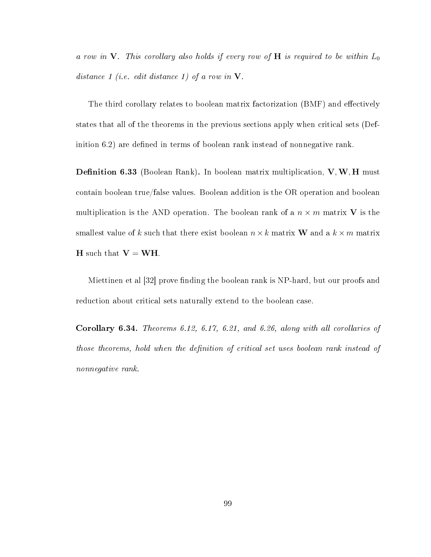a row in V. This corollary also holds if every row of H is required to be within  $L_0$ distance 1 (i.e. edit distance 1) of a row in  $V$ .

The third corollary relates to boolean matrix factorization (BMF) and effectively states that all of the theorems in the previous sections apply when critical sets (Definition  $6.2$ ) are defined in terms of boolean rank instead of nonnegative rank.

**Definition 6.33** (Boolean Rank). In boolean matrix multiplication,  $V, W, H$  must contain boolean true/false values. Boolean addition is the OR operation and boolean multiplication is the AND operation. The boolean rank of a  $n \times m$  matrix **V** is the smallest value of k such that there exist boolean  $n \times k$  matrix **W** and a  $k \times m$  matrix **H** such that  $V = WH$ .

Miettinen et al [32] prove finding the boolean rank is NP-hard, but our proofs and reduction about critical sets naturally extend to the boolean case.

Corollary 6.34. Theorems 6.12, 6.17, 6.21, and 6.26, along with all corollaries of those theorems, hold when the definition of critical set uses boolean rank instead of nonnegative rank.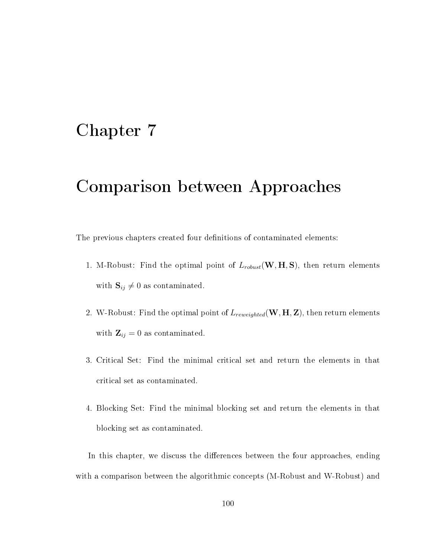### Chapter 7

# Comparison between Approaches

The previous chapters created four definitions of contaminated elements:

- 1. M-Robust: Find the optimal point of  $L_{robust}(\mathbf{W}, \mathbf{H}, \mathbf{S})$ , then return elements with  $\mathbf{S}_{ij} \neq 0$  as contaminated.
- 2. W-Robust: Find the optimal point of  $L_{reweighted}(\mathbf{W}, \mathbf{H}, \mathbf{Z})$ , then return elements with  $\mathbf{Z}_{ij} = 0$  as contaminated.
- 3. Critical Set: Find the minimal critical set and return the elements in that critical set as contaminated.
- 4. Blocking Set: Find the minimal blocking set and return the elements in that blocking set as contaminated.

In this chapter, we discuss the differences between the four approaches, ending with a comparison between the algorithmic concepts (M-Robust and W-Robust) and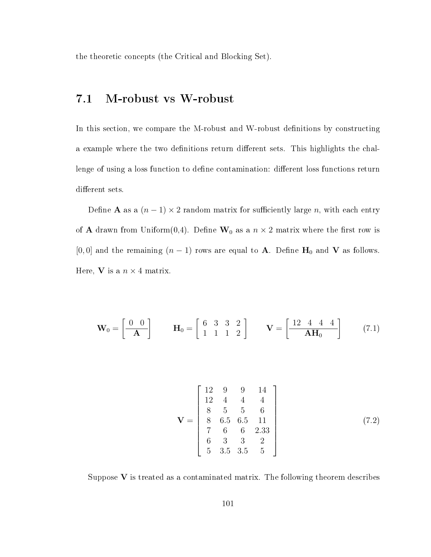the theoretic concepts (the Critical and Blocking Set).

### 7.1 M-robust vs W-robust

In this section, we compare the M-robust and W-robust definitions by constructing a example where the two definitions return different sets. This highlights the challenge of using a loss function to define contamination: different loss functions return different sets.

Define **A** as a  $(n-1) \times 2$  random matrix for sufficiently large n, with each entry of **A** drawn from Uniform(0,4). Define  $W_0$  as a  $n \times 2$  matrix where the first row is [0, 0] and the remaining  $(n-1)$  rows are equal to **A**. Define **H**<sub>0</sub> and **V** as follows. Here, **V** is a  $n \times 4$  matrix.

$$
\mathbf{W}_0 = \begin{bmatrix} 0 & 0 \\ -\mathbf{A} \end{bmatrix} \qquad \mathbf{H}_0 = \begin{bmatrix} 6 & 3 & 3 & 2 \\ 1 & 1 & 1 & 2 \end{bmatrix} \qquad \mathbf{V} = \begin{bmatrix} \frac{12}{4} & 4 & 4 \\ \frac{12}{4} & \mathbf{A} \mathbf{H}_0 \end{bmatrix} \tag{7.1}
$$

$$
\mathbf{V} = \begin{bmatrix} 12 & 9 & 9 & 14 \\ 12 & 4 & 4 & 4 \\ 8 & 5 & 5 & 6 \\ 8 & 6.5 & 6.5 & 11 \\ 7 & 6 & 6 & 2.33 \\ 6 & 3 & 3 & 2 \\ 5 & 3.5 & 3.5 & 5 \end{bmatrix}
$$
(7.2)

Suppose  $V$  is treated as a contaminated matrix. The following theorem describes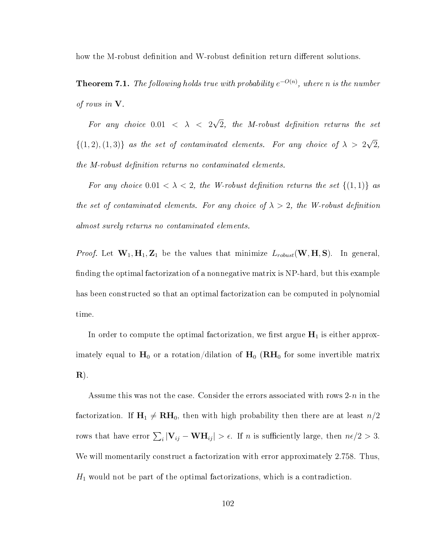how the M-robust definition and W-robust definition return different solutions.

**Theorem 7.1.** The following holds true with probability  $e^{-O(n)}$ , where n is the number of rows in  $V$ .

For any choice  $0.01 < \lambda < 2$ √  $2,$  the M-robust definition returns the set  $\{(1,2),(1,3)\}\$  as the set of contaminated elements. For any choice of  $\lambda > 2$ √ 2, the M-robust definition returns no contaminated elements.

For any choice  $0.01 < \lambda < 2$ , the W-robust definition returns the set  $\{(1,1)\}\$ as the set of contaminated elements. For any choice of  $\lambda > 2$ , the W-robust definition almost surely returns no contaminated elements.

*Proof.* Let  $W_1, H_1, Z_1$  be the values that minimize  $L_{robust}(W, H, S)$ . In general, finding the optimal factorization of a nonnegative matrix is NP-hard, but this example has been constructed so that an optimal factorization can be computed in polynomial time.

In order to compute the optimal factorization, we first argue  $H_1$  is either approximately equal to  $H_0$  or a rotation/dilation of  $H_0$  ( $RH_0$  for some invertible matrix  $\mathbf{R}$ ).

Assume this was not the case. Consider the errors associated with rows  $2-n$  in the factorization. If  $H_1 \neq \textbf{RH}_0$ , then with high probability then there are at least  $n/2$ rows that have error  $\sum_i |\mathbf{V}_{ij} - \mathbf{W} \mathbf{H}_{ij}| > \epsilon$ . If *n* is sufficiently large, then  $n\epsilon/2 > 3$ . We will momentarily construct a factorization with error approximately 2.758. Thus,  $H_1$  would not be part of the optimal factorizations, which is a contradiction.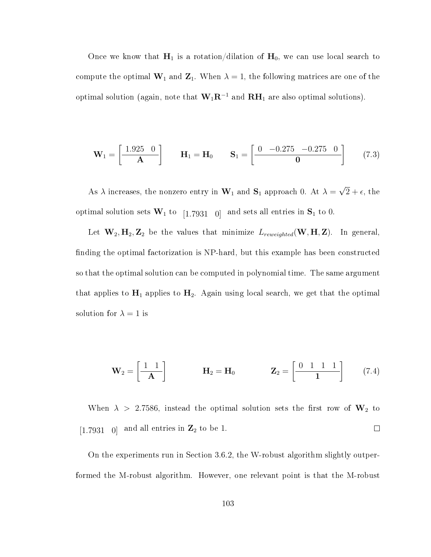Once we know that  $H_1$  is a rotation/dilation of  $H_0$ , we can use local search to compute the optimal  $\mathbf{W}_1$  and  $\mathbf{Z}_1$ . When  $\lambda = 1$ , the following matrices are one of the optimal solution (again, note that  $\mathbf{W}_1\mathbf{R}^{-1}$  and  $\mathbf{R}\mathbf{H}_1$  are also optimal solutions).

$$
\mathbf{W}_1 = \begin{bmatrix} 1.925 & 0 \\ \mathbf{A} \end{bmatrix} \qquad \mathbf{H}_1 = \mathbf{H}_0 \qquad \mathbf{S}_1 = \begin{bmatrix} 0 & -0.275 & -0.275 & 0 \\ \mathbf{0} & 0 & 0 \end{bmatrix} \tag{7.3}
$$

As  $\lambda$  increases, the nonzero entry in  $\mathbf{W}_1$  and  $\mathbf{S}_1$  approach 0. At  $\lambda =$ √  $2 + \epsilon$ , the optimal solution sets  $W_1$  to [1.7931 0] and sets all entries in  $S_1$  to 0.

Let  $W_2, H_2, Z_2$  be the values that minimize  $L_{reweighted}(W, H, Z)$ . In general, finding the optimal factorization is NP-hard, but this example has been constructed so that the optimal solution can be computed in polynomial time. The same argument that applies to  $H_1$  applies to  $H_2$ . Again using local search, we get that the optimal solution for  $\lambda = 1$  is

$$
\mathbf{W}_2 = \begin{bmatrix} 1 & 1 \\ -\mathbf{A} \end{bmatrix} \qquad \qquad \mathbf{H}_2 = \mathbf{H}_0 \qquad \qquad \mathbf{Z}_2 = \begin{bmatrix} 0 & 1 & 1 & 1 \\ -\mathbf{1} & 1 & 1 \end{bmatrix} \qquad (7.4)
$$

When  $\lambda$  > 2.7586, instead the optimal solution sets the first row of  $\mathbf{W}_2$  to [1.7931 0] and all entries in  $\mathbb{Z}_2$  to be 1.  $\Box$ 

On the experiments run in Section 3.6.2, the W-robust algorithm slightly outperformed the M-robust algorithm. However, one relevant point is that the M-robust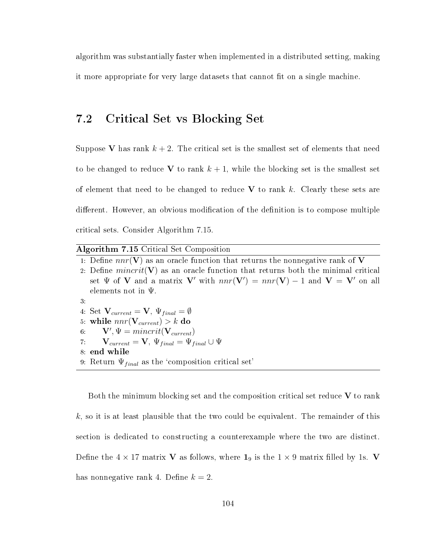algorithm was substantially faster when implemented in a distributed setting, making it more appropriate for very large datasets that cannot fit on a single machine.

#### 7.2 Critical Set vs Blocking Set

Suppose V has rank  $k + 2$ . The critical set is the smallest set of elements that need to be changed to reduce V to rank  $k + 1$ , while the blocking set is the smallest set of element that need to be changed to reduce  $V$  to rank k. Clearly these sets are different. However, an obvious modification of the definition is to compose multiple critical sets. Consider Algorithm 7.15.

|  |  | Algorithm 7.15 Critical Set Composition |  |
|--|--|-----------------------------------------|--|
|  |  |                                         |  |

|     | 1: Define $nnr(\mathbf{V})$ as an oracle function that returns the nonnegative rank of V |
|-----|------------------------------------------------------------------------------------------|
|     | 2. Define $mincrit(V)$ as an oracle function that returns both the minimal critical      |
|     | set $\Psi$ of V and a matrix V' with $nnr(V') = nnr(V) - 1$ and $V = V'$ on all          |
|     | elements not in $\Psi$ .                                                                 |
| -3. |                                                                                          |
|     | 4. Set $V_{current} = V$ , $\Psi_{final} = \emptyset$                                    |
|     | 5: while $nnr(\mathbf{V}_{current}) > k$ do                                              |
|     | 6: $\mathbf{V}', \Psi = \text{mincrit}(\mathbf{V}_{\text{current}})$                     |
|     | 7. $\mathbf{V}_{current} = \mathbf{V}, \Psi_{final} = \Psi_{final} \cup \Psi$            |
|     | 8 end while                                                                              |

9: Return  $\Psi_{final}$  as the 'composition critical set'

Both the minimum blocking set and the composition critical set reduce  $V$  to rank  $k$ , so it is at least plausible that the two could be equivalent. The remainder of this section is dedicated to constructing a counterexample where the two are distinct. Define the  $4 \times 17$  matrix V as follows, where  $1_9$  is the  $1 \times 9$  matrix filled by 1s. V has nonnegative rank 4. Define  $k = 2$ .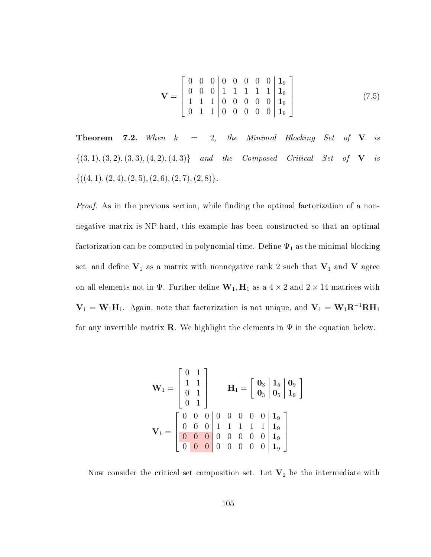$$
\mathbf{V} = \begin{bmatrix} 0 & 0 & 0 & 0 & 0 & 0 & 0 & 0 & \mathbf{1}_9 \\ 0 & 0 & 0 & 1 & 1 & 1 & 1 & 1 & \mathbf{1}_9 \\ 1 & 1 & 1 & 0 & 0 & 0 & 0 & 0 & \mathbf{1}_9 \\ 0 & 1 & 1 & 0 & 0 & 0 & 0 & 0 & \mathbf{1}_9 \end{bmatrix}
$$
(7.5)

**Theorem 7.2.** When  $k = 2$ , the Minimal Blocking Set of **V** is  $\{(3, 1), (3, 2), (3, 3), (4, 2), (4, 3)\}$  and the Composed Critical Set of **V** is  ${((4, 1), (2, 4), (2, 5), (2, 6), (2, 7), (2, 8)}.$ 

Proof. As in the previous section, while finding the optimal factorization of a nonnegative matrix is NP-hard, this example has been constructed so that an optimal factorization can be computed in polynomial time. Define  $\Psi_1$  as the minimal blocking set, and define  $V_1$  as a matrix with nonnegative rank 2 such that  $V_1$  and V agree on all elements not in  $\Psi$ . Further define  $\mathbf{W}_1, \mathbf{H}_1$  as a  $4 \times 2$  and  $2 \times 14$  matrices with  $V_1 = W_1H_1$ . Again, note that factorization is not unique, and  $V_1 = W_1R^{-1}RH_1$ for any invertible matrix **R**. We highlight the elements in  $\Psi$  in the equation below.

W<sup>1</sup> = 0 1 1 1 0 1 0 1 H<sup>1</sup> = 0<sup>3</sup> 1<sup>5</sup> 0<sup>9</sup> 0<sup>3</sup> 0<sup>5</sup> 1<sup>9</sup> V<sup>1</sup> = 0 0 0 0 0 0 0 0 1<sup>9</sup> 0 0 0 1 1 1 1 1 1<sup>9</sup> 0 0 0 0 0 0 0 0 1<sup>9</sup> 0 0 0 0 0 0 0 0 1<sup>9</sup> 

Now consider the critical set composition set. Let  $V_2$  be the intermediate with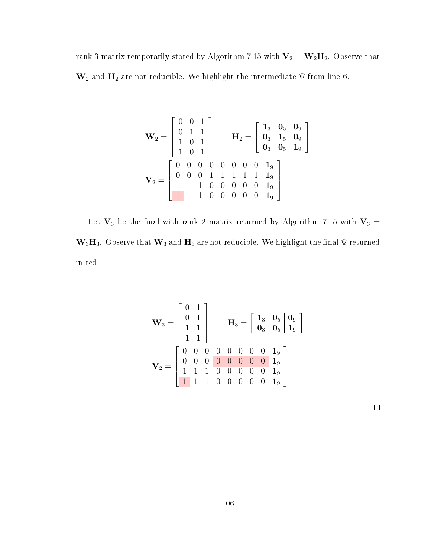rank 3 matrix temporarily stored by Algorithm 7.15 with  $V_2 = W_2H_2$ . Observe that  $\mathbf{W}_2$  and  $\mathbf{H}_2$  are not reducible. We highlight the intermediate  $\Psi$  from line 6.

$$
\mathbf{W}_2 = \begin{bmatrix} 0 & 0 & 1 \\ 0 & 1 & 1 \\ 1 & 0 & 1 \\ 1 & 0 & 1 \end{bmatrix} \qquad \mathbf{H}_2 = \begin{bmatrix} 1_3 & 0_5 & 0_9 \\ 0_3 & 1_5 & 0_9 \\ 0_3 & 0_5 & 1_9 \end{bmatrix}
$$

$$
\mathbf{V}_2 = \begin{bmatrix} 0 & 0 & 0 & 0 & 0 & 0 & 0 & 0 & 1_9 \\ 0 & 0 & 0 & 1 & 1 & 1 & 1 & 1 & 1_9 \\ 1 & 1 & 1 & 0 & 0 & 0 & 0 & 0 & 1_9 \\ 1 & 1 & 1 & 0 & 0 & 0 & 0 & 0 & 1_9 \end{bmatrix}
$$

Let  $\mathbf{V}_3$  be the final with rank 2 matrix returned by Algorithm 7.15 with  $\mathbf{V}_3$  =  $\mathbf{W}_3\mathbf{H}_3$ . Observe that  $\mathbf{W}_3$  and  $\mathbf{H}_3$  are not reducible. We highlight the final  $\Psi$  returned in red.

$$
\mathbf{W}_3 = \begin{bmatrix} 0 & 1 \\ 0 & 1 \\ 1 & 1 \\ 1 & 1 \end{bmatrix} \qquad \mathbf{H}_3 = \begin{bmatrix} 1_3 & 0_5 & 0_9 \\ 0_3 & 0_5 & 1_9 \end{bmatrix}
$$

$$
\mathbf{V}_2 = \begin{bmatrix} 0 & 0 & 0 & 0 & 0 & 0 & 0 & 0 & 1_9 \\ 0 & 0 & 0 & 0 & 0 & 0 & 0 & 1_9 \\ 1 & 1 & 1 & 0 & 0 & 0 & 0 & 0 & 1_9 \\ 1 & 1 & 1 & 0 & 0 & 0 & 0 & 0 & 1_9 \end{bmatrix}
$$

 $\Box$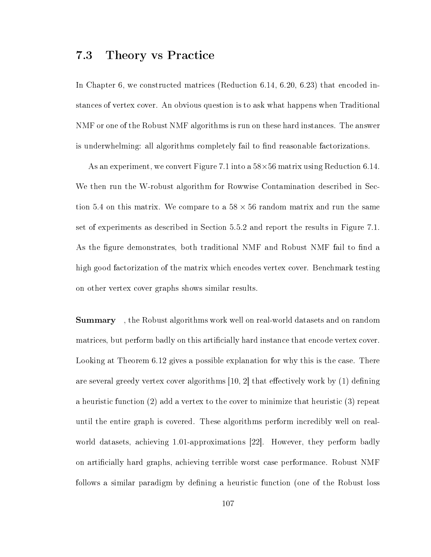#### 7.3 Theory vs Practice

In Chapter 6, we constructed matrices (Reduction 6.14, 6.20, 6.23) that encoded instances of vertex cover. An obvious question is to ask what happens when Traditional NMF or one of the Robust NMF algorithms is run on these hard instances. The answer is underwhelming: all algorithms completely fail to find reasonable factorizations.

As an experiment, we convert Figure 7.1 into a 58×56 matrix using Reduction 6.14. We then run the W-robust algorithm for Rowwise Contamination described in Section 5.4 on this matrix. We compare to a  $58 \times 56$  random matrix and run the same set of experiments as described in Section 5.5.2 and report the results in Figure 7.1. As the figure demonstrates, both traditional NMF and Robust NMF fail to find a high good factorization of the matrix which encodes vertex cover. Benchmark testing on other vertex cover graphs shows similar results.

**Summary**, the Robust algorithms work well on real-world datasets and on random matrices, but perform badly on this artificially hard instance that encode vertex cover. Looking at Theorem 6.12 gives a possible explanation for why this is the case. There are several greedy vertex cover algorithms  $(10, 2)$  that effectively work by  $(1)$  defining a heuristic function (2) add a vertex to the cover to minimize that heuristic (3) repeat until the entire graph is covered. These algorithms perform incredibly well on realworld datasets, achieving 1.01-approximations [22]. However, they perform badly on articially hard graphs, achieving terrible worst case performance. Robust NMF follows a similar paradigm by defining a heuristic function (one of the Robust loss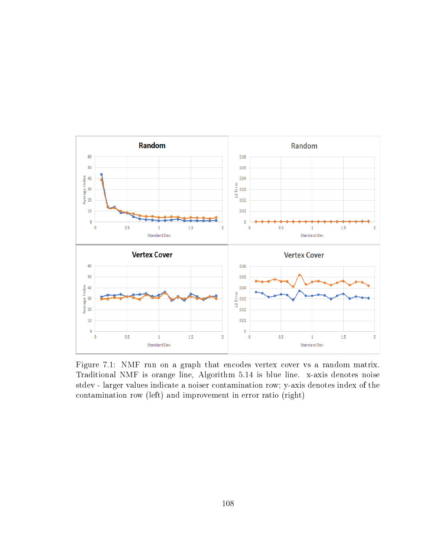

Figure 7.1: NMF run on a graph that encodes vertex cover vs a random matrix. Traditional NMF is orange line, Algorithm 5.14 is blue line. x-axis denotes noise stdev - larger values indicate a noiser contamination row; y-axis denotes index of the contamination row (left) and improvement in error ratio (right)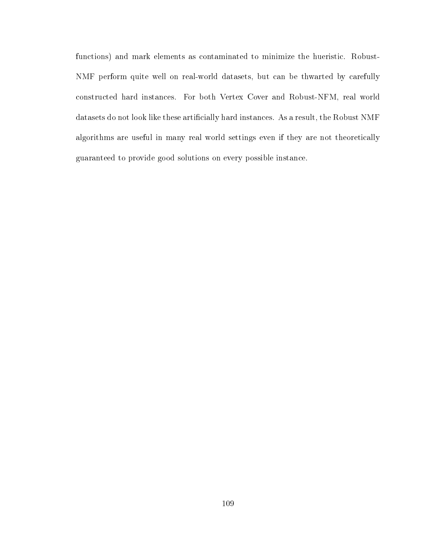functions) and mark elements as contaminated to minimize the hueristic. Robust-NMF perform quite well on real-world datasets, but can be thwarted by carefully constructed hard instances. For both Vertex Cover and Robust-NFM, real world datasets do not look like these artificially hard instances. As a result, the Robust NMF algorithms are useful in many real world settings even if they are not theoretically guaranteed to provide good solutions on every possible instance.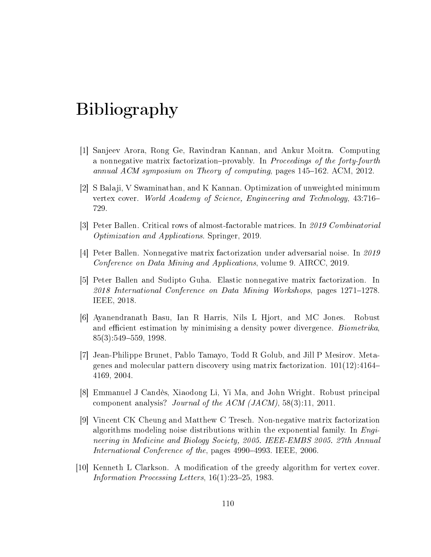# Bibliography

- [1] Sanjeev Arora, Rong Ge, Ravindran Kannan, and Ankur Moitra. Computing a nonnegative matrix factorization-provably. In Proceedings of the forty-fourth annual ACM symposium on Theory of computing, pages  $145-162$ . ACM,  $2012$ .
- [2] S Balaji, V Swaminathan, and K Kannan. Optimization of unweighted minimum vertex cover. World Academy of Science, Engineering and Technology, 43:716 729.
- [3] Peter Ballen. Critical rows of almost-factorable matrices. In 2019 Combinatorial Optimization and Applications. Springer, 2019.
- [4] Peter Ballen. Nonnegative matrix factorization under adversarial noise. In 2019 Conference on Data Mining and Applications, volume 9. AIRCC, 2019.
- [5] Peter Ballen and Sudipto Guha. Elastic nonnegative matrix factorization. In  $2018$  International Conference on Data Mining Workshops, pages  $1271-1278$ . IEEE, 2018.
- [6] Ayanendranath Basu, Ian R Harris, Nils L Hjort, and MC Jones. Robust and efficient estimation by minimising a density power divergence. *Biometrika*,  $85(3):549-559, 1998.$
- [7] Jean-Philippe Brunet, Pablo Tamayo, Todd R Golub, and Jill P Mesirov. Metagenes and molecular pattern discovery using matrix factorization. 101(12):4164 4169, 2004.
- [8] Emmanuel J Candès, Xiaodong Li, Yi Ma, and John Wright. Robust principal component analysis? Journal of the ACM (JACM), 58(3):11, 2011.
- [9] Vincent CK Cheung and Matthew C Tresch. Non-negative matrix factorization algorithms modeling noise distributions within the exponential family. In  $Enqi$ neering in Medicine and Biology Society, 2005. IEEE-EMBS 2005. 27th Annual International Conference of the, pages 4990-4993. IEEE, 2006.
- [10] Kenneth L Clarkson. A modification of the greedy algorithm for vertex cover. Information Processing Letters,  $16(1):23-25$ , 1983.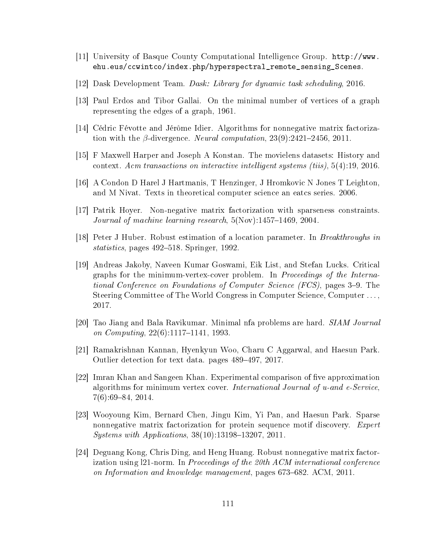- [11] University of Basque County Computational Intelligence Group. http://www. ehu.eus/ccwintco/index.php/hyperspectral\_remote\_sensing\_Scenes.
- [12] Dask Development Team. Dask: Library for dynamic task scheduling, 2016.
- [13] Paul Erdos and Tibor Gallai. On the minimal number of vertices of a graph representing the edges of a graph, 1961.
- [14] Cédric Févotte and Jérôme Idier. Algorithms for nonnegative matrix factorization with the  $\beta$ -divergence. Neural computation, 23(9):2421-2456, 2011.
- [15] F Maxwell Harper and Joseph A Konstan. The movielens datasets: History and context. Acm transactions on interactive intelligent systems (tiis), 5(4):19, 2016.
- [16] A Condon D Harel J Hartmanis, T Henzinger, J Hromkovic N Jones T Leighton, and M Nivat. Texts in theoretical computer science an eatcs series. 2006.
- [17] Patrik Hoyer. Non-negative matrix factorization with sparseness constraints. *Journal of machine learning research*,  $5(Nov)$ :1457–1469, 2004.
- [18] Peter J Huber. Robust estimation of a location parameter. In Breakthroughs in statistics, pages 492–518. Springer, 1992.
- [19] Andreas Jakoby, Naveen Kumar Goswami, Eik List, and Stefan Lucks. Critical graphs for the minimum-vertex-cover problem. In Proceedings of the International Conference on Foundations of Computer Science (FCS), pages 3–9. The Steering Committee of The World Congress in Computer Science, Computer . . . , 2017.
- [20] Tao Jiang and Bala Ravikumar. Minimal nfa problems are hard. SIAM Journal on Computing,  $22(6)$ :1117-1141, 1993.
- [21] Ramakrishnan Kannan, Hyenkyun Woo, Charu C Aggarwal, and Haesun Park. Outlier detection for text data. pages 489–497, 2017.
- [22] Imran Khan and Sangeen Khan. Experimental comparison of five approximation algorithms for minimum vertex cover. International Journal of u-and e-Service,  $7(6):69-84, 2014.$
- [23] Wooyoung Kim, Bernard Chen, Jingu Kim, Yi Pan, and Haesun Park. Sparse nonnegative matrix factorization for protein sequence motif discovery. Expert  $Systems with Applications, 38(10):13198-13207, 2011.$
- [24] Deguang Kong, Chris Ding, and Heng Huang. Robust nonnegative matrix factorization using l21-norm. In Proceedings of the 20th ACM international conference on Information and knowledge management, pages  $673-682$ . ACM,  $2011$ .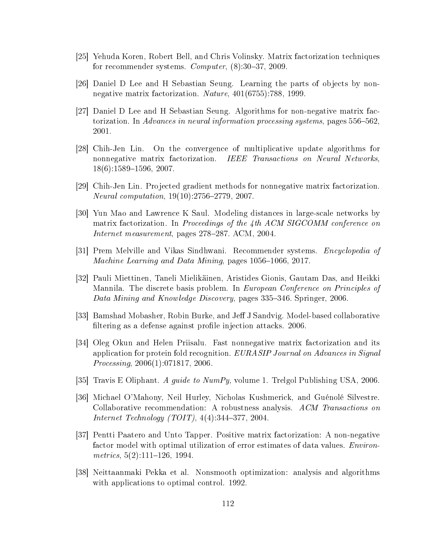- [25] Yehuda Koren, Robert Bell, and Chris Volinsky. Matrix factorization techniques for recommender systems. Computer,  $(8):30-37, 2009$ .
- [26] Daniel D Lee and H Sebastian Seung. Learning the parts of objects by nonnegative matrix factorization. Nature, 401(6755):788, 1999.
- [27] Daniel D Lee and H Sebastian Seung. Algorithms for non-negative matrix factorization. In Advances in neural information processing systems, pages 556–562. 2001.
- [28] Chih-Jen Lin. On the convergence of multiplicative update algorithms for nonnegative matrix factorization. IEEE Transactions on Neural Networks,  $18(6):1589-1596, 2007.$
- [29] Chih-Jen Lin. Projected gradient methods for nonnegative matrix factorization.  $Neural computation, 19(10):2756-2779, 2007.$
- [30] Yun Mao and Lawrence K Saul. Modeling distances in large-scale networks by matrix factorization. In Proceedings of the 4th ACM SIGCOMM conference on Internet measurement, pages  $278-287$ . ACM,  $2004$ .
- [31] Prem Melville and Vikas Sindhwani. Recommender systems. Encyclopedia of Machine Learning and Data Mining, pages  $1056-1066$ , 2017.
- [32] Pauli Miettinen, Taneli Mielikäinen, Aristides Gionis, Gautam Das, and Heikki Mannila. The discrete basis problem. In *European Conference on Principles of* Data Mining and Knowledge Discovery, pages 335–346. Springer, 2006.
- [33] Bamshad Mobasher, Robin Burke, and Jeff J Sandvig. Model-based collaborative filtering as a defense against profile injection attacks. 2006.
- [34] Oleg Okun and Helen Priisalu. Fast nonnegative matrix factorization and its application for protein fold recognition. EURASIP Journal on Advances in Signal Processing, 2006(1):071817, 2006.
- [35] Travis E Oliphant. A guide to NumPy, volume 1. Trelgol Publishing USA, 2006.
- [36] Michael O'Mahony, Neil Hurley, Nicholas Kushmerick, and Guénolé Silvestre. Collaborative recommendation: A robustness analysis. ACM Transactions on *Internet Technology (TOIT)*,  $4(4):344-377, 2004$ .
- [37] Pentti Paatero and Unto Tapper. Positive matrix factorization: A non-negative factor model with optimal utilization of error estimates of data values. Environmetrics,  $5(2):111-126$ , 1994.
- [38] Neittaanmaki Pekka et al. Nonsmooth optimization: analysis and algorithms with applications to optimal control. 1992.